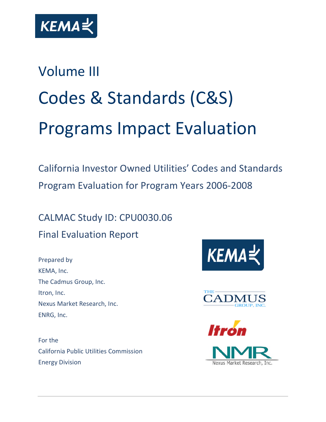

# Volume III Codes & Standards (C&S) Programs Impact Evaluation

California Investor Owned Utilities' Codes and Standards Program Evaluation for Program Years 2006-2008

CALMAC Study ID: CPU0030.06 Final Evaluation Report

Prepared by KEMA, Inc. The Cadmus Group, Inc. Itron, Inc. Nexus Market Research, Inc. ENRG, Inc.

For the California Public Utilities Commission Energy Division





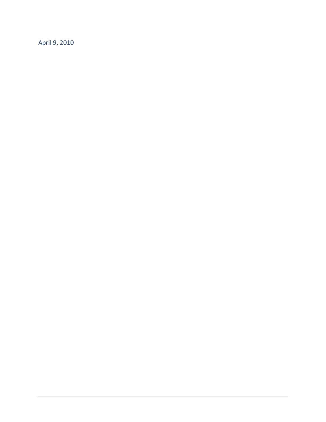April 9, 2010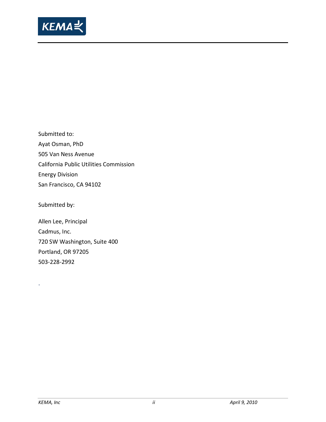

Submitted to: Ayat Osman, PhD 505 Van Ness Avenue California Public Utilities Commission Energy Division San Francisco, CA 94102

Submitted by:

Allen Lee, Principal Cadmus, Inc. 720 SW Washington, Suite 400 Portland, OR 97205 503-228-2992

.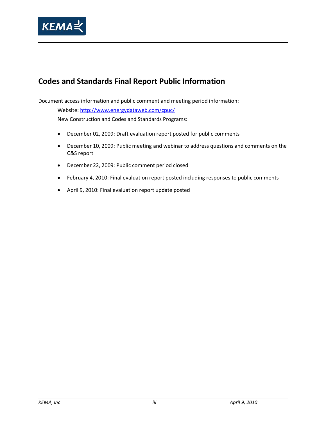

# **Codes and Standards Final Report Public Information**

Document access information and public comment and meeting period information:

Website[: http://www.energydataweb.com/cpuc/](http://www.energydataweb.com/cpuc/)

New Construction and Codes and Standards Programs:

- December 02, 2009: Draft evaluation report posted for public comments
- December 10, 2009: Public meeting and webinar to address questions and comments on the C&S report
- December 22, 2009: Public comment period closed
- February 4, 2010: Final evaluation report posted including responses to public comments
- April 9, 2010: Final evaluation report update posted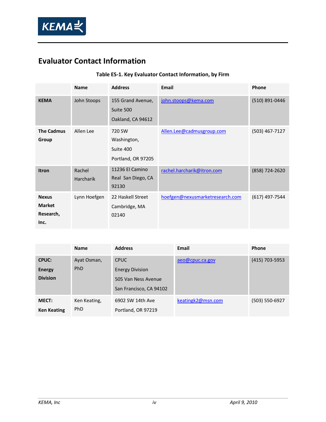

# **Evaluator Contact Information**

# **Table ES-1. Key Evaluator Contact Information, by Firm**

|                                                    | <b>Name</b>                | <b>Address</b>                                           | Email                           | Phone            |
|----------------------------------------------------|----------------------------|----------------------------------------------------------|---------------------------------|------------------|
| <b>KEMA</b>                                        | John Stoops                | 155 Grand Avenue,<br>Suite 500<br>Oakland, CA 94612      | john.stoops@kema.com            | (510) 891-0446   |
| <b>The Cadmus</b><br>Group                         | Allen Lee                  | 720 SW<br>Washington,<br>Suite 400<br>Portland, OR 97205 | Allen.Lee@cadmusgroup.com       | $(503)$ 467-7127 |
| <b>Itron</b>                                       | Rachel<br><b>Harcharik</b> | 11236 El Camino<br>Real San Diego, CA<br>92130           | rachel.harcharik@itron.com      | (858) 724-2620   |
| <b>Nexus</b><br><b>Market</b><br>Research,<br>Inc. | Lynn Hoefgen               | 22 Haskell Street<br>Cambridge, MA<br>02140              | hoefgen@nexusmarketresearch.com | (617) 497-7544   |

|                    | <b>Name</b>  | <b>Address</b>          | Email             | Phone          |
|--------------------|--------------|-------------------------|-------------------|----------------|
| <b>CPUC:</b>       | Ayat Osman,  | <b>CPUC</b>             | aeo@cpuc.ca.gov   | (415) 703-5953 |
| <b>Energy</b>      | PhD          | <b>Energy Division</b>  |                   |                |
| <b>Division</b>    |              | 505 Van Ness Avenue     |                   |                |
|                    |              | San Francisco, CA 94102 |                   |                |
| <b>MECT:</b>       | Ken Keating, | 6902 SW 14th Ave        | keatingk2@msn.com | (503) 550-6927 |
| <b>Ken Keating</b> | PhD          | Portland, OR 97219      |                   |                |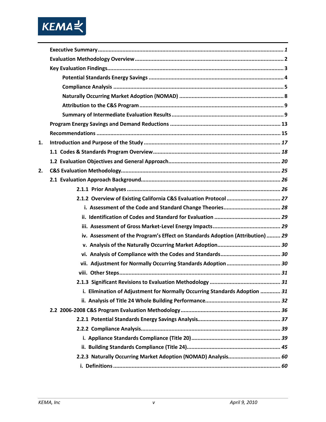

| 1. |                                                                                |
|----|--------------------------------------------------------------------------------|
|    |                                                                                |
|    |                                                                                |
| 2. |                                                                                |
|    |                                                                                |
|    |                                                                                |
|    |                                                                                |
|    |                                                                                |
|    |                                                                                |
|    |                                                                                |
|    | iv. Assessment of the Program's Effect on Standards Adoption (Attribution)  29 |
|    |                                                                                |
|    |                                                                                |
|    | vii. Adjustment for Normally Occurring Standards Adoption  30                  |
|    |                                                                                |
|    |                                                                                |
|    | i. Elimination of Adjustment for Normally Occurring Standards Adoption  31     |
|    |                                                                                |
|    |                                                                                |
|    |                                                                                |
|    |                                                                                |
|    |                                                                                |
|    |                                                                                |
|    | 2.2.3 Naturally Occurring Market Adoption (NOMAD) Analysis 60                  |
|    |                                                                                |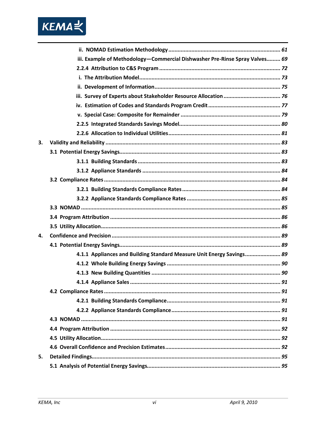

|    | iii. Example of Methodology-Commercial Dishwasher Pre-Rinse Spray Valves 69 |
|----|-----------------------------------------------------------------------------|
|    |                                                                             |
|    |                                                                             |
|    |                                                                             |
|    |                                                                             |
|    |                                                                             |
|    |                                                                             |
|    |                                                                             |
|    |                                                                             |
| 3. |                                                                             |
|    |                                                                             |
|    |                                                                             |
|    |                                                                             |
|    |                                                                             |
|    |                                                                             |
|    |                                                                             |
|    |                                                                             |
|    |                                                                             |
|    |                                                                             |
| 4. |                                                                             |
|    |                                                                             |
|    | 4.1.1 Appliances and Building Standard Measure Unit Energy Savings 89       |
|    |                                                                             |
|    |                                                                             |
|    | 91                                                                          |
|    |                                                                             |
|    |                                                                             |
|    |                                                                             |
|    |                                                                             |
|    |                                                                             |
|    |                                                                             |
|    |                                                                             |
| 5. |                                                                             |
|    |                                                                             |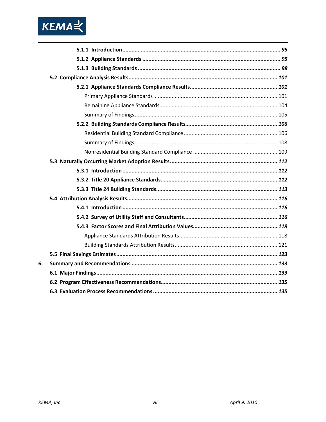

| 6. |  |
|----|--|
|    |  |
|    |  |
|    |  |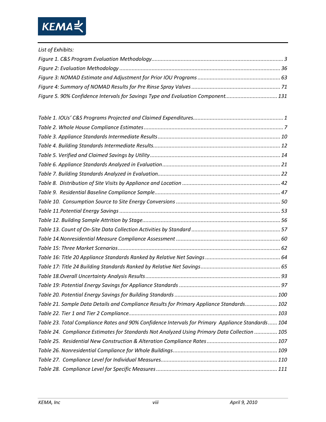

| List of Exhibits:                                                                |  |
|----------------------------------------------------------------------------------|--|
|                                                                                  |  |
|                                                                                  |  |
|                                                                                  |  |
|                                                                                  |  |
| Figure 5. 90% Confidence Intervals for Savings Type and Evaluation Component 131 |  |

| Table 21. Sample Data Details and Compliance Results for Primary Appliance Standards 102          |
|---------------------------------------------------------------------------------------------------|
|                                                                                                   |
| Table 23. Total Compliance Rates and 90% Confidence Intervals for Primary Appliance Standards 104 |
| Table 24. Compliance Estimates for Standards Not Analyzed Using Primary Data Collection  105      |
|                                                                                                   |
|                                                                                                   |
|                                                                                                   |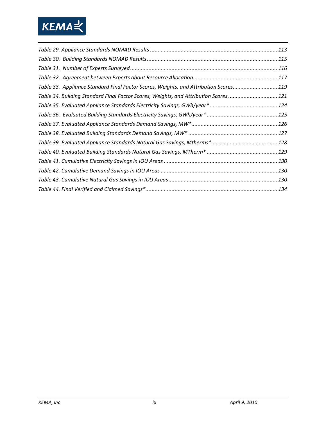

| Table 33. Appliance Standard Final Factor Scores, Weights, and Attribution Scores119 |  |
|--------------------------------------------------------------------------------------|--|
| Table 34. Building Standard Final Factor Scores, Weights, and Attribution Scores 121 |  |
|                                                                                      |  |
|                                                                                      |  |
|                                                                                      |  |
|                                                                                      |  |
|                                                                                      |  |
|                                                                                      |  |
|                                                                                      |  |
|                                                                                      |  |
|                                                                                      |  |
|                                                                                      |  |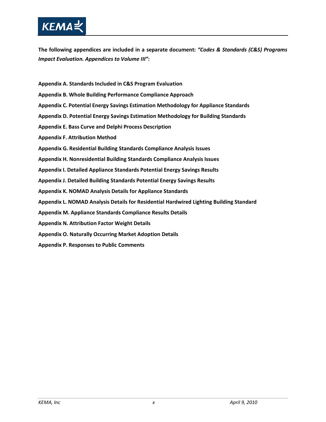

**The following appendices are included in a separate document:** *"Codes & Standards (C&S) Programs Impact Evaluation. Appendices to Volume III"***:**

- **Appendix A. Standards Included in C&S Program Evaluation**
- **Appendix B. Whole Building Performance Compliance Approach**
- **Appendix C. Potential Energy Savings Estimation Methodology for Appliance Standards**
- **Appendix D. Potential Energy Savings Estimation Methodology for Building Standards**
- **Appendix E. Bass Curve and Delphi Process Description**
- **Appendix F. Attribution Method**
- **Appendix G. Residential Building Standards Compliance Analysis Issues**
- **Appendix H. Nonresidential Building Standards Compliance Analysis Issues**
- **Appendix I. Detailed Appliance Standards Potential Energy Savings Results**
- **Appendix J. Detailed Building Standards Potential Energy Savings Results**
- **Appendix K. NOMAD Analysis Details for Appliance Standards**
- **Appendix L. NOMAD Analysis Details for Residential Hardwired Lighting Building Standard**
- **Appendix M. Appliance Standards Compliance Results Details**
- **Appendix N. Attribution Factor Weight Details**
- **Appendix O. Naturally Occurring Market Adoption Details**
- **Appendix P. Responses to Public Comments**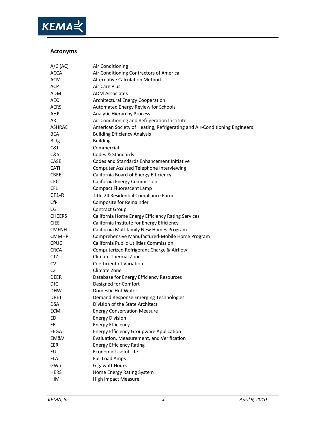

## **Acronyms**

| $A/C$ (AC)    | Air Conditioning                                                          |
|---------------|---------------------------------------------------------------------------|
| <b>ACCA</b>   | Air Conditioning Contractors of America                                   |
| <b>ACM</b>    | <b>Alternative Calculation Method</b>                                     |
| ACP           | Air Care Plus                                                             |
| ADM           | <b>ADM Associates</b>                                                     |
| <b>AEC</b>    | <b>Architectural Energy Cooperation</b>                                   |
| <b>AERS</b>   | Automated Energy Review for Schools                                       |
| AHP           | <b>Analytic Hierarchy Process</b>                                         |
| ARI           | Air Conditioning and Refrigeration Institute                              |
| ASHRAE        | American Society of Heating, Refrigerating and Air-Conditioning Engineers |
| BEA           | <b>Building Efficiency Analysis</b>                                       |
| <b>Bldg</b>   | <b>Building</b>                                                           |
| ଝୋ            | Commercial                                                                |
| C&S           | Codes & Standards                                                         |
| CASE          | Codes and Standards Enhancement Initiative                                |
| CATI          | Computer Assisted Telephone Interviewing                                  |
| <b>CBEE</b>   | California Board of Energy Efficiency                                     |
| <b>CEC</b>    | California Energy Commission                                              |
| <b>CFL</b>    | <b>Compact Fluorescent Lamp</b>                                           |
| CF1-R         | Title 24 Residential Compliance Form                                      |
| <b>CfR</b>    | Composite for Remainder                                                   |
| CG            | <b>Contract Group</b>                                                     |
| <b>CHEERS</b> | California Home Energy Efficiency Rating Services                         |
| <b>CIEE</b>   | California Institute for Energy Efficiency                                |
| <b>CMFNH</b>  | California Multifamily New Homes Program                                  |
| <b>CMMHP</b>  | Comprehensive Manufactured-Mobile Home Program                            |
| <b>CPUC</b>   | California Public Utilities Commission                                    |
| <b>CRCA</b>   | Computerized Refrigerant Charge & Airflow                                 |
| <b>CTZ</b>    | <b>Climate Thermal Zone</b>                                               |
| CV            | <b>Coefficient of Variation</b>                                           |
| CZ            | Climate Zone                                                              |
| <b>DEER</b>   | Database for Energy Efficiency Resources                                  |
| DfC           | Designed for Comfort                                                      |
| <b>DHW</b>    | Domestic Hot Water                                                        |
| <b>DRET</b>   | Demand Response Emerging Technologies                                     |
| <b>DSA</b>    | Division of the State Architect                                           |
| ECM           | <b>Energy Conservation Measure</b>                                        |
| ED            | <b>Energy Division</b>                                                    |
| EE            | <b>Energy Efficiency</b>                                                  |
| <b>EEGA</b>   | <b>Energy Efficiency Groupware Application</b>                            |
| EM&V          | Evaluation, Measurement, and Verification                                 |
| EER           | <b>Energy Efficiency Rating</b>                                           |
| <b>EUL</b>    | Economic Useful Life                                                      |
| <b>FLA</b>    | <b>Full Load Amps</b>                                                     |
| GWh           | <b>Gigawatt Hours</b>                                                     |
| <b>HERS</b>   | Home Energy Rating System                                                 |
| HIM           | <b>High Impact Measure</b>                                                |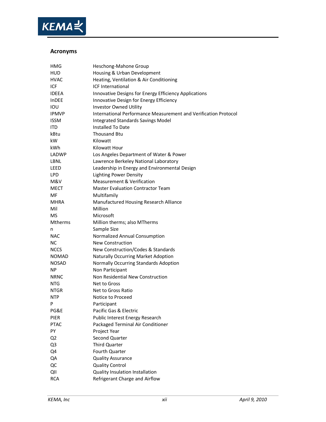

## **Acronyms**

| HMG            | Heschong-Mahone Group                                           |
|----------------|-----------------------------------------------------------------|
| HUD            | Housing & Urban Development                                     |
| HVAC           | Heating, Ventilation & Air Conditioning                         |
| ICF            | <b>ICF International</b>                                        |
| IDEEA          | Innovative Designs for Energy Efficiency Applications           |
| InDEE          | Innovative Design for Energy Efficiency                         |
| IOU            | <b>Investor Owned Utility</b>                                   |
| <b>IPMVP</b>   | International Performance Measurement and Verification Protocol |
| <b>ISSM</b>    | Integrated Standards Savings Model                              |
| ITD            | Installed To Date                                               |
| kBtu           | <b>Thousand Btu</b>                                             |
| kW             | Kilowatt                                                        |
| kWh            | Kilowatt Hour                                                   |
| LADWP          | Los Angeles Department of Water & Power                         |
| LBNL           | Lawrence Berkeley National Laboratory                           |
| LEED           | Leadership in Energy and Environmental Design                   |
| <b>LPD</b>     | <b>Lighting Power Density</b>                                   |
| M&V            | <b>Measurement &amp; Verification</b>                           |
| MECT           | <b>Master Evaluation Contractor Team</b>                        |
| MF             | Multifamily                                                     |
| MHRA           | Manufactured Housing Research Alliance                          |
| Mil            | Million                                                         |
| <b>MS</b>      | Microsoft                                                       |
| <b>Mtherms</b> | Million therms; also MTherms                                    |
| n              | Sample Size                                                     |
| NAC            | Normalized Annual Consumption                                   |
| NС             | <b>New Construction</b>                                         |
| <b>NCCS</b>    | New Construction/Codes & Standards                              |
| NOMAD          | <b>Naturally Occurring Market Adoption</b>                      |
| <b>NOSAD</b>   | Normally Occurring Standards Adoption                           |
| ΝP             | Non Participant                                                 |
| <b>NRNC</b>    | Non Residential New Construction                                |
| NTG            | Net to Gross                                                    |
| NTGR           | Net to Gross Ratio                                              |
| NTP            | Notice to Proceed                                               |
|                | Participant                                                     |
| PG&E           | Pacific Gas & Electric                                          |
| PIER           | Public Interest Energy Research                                 |
| <b>PTAC</b>    | Packaged Terminal Air Conditioner                               |
| PY             | Project Year                                                    |
| Q <sub>2</sub> | Second Quarter                                                  |
| Q3             | Third Quarter                                                   |
| Q4             | Fourth Quarter                                                  |
| QA             | <b>Quality Assurance</b>                                        |
| QC             | <b>Quality Control</b>                                          |
| QII            | Quality Insulation Installation                                 |
| <b>RCA</b>     | Refrigerant Charge and Airflow                                  |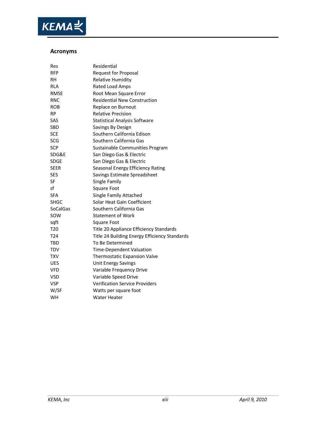

## **Acronyms**

| Res             | Residential                                   |  |
|-----------------|-----------------------------------------------|--|
| <b>RFP</b>      | <b>Request for Proposal</b>                   |  |
| RН              | <b>Relative Humidity</b>                      |  |
| <b>RLA</b>      | Rated Load Amps                               |  |
| <b>RMSE</b>     | Root Mean Square Error                        |  |
| RNC             | <b>Residential New Construction</b>           |  |
| <b>ROB</b>      | Replace on Burnout                            |  |
| <b>RP</b>       | <b>Relative Precision</b>                     |  |
| SAS             | <b>Statistical Analysis Software</b>          |  |
| <b>SBD</b>      | Savings By Design                             |  |
| <b>SCE</b>      | Southern California Edison                    |  |
| <b>SCG</b>      | Southern California Gas                       |  |
| SCP             | Sustainable Communities Program               |  |
| SDG&E           | San Diego Gas & Electric                      |  |
| <b>SDGE</b>     | San Diego Gas & Electric                      |  |
| SEER            | Seasonal Energy Efficiency Rating             |  |
| <b>SES</b>      | Savings Estimate Spreadsheet                  |  |
| SF              | Single Family                                 |  |
| sf              | <b>Square Foot</b>                            |  |
| <b>SFA</b>      | Single Family Attached                        |  |
| SHGC            | Solar Heat Gain Coefficient                   |  |
| <b>SoCalGas</b> | Southern California Gas                       |  |
| SOW             | <b>Statement of Work</b>                      |  |
| sqft            | Square Foot                                   |  |
| T <sub>20</sub> | Title 20 Appliance Efficiency Standards       |  |
| T <sub>24</sub> | Title 24 Building Energy Efficiency Standards |  |
| TBD             | To Be Determined                              |  |
| <b>TDV</b>      | <b>Time-Dependent Valuation</b>               |  |
| TXV             | <b>Thermostatic Expansion Valve</b>           |  |
| <b>UES</b>      | <b>Unit Energy Savings</b>                    |  |
| <b>VFD</b>      | Variable Frequency Drive                      |  |
| VSD             | Variable Speed Drive                          |  |
| <b>VSP</b>      | <b>Verification Service Providers</b>         |  |
| W/SF            | Watts per square foot                         |  |
| <b>WH</b>       | Water Heater                                  |  |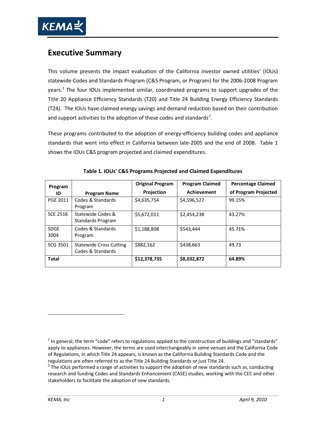<span id="page-14-4"></span>

# <span id="page-14-0"></span>**Executive Summary**

This volume presents the impact evaluation of the California investor owned utilities' (IOUs) statewide Codes and Standards Program (C&S Program, or Program) for the 2006-2008 Program years.<sup>[1](#page-14-2)</sup> The four IOUs implemented similar, coordinated programs to support upgrades of the Title 20 Appliance Efficiency Standards (T20) and Title 24 Building Energy Efficiency Standards (T24). The IOUs have claimed energy savings and demand reduction based on their contribution and support activities to the adoption of these codes and standards<sup>[2](#page-14-3)</sup>.

These programs contributed to the adoption of energy-efficiency building codes and appliance standards that went into effect in California between late-2005 and the end of 2008. Table 1 shows the IOUs C&S program projected and claimed expenditures.

<span id="page-14-1"></span>

| Program             |                                                     | <b>Original Program</b> | <b>Program Claimed</b> | <b>Percentage Claimed</b> |
|---------------------|-----------------------------------------------------|-------------------------|------------------------|---------------------------|
| ID                  | <b>Program Name</b>                                 | Projection              | Achievement            | of Program Projected      |
| PGE 2011            | Codes & Standards<br>Program                        | \$4,635,754             | \$4,596,527            | 99.15%                    |
| <b>SCE 2516</b>     | Statewide Codes &<br>Standards Program              | \$5,672,011             | \$2,454,238            | 43.27%                    |
| <b>SDGE</b><br>3004 | Codes & Standards<br>Program                        | \$1,188,808             | \$543.444              | 45.71%                    |
| <b>SCG 3501</b>     | <b>Statewide Cross Cutting</b><br>Codes & Standards | \$882.162               | \$438,663              | 49.73                     |
| <b>Total</b>        |                                                     | \$12,378,735            | \$8,032,872            | 64.89%                    |

| Table 1. IOUs' C&S Programs Projected and Claimed Expenditures |  |  |
|----------------------------------------------------------------|--|--|
|                                                                |  |  |

<span id="page-14-2"></span><sup>&</sup>lt;sup>1</sup> In general, the term "code" refers to regulations applied to the construction of buildings and "standards" apply to appliances. However, the terms are used interchangeably in some venues and the California Code of Regulations, in which Title 24 appears, is known as the California Building Standards Code and the

<span id="page-14-3"></span>regulations are often referred to as the Title 24 Building Standards or just Title 24.<br><sup>2</sup> The IOUs performed a range of activities to support the adoption of new standards such as, conducting research and funding Codes and Standards Enhancement (CASE) studies, working with the CEC and other stakeholders to facilitate the adoption of new standards.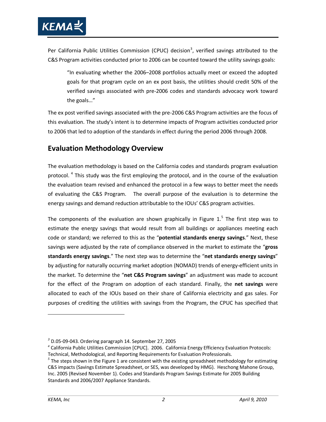

Per California Public Utilities Commission (CPUC) decision<sup>[3](#page-14-4)</sup>, verified savings attributed to the C&S Program activities conducted prior to 2006 can be counted toward the utility savings goals:

"In evaluating whether the 2006–2008 portfolios actually meet or exceed the adopted goals for that program cycle on an ex post basis, the utilities should credit 50% of the verified savings associated with pre-2006 codes and standards advocacy work toward the goals…"

The ex post verified savings associated with the pre-2006 C&S Program activities are the focus of this evaluation. The study's intent is to determine impacts of Program activities conducted prior to 2006 that led to adoption of the standards in effect during the period 2006 through 2008.

# <span id="page-15-0"></span>**Evaluation Methodology Overview**

The evaluation methodology is based on the California codes and standards program evaluation protocol.<sup>[4](#page-15-1)</sup> This study was the first employing the protocol, and in the course of the evaluation the evaluation team revised and enhanced the protocol in a few ways to better meet the needs of evaluating the C&S Program. The overall purpose of the evaluation is to determine the energy savings and demand reduction attributable to the IOUs' C&S program activities.

The components of the evaluation are shown graphically in [Figure 1.](#page-16-1)<sup>[5](#page-15-2)</sup> The first step was to estimate the energy savings that would result from all buildings or appliances meeting each code or standard; we referred to this as the "**potential standards energy savings**." Next, these savings were adjusted by the rate of compliance observed in the market to estimate the "**gross standards energy savings**." The next step was to determine the "**net standards energy savings**" by adjusting for naturally occurring market adoption (NOMAD) trends of energy-efficient units in the market. To determine the "**net C&S Program savings**" an adjustment was made to account for the effect of the Program on adoption of each standard. Finally, the **net savings** were allocated to each of the IOUs based on their share of California electricity and gas sales. For purposes of crediting the utilities with savings from the Program, the CPUC has specified that

*<sup>3</sup>* D.05-09-043. Ordering paragraph 14. September 27, 2005

<span id="page-15-1"></span>*<sup>4</sup>* California Public Utilities Commission [CPUC]. 2006. California Energy Efficiency Evaluation Protocols: Technical, Methodological, and Reporting Requirements for Evaluation Professionals.

<span id="page-15-2"></span>*<sup>5</sup>* The steps shown in the Figure 1 are consistent with the existing spreadsheet methodology for estimating C&S impacts (Savings Estimate Spreadsheet, or SES, was developed by HMG). Heschong Mahone Group, Inc. 2005 (Revised November 1). Codes and Standards Program Savings Estimate for 2005 Building Standards and 2006/2007 Appliance Standards.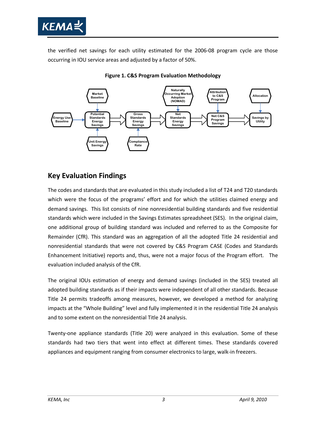

the verified net savings for each utility estimated for the 2006-08 program cycle are those occurring in IOU service areas and adjusted by a factor of 50%.

<span id="page-16-1"></span>

**Figure 1. C&S Program Evaluation Methodology**

# <span id="page-16-0"></span>**Key Evaluation Findings**

The codes and standards that are evaluated in this study included a list of T24 and T20 standards which were the focus of the programs' effort and for which the utilities claimed energy and demand savings. This list consists of nine nonresidential building standards and five residential standards which were included in the Savings Estimates spreadsheet (SES). In the original claim, one additional group of building standard was included and referred to as the Composite for Remainder (CfR). This standard was an aggregation of all the adopted Title 24 residential and nonresidential standards that were not covered by C&S Program CASE (Codes and Standards Enhancement Initiative) reports and, thus, were not a major focus of the Program effort. The evaluation included analysis of the CfR.

The original IOUs estimation of energy and demand savings (included in the SES) treated all adopted building standards as if their impacts were independent of all other standards. Because Title 24 permits tradeoffs among measures, however, we developed a method for analyzing impacts at the "Whole Building" level and fully implemented it in the residential Title 24 analysis and to some extent on the nonresidential Title 24 analysis.

Twenty-one appliance standards (Title 20) were analyzed in this evaluation. Some of these standards had two tiers that went into effect at different times. These standards covered appliances and equipment ranging from consumer electronics to large, walk-in freezers.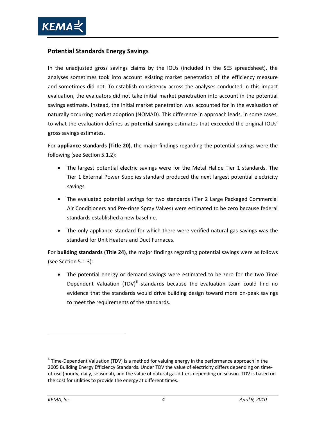

## <span id="page-17-0"></span>**Potential Standards Energy Savings**

In the unadjusted gross savings claims by the IOUs (included in the SES spreadsheet), the analyses sometimes took into account existing market penetration of the efficiency measure and sometimes did not. To establish consistency across the analyses conducted in this impact evaluation, the evaluators did not take initial market penetration into account in the potential savings estimate. Instead, the initial market penetration was accounted for in the evaluation of naturally occurring market adoption (NOMAD). This difference in approach leads, in some cases, to what the evaluation defines as **potential savings** estimates that exceeded the original IOUs' gross savings estimates.

For **appliance standards (Title 20)**, the major findings regarding the potential savings were the following (see Section [5.1.2\)](#page-108-3):

- The largest potential electric savings were for the Metal Halide Tier 1 standards. The Tier 1 External Power Supplies standard produced the next largest potential electricity savings.
- The evaluated potential savings for two standards (Tier 2 Large Packaged Commercial Air Conditioners and Pre-rinse Spray Valves) were estimated to be zero because federal standards established a new baseline.
- The only appliance standard for which there were verified natural gas savings was the standard for Unit Heaters and Duct Furnaces.

For **building standards (Title 24)**, the major findings regarding potential savings were as follows (see Sectio[n 5.1.3\)](#page-111-0):

• The potential energy or demand savings were estimated to be zero for the two Time Dependent Valuation (TDV)<sup>[6](#page-17-1)</sup> standards because the evaluation team could find no evidence that the standards would drive building design toward more on-peak savings to meet the requirements of the standards.

<span id="page-17-1"></span> $6$  Time-Dependent Valuation (TDV) is a method for valuing energy in the performance approach in the 2005 Building Energy Efficiency Standards. Under TDV the value of electricity differs depending on timeof-use (hourly, daily, seasonal), and the value of natural gas differs depending on season. TDV is based on the cost for utilities to provide the energy at different times.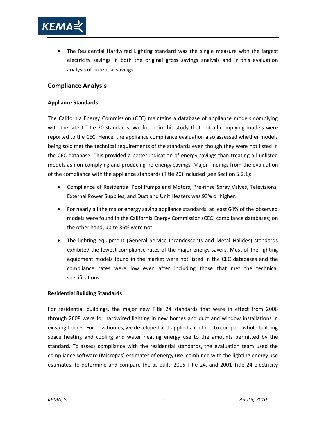

• The Residential Hardwired Lighting standard was the single measure with the largest electricity savings in both the original gross savings analysis and in this evaluation analysis of potential savings.

## <span id="page-18-0"></span>**Compliance Analysis**

#### **Appliance Standards**

The California Energy Commission (CEC) maintains a database of appliance models complying with the latest Title 20 standards. We found in this study that not all complying models were reported to the CEC. Hence, the appliance compliance evaluation also assessed whether models being sold met the technical requirements of the standards even though they were not listed in the CEC database. This provided a better indication of energy savings than treating all unlisted models as non-complying and producing no energy savings. Major findings from the evaluation of the compliance with the appliance standards (Title 20) included (see Section [5.2.1\)](#page-114-1):

- Compliance of Residential Pool Pumps and Motors, Pre-rinse Spray Valves, Televisions, External Power Supplies, and Duct and Unit Heaters was 93% or higher.
- For nearly all the major energy saving appliance standards, at least 64% of the observed models were found in the California Energy Commission (CEC) compliance databases; on the other hand, up to 36% were not.
- The lighting equipment (General Service Incandescents and Metal Halides) standards exhibited the lowest compliance rates of the major energy savers. Most of the lighting equipment models found in the market were not listed in the CEC databases and the compliance rates were low even after including those that met the technical specifications.

#### **Residential Building Standards**

For residential buildings, the major new Title 24 standards that were in effect from 2006 through 2008 were for hardwired lighting in new homes and duct and window installations in existing homes. For new homes, we developed and applied a method to compare whole building space heating and cooling and water heating energy use to the amounts permitted by the standard. To assess compliance with the residential standards, the evaluation team used the compliance software (Micropas) estimates of energy use, combined with the lighting energy use estimates, to determine and compare the as-built, 2005 Title 24, and 2001 Title 24 electricity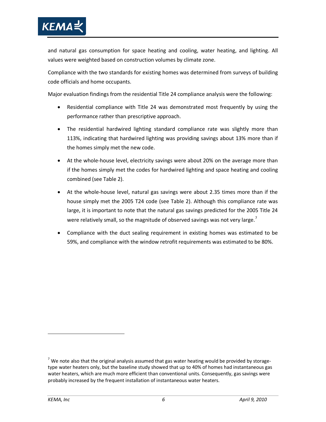

and natural gas consumption for space heating and cooling, water heating, and lighting. All values were weighted based on construction volumes by climate zone.

Compliance with the two standards for existing homes was determined from surveys of building code officials and home occupants.

Major evaluation findings from the residential Title 24 compliance analysis were the following:

- Residential compliance with Title 24 was demonstrated most frequently by using the performance rather than prescriptive approach.
- The residential hardwired lighting standard compliance rate was slightly more than 113%, indicating that hardwired lighting was providing savings about 13% more than if the homes simply met the new code.
- At the whole-house level, electricity savings were about 20% on the average more than if the homes simply met the codes for hardwired lighting and space heating and cooling combined (see [Table 2\)](#page-20-0).
- At the whole-house level, natural gas savings were about 2.35 times more than if the house simply met the 2005 T24 code (see [Table 2\)](#page-20-0). Although this compliance rate was large, it is important to note that the natural gas savings predicted for the 2005 Title 24 were relatively small, so the magnitude of observed savings was not very large.<sup>[7](#page-19-0)</sup>
- Compliance with the duct sealing requirement in existing homes was estimated to be 59%, and compliance with the window retrofit requirements was estimated to be 80%.

<span id="page-19-0"></span> $7$  We note also that the original analysis assumed that gas water heating would be provided by storagetype water heaters only, but the baseline study showed that up to 40% of homes had instantaneous gas water heaters, which are much more efficient than conventional units. Consequently, gas savings were probably increased by the frequent installation of instantaneous water heaters.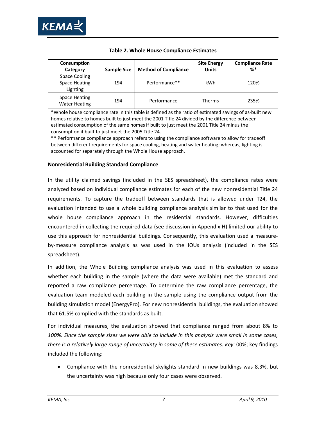

<span id="page-20-0"></span>

| Consumption<br>Category                           | <b>Sample Size</b> | <b>Method of Compliance</b> | <b>Site Energy</b><br><b>Units</b> | <b>Compliance Rate</b><br>%* |
|---------------------------------------------------|--------------------|-----------------------------|------------------------------------|------------------------------|
| Space Cooling<br><b>Space Heating</b><br>Lighting | 194                | Performance**               | kWh                                | 120%                         |
| Space Heating<br><b>Water Heating</b>             | 194                | Performance                 | <b>Therms</b>                      | 235%                         |

#### **Table 2. Whole House Compliance Estimates**

\*Whole house compliance rate in this table is defined as the ratio of estimated savings of as-built new homes relative to homes built to just meet the 2001 Title 24 divided by the difference between estimated consumption of the same homes if built to just meet the 2001 Title 24 minus the consumption if built to just meet the 2005 Title 24.

\*\* Performance compliance approach refers to using the compliance software to allow for tradeoff between different requirements for space cooling, heating and water heating; whereas, lighting is accounted for separately through the Whole House approach.

#### **Nonresidential Building Standard Compliance**

In the utility claimed savings (included in the SES spreadsheet), the compliance rates were analyzed based on individual compliance estimates for each of the new nonresidential Title 24 requirements. To capture the tradeoff between standards that is allowed under T24, the evaluation intended to use a whole building compliance analysis similar to that used for the whole house compliance approach in the residential standards. However, difficulties encountered in collecting the required data (see discussion in Appendix H) limited our ability to use this approach for nonresidential buildings. Consequently, this evaluation used a measureby-measure compliance analysis as was used in the IOUs analysis (included in the SES spreadsheet).

In addition, the Whole Building compliance analysis was used in this evaluation to assess whether each building in the sample (where the data were available) met the standard and reported a raw compliance percentage. To determine the raw compliance percentage, the evaluation team modeled each building in the sample using the compliance output from the building simulation model (EnergyPro). For new nonresidential buildings, the evaluation showed that 61.5% complied with the standards as built.

For individual measures, the evaluation showed that compliance ranged from about 8% to *100%. Since the sample sizes we were able to include in this analysis were small in some cases, there is a relatively large range of uncertainty in some of these estimates. Key*100%; key findings included the following:

• Compliance with the nonresidential skylights standard in new buildings was 8.3%, but the uncertainty was high because only four cases were observed.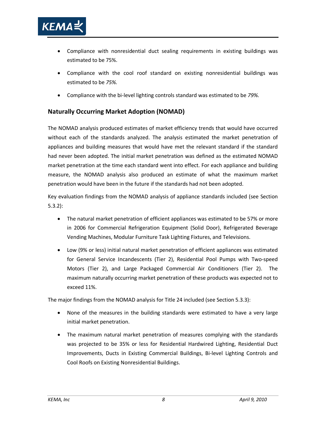

- Compliance with nonresidential duct sealing requirements in existing buildings was estimated to be 75%.
- Compliance with the cool roof standard on existing nonresidential buildings was estimated to be *75%.*
- Compliance with the bi-level lighting controls standard was estimated to be *79%.*

# <span id="page-21-0"></span>**Naturally Occurring Market Adoption (NOMAD)**

The NOMAD analysis produced estimates of market efficiency trends that would have occurred without each of the standards analyzed. The analysis estimated the market penetration of appliances and building measures that would have met the relevant standard if the standard had never been adopted. The initial market penetration was defined as the estimated NOMAD market penetration at the time each standard went into effect. For each appliance and building measure, the NOMAD analysis also produced an estimate of what the maximum market penetration would have been in the future if the standards had not been adopted.

Key evaluation findings from the NOMAD analysis of appliance standards included (see Section [5.3.2\)](#page-125-2):

- The natural market penetration of efficient appliances was estimated to be 57% or more in 2006 for Commercial Refrigeration Equipment (Solid Door), Refrigerated Beverage Vending Machines, Modular Furniture Task Lighting Fixtures, and Televisions.
- Low (9% or less) initial natural market penetration of efficient appliances was estimated for General Service Incandescents (Tier 2), Residential Pool Pumps with Two-speed Motors (Tier 2), and Large Packaged Commercial Air Conditioners (Tier 2). The maximum naturally occurring market penetration of these products was expected not to exceed 11%.

The major findings from the NOMAD analysis for Title 24 included (see Section [5.3.3\)](#page-126-0):

- None of the measures in the building standards were estimated to have a very large initial market penetration.
- The maximum natural market penetration of measures complying with the standards was projected to be 35% or less for Residential Hardwired Lighting, Residential Duct Improvements, Ducts in Existing Commercial Buildings, Bi-level Lighting Controls and Cool Roofs on Existing Nonresidential Buildings.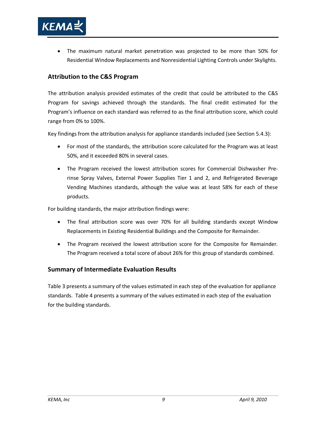

• The maximum natural market penetration was projected to be more than 50% for Residential Window Replacements and Nonresidential Lighting Controls under Skylights.

## <span id="page-22-0"></span>**Attribution to the C&S Program**

The attribution analysis provided estimates of the credit that could be attributed to the C&S Program for savings achieved through the standards. The final credit estimated for the Program's influence on each standard was referred to as the final attribution score, which could range from 0% to 100%.

Key findings from the attribution analysis for appliance standards included (see Section [5.4.3\)](#page-131-0):

- For most of the standards, the attribution score calculated for the Program was at least 50%, and it exceeded 80% in several cases.
- The Program received the lowest attribution scores for Commercial Dishwasher Prerinse Spray Valves, External Power Supplies Tier 1 and 2, and Refrigerated Beverage Vending Machines standards, although the value was at least 58% for each of these products.

For building standards, the major attribution findings were:

- The final attribution score was over 70% for all building standards except Window Replacements in Existing Residential Buildings and the Composite for Remainder*.*
- The Program received the lowest attribution score for the Composite for Remainder. The Program received a total score of about 26% for this group of standards combined.

## <span id="page-22-1"></span>**Summary of Intermediate Evaluation Results**

[Table 3](#page-23-0) presents a summary of the values estimated in each step of the evaluation for appliance standards. [Table 4](#page-25-0) presents a summary of the values estimated in each step of the evaluation for the building standards.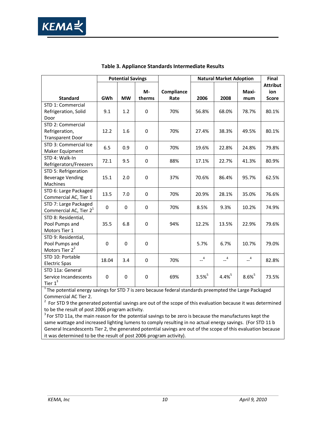<span id="page-23-0"></span>

|                                    |             | <b>Potential Savings</b> |             |            | <b>Natural Market Adoption</b> |                      | Final                |                 |
|------------------------------------|-------------|--------------------------|-------------|------------|--------------------------------|----------------------|----------------------|-----------------|
|                                    |             |                          |             |            |                                |                      |                      | <b>Attribut</b> |
|                                    |             |                          | M-          | Compliance |                                |                      | Maxi-                | ion             |
| <b>Standard</b>                    | GWh         | <b>MW</b>                | therms      | Rate       | 2006                           | 2008                 | mum                  | <b>Score</b>    |
| STD 1: Commercial                  |             |                          |             |            |                                |                      |                      |                 |
| Refrigeration, Solid               | 9.1         | 1.2                      | $\mathbf 0$ | 70%        | 56.8%                          | 68.0%                | 78.7%                | 80.1%           |
| Door                               |             |                          |             |            |                                |                      |                      |                 |
| STD 2: Commercial                  |             |                          |             |            |                                |                      |                      |                 |
| Refrigeration,                     | 12.2        | 1.6                      | $\mathbf 0$ | 70%        | 27.4%                          | 38.3%                | 49.5%                | 80.1%           |
| <b>Transparent Door</b>            |             |                          |             |            |                                |                      |                      |                 |
| STD 3: Commercial Ice              | 6.5         | 0.9                      | 0           | 70%        | 19.6%                          | 22.8%                | 24.8%                | 79.8%           |
| Maker Equipment                    |             |                          |             |            |                                |                      |                      |                 |
| STD 4: Walk-In                     | 72.1        |                          | 0           | 88%        | 17.1%                          | 22.7%                | 41.3%                |                 |
| Refrigerators/Freezers             |             | 9.5                      |             |            |                                |                      |                      | 80.9%           |
| STD 5: Refrigeration               |             |                          |             |            |                                |                      |                      |                 |
| <b>Beverage Vending</b>            | 15.1        | 2.0                      | $\mathbf 0$ | 37%        | 70.6%                          | 86.4%                | 95.7%                | 62.5%           |
| Machines                           |             |                          |             |            |                                |                      |                      |                 |
| STD 6: Large Packaged              |             | 7.0                      |             |            |                                |                      |                      |                 |
| Commercial AC, Tier 1              | 13.5        |                          | $\mathbf 0$ | 70%        | 20.9%                          | 28.1%                | 35.0%                | 76.6%           |
| STD 7: Large Packaged              |             |                          |             |            |                                |                      |                      |                 |
| Commercial AC, Tier 2 <sup>1</sup> | $\mathbf 0$ | $\mathbf 0$              | $\mathbf 0$ | 70%        | 8.5%                           | 9.3%                 | 10.2%                | 74.9%           |
| STD 8: Residential,                |             |                          |             |            |                                |                      |                      |                 |
| Pool Pumps and                     | 35.5        | 6.8                      | $\Omega$    | 94%        | 12.2%                          | 13.5%                | 22.9%                | 79.6%           |
| Motors Tier 1                      |             |                          |             |            |                                |                      |                      |                 |
| STD 9: Residential,                |             |                          |             |            |                                |                      |                      |                 |
| Pool Pumps and                     | 0           | $\mathbf 0$              | 0           |            | 5.7%                           | 6.7%                 | 10.7%                | 79.0%           |
| Motors Tier 2 <sup>2</sup>         |             |                          |             |            |                                |                      |                      |                 |
| STD 10: Portable                   |             |                          |             |            | $-4$                           | $-4$                 | $-4$                 |                 |
| <b>Electric Spas</b>               | 18.04       | 3.4                      | 0           | 70%        |                                |                      |                      | 82.8%           |
| STD 11a: General                   |             |                          |             |            |                                |                      |                      |                 |
| Service Incandescents              | 0           | $\mathbf 0$              | $\pmb{0}$   | 69%        | $3.5%^{5}$                     | $4.4\%$ <sup>5</sup> | $8.6\%$ <sup>5</sup> | 73.5%           |
| Tier $1^3$                         |             |                          |             |            |                                |                      |                      |                 |

#### **Table 3. Appliance Standards Intermediate Results**

 $1$ The potential energy savings for STD 7 is zero because federal standards preempted the Large Packaged Commercial AC Tier 2.

2 For STD 9 the generated potential savings are out of the scope of this evaluation because it was determined to be the result of post 2006 program activity.

<sup>3</sup> For STD 11a, the main reason for the potential savings to be zero is because the manufactures kept the same wattage and increased lighting lumens to comply resulting in no actual energy savings. (For STD 11 b General Incandescents Tier 2, the generated potential savings are out of the scope of this evaluation because it was determined to be the result of post 2006 program activity).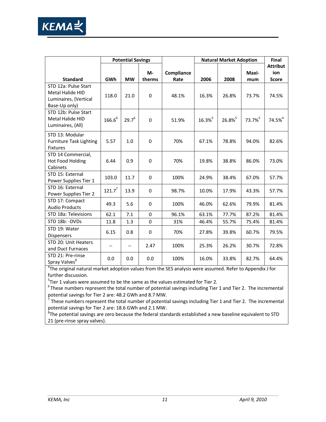

|                                                                                    | <b>Potential Savings</b> |                          |              | <b>Natural Market Adoption</b> |       |       | Final        |                                        |
|------------------------------------------------------------------------------------|--------------------------|--------------------------|--------------|--------------------------------|-------|-------|--------------|----------------------------------------|
| <b>Standard</b>                                                                    | GWh                      | <b>MW</b>                | M-<br>therms | Compliance<br>Rate             | 2006  | 2008  | Maxi-<br>mum | <b>Attribut</b><br>ion<br><b>Score</b> |
| STD 12a: Pulse Start<br>Metal Halide HID<br>Luminaires, (Vertical<br>Base-Up only) | 118.0                    | 21.0                     | $\mathbf 0$  | 48.1%                          | 16.3% | 26.8% | 73.7%        | 74.5%                                  |
| STD 12b: Pulse Start<br>Metal Halide HID<br>Luminaires, (All)                      | $166.6^{6}$              | $29.7^{6}$               | $\mathbf 0$  | 51.9%                          | 16.3% | 26.8% | 73.7%        | 74.5% <sup>4</sup>                     |
| STD 13: Modular<br><b>Furniture Task Lighting</b><br><b>Fixtures</b>               | 5.57                     | $1.0\,$                  | $\mathbf 0$  | 70%                            | 67.1% | 78.8% | 94.0%        | 82.6%                                  |
| STD 14 Commercial,<br>Hot Food Holding<br>Cabinets                                 | 6.44                     | 0.9                      | $\pmb{0}$    | 70%                            | 19.8% | 38.8% | 86.0%        | 73.0%                                  |
| STD 15: External<br>Power Supplies Tier 1                                          | 103.0                    | 11.7                     | $\mathbf 0$  | 100%                           | 24.9% | 38.4% | 67.0%        | 57.7%                                  |
| STD 16: External<br>Power Supplies Tier 2                                          | $121.7^7$                | 13.9                     | $\mathbf 0$  | 98.7%                          | 10.0% | 17.9% | 43.3%        | 57.7%                                  |
| STD 17: Compact<br><b>Audio Products</b>                                           | 49.3                     | 5.6                      | $\mathbf 0$  | 100%                           | 46.0% | 62.6% | 79.9%        | 81.4%                                  |
| STD 18a: Televisions                                                               | 62.1                     | 7.1                      | $\mathbf 0$  | 96.1%                          | 63.1% | 77.7% | 87.2%        | 81.4%                                  |
| STD 18b: - DVDs                                                                    | 11.8                     | 1.3                      | $\mathbf 0$  | 31%                            | 46.4% | 55.7% | 75.4%        | 81.4%                                  |
| STD 19: Water<br><b>Dispensers</b>                                                 | 6.15                     | 0.8                      | 0            | 70%                            | 27.8% | 39.8% | 60.7%        | 79.5%                                  |
| STD 20: Unit Heaters<br>and Duct Furnaces                                          | $\qquad \qquad -$        | $\overline{\phantom{a}}$ | 2.47         | 100%                           | 25.3% | 26.2% | 30.7%        | 72.8%                                  |
| STD 21: Pre-rinse<br>Spray Valves <sup>8</sup>                                     | 0.0                      | 0.0                      | 0.0          | 100%                           | 16.0% | 33.8% | 82.7%        | 64.4%                                  |

<sup>4</sup>The original natural market adoption values from the SES analysis were assumed. Refer to Appendix J for further discussion.

 $^{5}$ Tier 1 values were assumed to be the same as the values estimated for Tier 2.

 $6$ These numbers represent the total number of potential savings including Tier 1 and Tier 2. The incremental potential savings for Tier 2 are: 48.2 GWh and 8.7 MW.

<sup>7</sup> These numbers represent the total number of potential savings including Tier 1 and Tier 2. The incremental potential savings for Tier 2 are: 18.6 GWh and 2.1 MW.

 ${}^{8}$ The potential savings are zero because the federal standards established a new baseline equivalent to STD 21 (pre-rinse spray valves).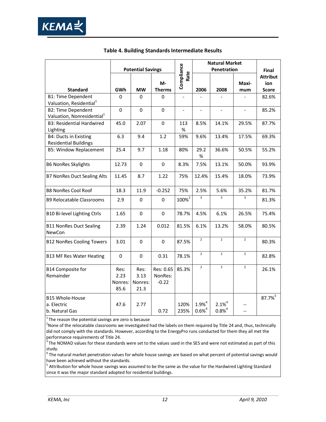

<span id="page-25-0"></span>

|                                                                     |                                 |                                 |                                 |                          | <b>Natural Market</b>    |                           |                          |                                        |
|---------------------------------------------------------------------|---------------------------------|---------------------------------|---------------------------------|--------------------------|--------------------------|---------------------------|--------------------------|----------------------------------------|
|                                                                     |                                 | <b>Potential Savings</b>        |                                 |                          | Penetration              |                           |                          | Final                                  |
| <b>Standard</b>                                                     | GWh                             | <b>MW</b>                       | M-<br><b>Therms</b>             | Compliance<br>Rate       | 2006                     | 2008                      | Maxi-<br>mum             | <b>Attribut</b><br>ion<br><b>Score</b> |
| <b>B1: Time Dependent</b>                                           | $\Omega$                        | 0                               | 0                               |                          |                          |                           |                          | 82.6%                                  |
| Valuation, Residential <sup>1</sup>                                 |                                 |                                 |                                 |                          |                          |                           |                          |                                        |
| <b>B2: Time Dependent</b><br>Valuation, Nonresidential <sup>1</sup> | $\mathbf 0$                     | $\mathbf 0$                     | $\mathbf 0$                     | $\overline{\phantom{a}}$ | $\overline{\phantom{a}}$ | $\overline{a}$            | $\overline{\phantom{a}}$ | 85.2%                                  |
| <b>B3: Residential Hardwired</b><br>Lighting                        | 45.0                            | 2.07                            | $\mathbf 0$                     | 113<br>%                 | 8.5%                     | 14.1%                     | 29.5%                    | 87.7%                                  |
| B4: Ducts in Existing<br><b>Residential Buildings</b>               | 6.3                             | 9.4                             | 1.2                             | 59%                      | 9.6%                     | 13.4%                     | 17.5%                    | 69.3%                                  |
| <b>B5: Window Replacement</b>                                       | 25.4                            | 9.7                             | 1.18                            | 80%                      | 29.2<br>$\%$             | 36.6%                     | 50.5%                    | 55.2%                                  |
| <b>B6 NonRes Skylights</b>                                          | 12.73                           | $\mathbf 0$                     | $\mathbf 0$                     | 8.3%                     | 7.5%                     | 13.1%                     | 50.0%                    | 93.9%                                  |
| <b>B7 NonRes Duct Sealing Alts</b>                                  | 11.45                           | 8.7                             | 1.22                            | 75%                      | 12.4%                    | 15.4%                     | 18.0%                    | 73.9%                                  |
| <b>B8 NonRes Cool Roof</b>                                          | 18.3                            | 11.9                            | $-0.252$                        | 75%                      | 2.5%                     | 5.6%                      | 35.2%                    | 81.7%                                  |
| <b>B9 Relocatable Classrooms</b>                                    | 2.9                             | 0                               | $\mathbf 0$                     | $100\%^{2}$              | 3                        | 3                         | $\overline{3}$           | 81.3%                                  |
| <b>B10 Bi-level Lighting Ctrls</b>                                  | 1.65                            | $\Omega$                        | $\mathbf 0$                     | 78.7%                    | 4.5%                     | 6.1%                      | 26.5%                    | 75.4%                                  |
| <b>B11 NonRes Duct Sealing</b><br>NewCon                            | 2.39                            | 1.24                            | 0.012                           | 81.5%                    | 6.1%                     | 13.2%                     | 58.0%                    | 80.5%                                  |
| <b>B12 NonRes Cooling Towers</b>                                    | 3.01                            | $\Omega$                        | $\mathbf 0$                     | 87.5%                    | $\overline{2}$           | $\overline{2}$            | $\overline{2}$           | 80.3%                                  |
| <b>B13 MF Res Water Heating</b>                                     | $\Omega$                        | $\mathbf 0$                     | 0.31                            | 78.1%                    | $\overline{2}$           | $\overline{2}$            | $\overline{2}$           | 82.8%                                  |
| <b>B14 Composite for</b><br>Remainder                               | Res:<br>2.23<br>Nonres:<br>85.6 | Res:<br>3.13<br>Nonres:<br>21.3 | Res: 0.65<br>NonRes:<br>$-0.22$ | 85.3%                    | $\overline{2}$           | $\overline{2}$            | $\overline{2}$           | 26.1%                                  |
| <b>B15 Whole-House</b><br>a. Electric<br>b. Natural Gas             | 47.6                            | 2.77                            | 0.72                            | 120%<br>235%             | $1.9%^{4}$<br>$0.6%^{4}$ | $2.1\%^{4}$<br>$0.8%^{4}$ | $-$<br>$-$               | 87.7%                                  |

#### **Table 4. Building Standards Intermediate Results**

 $1$  The reason the potential savings are zero is because

<sup>2</sup> None of the relocatable classrooms we investigated had the labels on them required by Title 24 and, thus, technically did not comply with the standards. However, according to the EnergyPro runs conducted for them they all met the

performance requirements of Title 24.<br><sup>3</sup> The NOMAD values for these standards were set to the values used in the SES and were not estimated as part of this study.

 $4$  The natural market penetration values for whole house savings are based on what percent of potential savings would have been achieved without the standards.

 $^5$  Attribution for whole house savings was assumed to be the same as the value for the Hardwired Lighting Standard since it was the major standard adopted for residential buildings.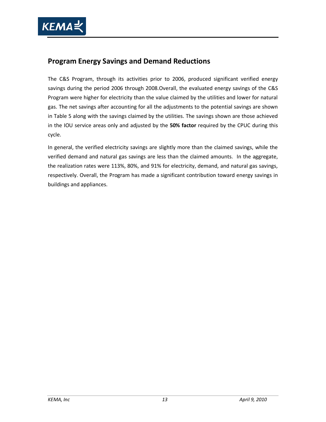

# <span id="page-26-0"></span>**Program Energy Savings and Demand Reductions**

The C&S Program, through its activities prior to 2006, produced significant verified energy savings during the period 2006 through 2008.Overall, the evaluated energy savings of the C&S Program were higher for electricity than the value claimed by the utilities and lower for natural gas. The net savings after accounting for all the adjustments to the potential savings are shown in [Table 5](#page-27-1) along with the savings claimed by the utilities. The savings shown are those achieved in the IOU service areas only and adjusted by the **50% factor** required by the CPUC during this cycle.

In general, the verified electricity savings are slightly more than the claimed savings, while the verified demand and natural gas savings are less than the claimed amounts. In the aggregate, the realization rates were 113%, 80%, and 91% for electricity, demand, and natural gas savings, respectively. Overall, the Program has made a significant contribution toward energy savings in buildings and appliances.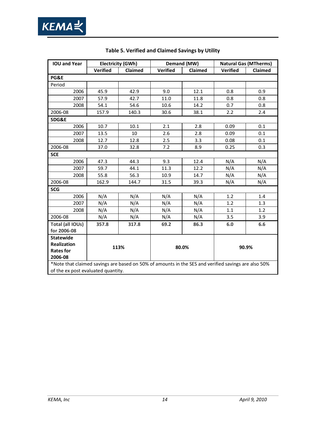<span id="page-27-1"></span><span id="page-27-0"></span>

| <b>IOU and Year</b>                                                                                                                       |                 | <b>Electricity (GWh)</b> |                 | Demand (MW) |                 | <b>Natural Gas (MTherms)</b> |  |  |
|-------------------------------------------------------------------------------------------------------------------------------------------|-----------------|--------------------------|-----------------|-------------|-----------------|------------------------------|--|--|
|                                                                                                                                           | <b>Verified</b> | <b>Claimed</b>           | <b>Verified</b> | Claimed     | <b>Verified</b> | Claimed                      |  |  |
| PG&E                                                                                                                                      |                 |                          |                 |             |                 |                              |  |  |
| Period                                                                                                                                    |                 |                          |                 |             |                 |                              |  |  |
| 2006                                                                                                                                      | 45.9            | 42.9                     | 9.0             | 12.1        | 0.8             | 0.9                          |  |  |
| 2007                                                                                                                                      | 57.9            | 42.7                     | 11.0            | 11.8        | 0.8             | 0.8                          |  |  |
| 2008                                                                                                                                      | 54.1            | 54.6                     | 10.6            | 14.2        | 0.7             | 0.8                          |  |  |
| 2006-08                                                                                                                                   | 157.9           | 140.3                    | 30.6            | 38.1        | 2.2             | 2.4                          |  |  |
| SDG&E                                                                                                                                     |                 |                          |                 |             |                 |                              |  |  |
| 2006                                                                                                                                      | 10.7            | 10.1                     | 2.1             | 2.8         | 0.09            | 0.1                          |  |  |
| 2007                                                                                                                                      | 13.5            | 10                       | 2.6             | 2.8         | 0.09            | 0.1                          |  |  |
| 2008                                                                                                                                      | 12.7            | 12.8                     | 2.5             | 3.3         | 0.08            | 0.1                          |  |  |
| 2006-08                                                                                                                                   | 37.0            | 32.8                     | 7.2             | 8.9         | 0.25            | 0.3                          |  |  |
| <b>SCE</b>                                                                                                                                |                 |                          |                 |             |                 |                              |  |  |
| 2006                                                                                                                                      | 47.3            | 44.3                     | 9.3             | 12.4        | N/A             | N/A                          |  |  |
| 2007                                                                                                                                      | 59.7            | 44.1                     | 11.3            | 12.2        | N/A             | N/A                          |  |  |
| 2008                                                                                                                                      | 55.8            | 56.3                     | 10.9            | 14.7        | N/A             | N/A                          |  |  |
| 2006-08                                                                                                                                   | 162.9           | 144.7                    | 31.5            | 39.3        | N/A             | N/A                          |  |  |
| <b>SCG</b>                                                                                                                                |                 |                          |                 |             |                 |                              |  |  |
| 2006                                                                                                                                      | N/A             | N/A                      | N/A             | N/A         | 1.2             | 1.4                          |  |  |
| 2007                                                                                                                                      | N/A             | N/A                      | N/A             | N/A         | 1.2             | 1.3                          |  |  |
| 2008                                                                                                                                      | N/A             | N/A                      | N/A             | N/A         | 1.1             | 1.2                          |  |  |
| 2006-08                                                                                                                                   | N/A             | N/A                      | N/A             | N/A         | 3.5             | 3.9                          |  |  |
| Total (all IOUs)                                                                                                                          | 357.8           | 317.8                    | 69.2            | 86.3        | 6.0             | 6.6                          |  |  |
| for 2006-08                                                                                                                               |                 |                          |                 |             |                 |                              |  |  |
| <b>Statewide</b>                                                                                                                          |                 |                          |                 |             |                 |                              |  |  |
| <b>Realization</b>                                                                                                                        |                 | 113%                     |                 | 80.0%       |                 | 90.9%                        |  |  |
| <b>Rates for</b><br>2006-08                                                                                                               |                 |                          |                 |             |                 |                              |  |  |
|                                                                                                                                           |                 |                          |                 |             |                 |                              |  |  |
| *Note that claimed savings are based on 50% of amounts in the SES and verified savings are also 50%<br>of the ex post evaluated quantity. |                 |                          |                 |             |                 |                              |  |  |

# **Table 5. Verified and Claimed Savings by Utility**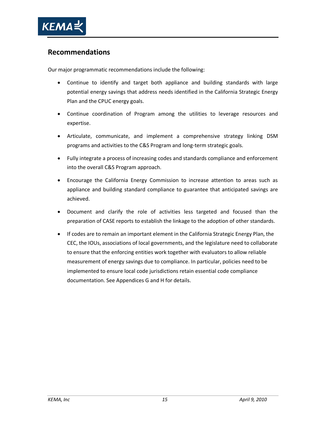

# **Recommendations**

Our major programmatic recommendations include the following:

- Continue to identify and target both appliance and building standards with large potential energy savings that address needs identified in the California Strategic Energy Plan and the CPUC energy goals.
- Continue coordination of Program among the utilities to leverage resources and expertise.
- Articulate, communicate, and implement a comprehensive strategy linking DSM programs and activities to the C&S Program and long-term strategic goals.
- Fully integrate a process of increasing codes and standards compliance and enforcement into the overall C&S Program approach.
- Encourage the California Energy Commission to increase attention to areas such as appliance and building standard compliance to guarantee that anticipated savings are achieved.
- Document and clarify the role of activities less targeted and focused than the preparation of CASE reports to establish the linkage to the adoption of other standards.
- If codes are to remain an important element in the California Strategic Energy Plan, the CEC, the IOUs, associations of local governments, and the legislature need to collaborate to ensure that the enforcing entities work together with evaluators to allow reliable measurement of energy savings due to compliance. In particular, policies need to be implemented to ensure local code jurisdictions retain essential code compliance documentation. See Appendices G and H for details.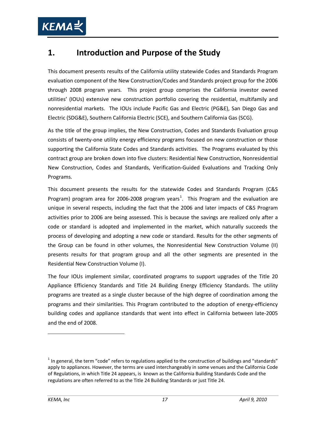# <span id="page-30-0"></span>**1. Introduction and Purpose of the Study**

This document presents results of the California utility statewide Codes and Standards Program evaluation component of the New Construction/Codes and Standards project group for the 2006 through 2008 program years. This project group comprises the California investor owned utilities' (IOUs) extensive new construction portfolio covering the residential, multifamily and nonresidential markets. The IOUs include Pacific Gas and Electric (PG&E), San Diego Gas and Electric (SDG&E), Southern California Electric (SCE), and Southern California Gas (SCG).

As the title of the group implies, the New Construction, Codes and Standards Evaluation group consists of twenty-one utility energy efficiency programs focused on new construction or those supporting the California State Codes and Standards activities. The Programs evaluated by this contract group are broken down into five clusters: Residential New Construction, Nonresidential New Construction, Codes and Standards, Verification-Guided Evaluations and Tracking Only Programs.

This document presents the results for the statewide Codes and Standards Program (C&S Program) program area for 2006-2008 program years<sup>[1](#page-30-1)</sup>. This Program and the evaluation are unique in several respects, including the fact that the 2006 and later impacts of C&S Program activities prior to 2006 are being assessed. This is because the savings are realized only after a code or standard is adopted and implemented in the market, which naturally succeeds the process of developing and adopting a new code or standard. Results for the other segments of the Group can be found in other volumes, the Nonresidential New Construction Volume (II) presents results for that program group and all the other segments are presented in the Residential New Construction Volume (I).

The four IOUs implement similar, coordinated programs to support upgrades of the Title 20 Appliance Efficiency Standards and Title 24 Building Energy Efficiency Standards. The utility programs are treated as a single cluster because of the high degree of coordination among the programs and their similarities. This Program contributed to the adoption of energy-efficiency building codes and appliance standards that went into effect in California between late-2005 and the end of 2008.

<span id="page-30-1"></span> $<sup>1</sup>$  In general, the term "code" refers to regulations applied to the construction of buildings and "standards"</sup> apply to appliances. However, the terms are used interchangeably in some venues and the California Code of Regulations, in which Title 24 appears, is known as the California Building Standards Code and the regulations are often referred to as the Title 24 Building Standards or just Title 24.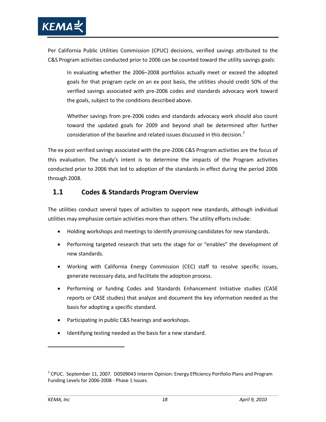

Per California Public Utilities Commission (CPUC) decisions, verified savings attributed to the C&S Program activities conducted prior to 2006 can be counted toward the utility savings goals:

In evaluating whether the 2006–2008 portfolios actually meet or exceed the adopted goals for that program cycle on an ex post basis, the utilities should credit 50% of the verified savings associated with pre-2006 codes and standards advocacy work toward the goals, subject to the conditions described above.

Whether savings from pre-2006 codes and standards advocacy work should also count toward the updated goals for 2009 and beyond shall be determined after further consideration of the baseline and related issues discussed in this decision.<sup>[2](#page-31-1)</sup>

The ex post verified savings associated with the pre-2006 C&S Program activities are the focus of this evaluation. The study's intent is to determine the impacts of the Program activities conducted prior to 2006 that led to adoption of the standards in effect during the period 2006 through 2008.

# <span id="page-31-0"></span>**1.1 Codes & Standards Program Overview**

The utilities conduct several types of activities to support new standards, although individual utilities may emphasize certain activities more than others. The utility efforts include:

- Holding workshops and meetings to identify promising candidates for new standards.
- Performing targeted research that sets the stage for or "enables" the development of new standards.
- Working with California Energy Commission (CEC) staff to resolve specific issues, generate necessary data, and facilitate the adoption process.
- Performing or funding Codes and Standards Enhancement Initiative studies (CASE reports or CASE studies) that analyze and document the key information needed as the basis for adopting a specific standard.
- Participating in public C&S hearings and workshops.
- Identifying testing needed as the basis for a new standard.

<span id="page-31-1"></span> $2^2$  CPUC. September 11, 2007. D0509043 Interim Opinion: Energy Efficiency Portfolio Plans and Program Funding Levels for 2006-2008 - Phase 1 Issues.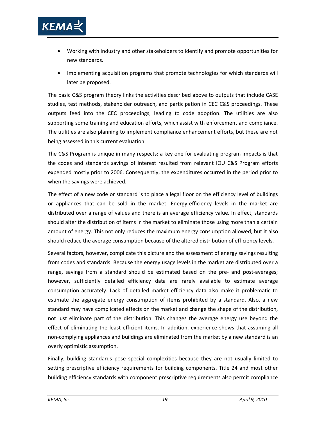

- Working with industry and other stakeholders to identify and promote opportunities for new standards.
- Implementing acquisition programs that promote technologies for which standards will later be proposed.

The basic C&S program theory links the activities described above to outputs that include CASE studies, test methods, stakeholder outreach, and participation in CEC C&S proceedings. These outputs feed into the CEC proceedings, leading to code adoption. The utilities are also supporting some training and education efforts, which assist with enforcement and compliance. The utilities are also planning to implement compliance enhancement efforts, but these are not being assessed in this current evaluation.

The C&S Program is unique in many respects: a key one for evaluating program impacts is that the codes and standards savings of interest resulted from relevant IOU C&S Program efforts expended mostly prior to 2006. Consequently, the expenditures occurred in the period prior to when the savings were achieved.

The effect of a new code or standard is to place a legal floor on the efficiency level of buildings or appliances that can be sold in the market. Energy-efficiency levels in the market are distributed over a range of values and there is an average efficiency value. In effect, standards should alter the distribution of items in the market to eliminate those using more than a certain amount of energy. This not only reduces the maximum energy consumption allowed, but it also should reduce the average consumption because of the altered distribution of efficiency levels.

Several factors, however, complicate this picture and the assessment of energy savings resulting from codes and standards. Because the energy usage levels in the market are distributed over a range, savings from a standard should be estimated based on the pre- and post-averages; however, sufficiently detailed efficiency data are rarely available to estimate average consumption accurately. Lack of detailed market efficiency data also make it problematic to estimate the aggregate energy consumption of items prohibited by a standard. Also, a new standard may have complicated effects on the market and change the shape of the distribution, not just eliminate part of the distribution. This changes the average energy use beyond the effect of eliminating the least efficient items. In addition, experience shows that assuming all non-complying appliances and buildings are eliminated from the market by a new standard is an overly optimistic assumption.

Finally, building standards pose special complexities because they are not usually limited to setting prescriptive efficiency requirements for building components. Title 24 and most other building efficiency standards with component prescriptive requirements also permit compliance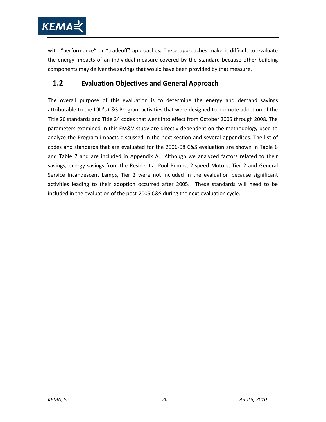

with "performance" or "tradeoff" approaches. These approaches make it difficult to evaluate the energy impacts of an individual measure covered by the standard because other building components may deliver the savings that would have been provided by that measure.

# <span id="page-33-0"></span>**1.2 Evaluation Objectives and General Approach**

The overall purpose of this evaluation is to determine the energy and demand savings attributable to the IOU's C&S Program activities that were designed to promote adoption of the Title 20 standards and Title 24 codes that went into effect from October 2005 through 2008. The parameters examined in this EM&V study are directly dependent on the methodology used to analyze the Program impacts discussed in the next section and several appendices. The list of codes and standards that are evaluated for the 2006-08 C&S evaluation are shown in [Table 6](#page-34-0) and [Table 7](#page-35-0) and are included in Appendix A. Although we analyzed factors related to their savings, energy savings from the Residential Pool Pumps, 2-speed Motors, Tier 2 and General Service Incandescent Lamps, Tier 2 were not included in the evaluation because significant activities leading to their adoption occurred after 2005. These standards will need to be included in the evaluation of the post-2005 C&S during the next evaluation cycle.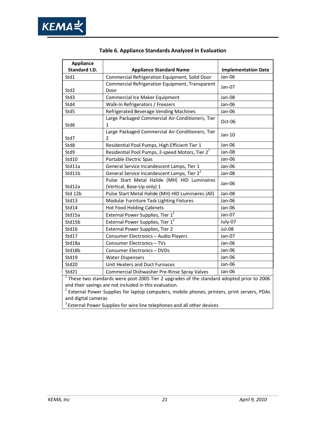

<span id="page-34-0"></span>

| <b>Appliance</b> |                                                                                              |                            |
|------------------|----------------------------------------------------------------------------------------------|----------------------------|
| Standard I.D.    | <b>Appliance Standard Name</b>                                                               | <b>Implementation Date</b> |
| Std1             | Commercial Refrigeration Equipment, Solid Door                                               | Jan-06                     |
| Std2             | Commercial Refrigeration Equipment, Transparent<br>Door                                      | Jan-07                     |
| Std3             | Commercial Ice Maker Equipment                                                               | Jan-08                     |
| Std4             | Walk-In Refrigerators / Freezers                                                             | Jan-06                     |
| Std5             | Refrigerated Beverage Vending Machines                                                       | Jan-06                     |
| Std6             | Large Packaged Commercial Air-Conditioners, Tier<br>1                                        | Oct-06                     |
| Std7             | Large Packaged Commercial Air-Conditioners, Tier<br>2                                        | Jan-10                     |
| Std8             | Residential Pool Pumps, High Efficient Tier 1                                                | Jan-06                     |
| Std9             | Residential Pool Pumps, 2-speed Motors, Tier 2 <sup>1</sup>                                  | Jan-08                     |
| Std10            | Portable Electric Spas                                                                       | Jan-06                     |
| Std11a           | General Service Incandescent Lamps, Tier 1                                                   | Jan-06                     |
| Std11b           | General Service Incandescent Lamps, Tier 2 <sup>1</sup>                                      | Jan-08                     |
| Std12a           | Pulse Start Metal Halide (MH) HID Luminaires<br>(Vertical, Base-Up only) 1                   | Jan-06                     |
| Std 12b          | Pulse Start Metal Halide (MH) HID Luminaires (All)                                           | Jan-08                     |
| Std13            | Modular Furniture Task Lighting Fixtures                                                     | Jan-06                     |
| Std14            | <b>Hot Food Holding Cabinets</b>                                                             | Jan-06                     |
| Std15a           | External Power Supplies, Tier 1 <sup>2</sup>                                                 | Jan-07                     |
| Std15b           | External Power Supplies, Tier 1 <sup>3</sup>                                                 | July-07                    |
| Std16            | External Power Supplies, Tier 2                                                              | Jul-08                     |
| Std17            | Consumer Electronics - Audio Players                                                         | Jan-07                     |
| Std18a           | Consumer Electronics - TVs                                                                   | Jan-06                     |
| Std18b           | Consumer Electronics - DVDs                                                                  | Jan-06                     |
| Std19            | <b>Water Dispensers</b>                                                                      | Jan-06                     |
| Std20            | Unit Heaters and Duct Furnaces                                                               | Jan-06                     |
| Std21            | Commercial Dishwasher Pre-Rinse Spray Valves                                                 | Jan-06                     |
|                  | $1$ These two standards were post-2005 Tier 2 upgrades of the standard adopted prior to 2006 |                            |
|                  | and their savings are not included in this evaluation                                        |                            |

# **Table 6. Appliance Standards Analyzed in Evaluation**

and their savings are not included in this evaluation.

2 External Power Supplies for laptop computers, mobile phones, printers, print servers, PDAs and digital cameras

<sup>3</sup> External Power Supplies for wire line telephones and all other devices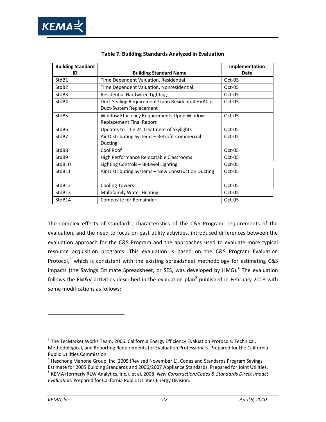

<span id="page-35-0"></span>

| <b>Building Standard</b> |                                                                               | Implementation |
|--------------------------|-------------------------------------------------------------------------------|----------------|
| ID                       | <b>Building Standard Name</b>                                                 | Date           |
| StdB1                    | Time Dependent Valuation, Residential                                         | Oct-05         |
| StdB <sub>2</sub>        | Time Dependent Valuation, Nonresidential                                      | $Oct-05$       |
| StdB3                    | <b>Residential Hardwired Lighting</b>                                         | Oct-05         |
| StdB4                    | Duct Sealing Requirement Upon Residential HVAC or<br>Duct-System Replacement  | Oct-05         |
| StdB <sub>5</sub>        | Window Efficiency Requirements Upon Window<br><b>Replacement Final Report</b> | Oct-05         |
| StdB6                    | Updates to Title 24 Treatment of Skylights                                    | $Oct-05$       |
| StdB7                    | Air Distributing Systems - Retrofit Commercial<br>Ducting                     | $Oct-05$       |
| StdB8                    | Cool Roof                                                                     | Oct-05         |
| StdB9                    | High Performance Relocatable Classrooms                                       | $Oct-05$       |
| StdB <sub>10</sub>       | Lighting Controls - Bi-Level Lighting                                         | $Oct-05$       |
| StdB11                   | Air Distributing Systems - New Construction Ducting                           | $Oct-05$       |
| StdB12                   | <b>Cooling Towers</b>                                                         | Oct-05         |
| StdB13                   | <b>Multifamily Water Heating</b>                                              | Oct-05         |
| StdB14                   | Composite for Remainder                                                       | Oct-05         |

| Table 7. Building Standards Analyzed in Evaluation |  |  |  |  |  |
|----------------------------------------------------|--|--|--|--|--|
|----------------------------------------------------|--|--|--|--|--|

The complex effects of standards, characteristics of the C&S Program, requirements of the evaluation, and the need to focus on past utility activities, introduced differences between the evaluation approach for the C&S Program and the approaches used to evaluate more typical resource acquisition programs. This evaluation is based on the C&S Program Evaluation Protocol, $3$  which is consistent with the existing spreadsheet methodology for estimating C&S impacts (the Savings Estimate Spreadsheet, or SES, was developed by  $HMG)$ .<sup>[4](#page-35-2)</sup> The evaluation follows the EM&V activities described in the evaluation plan<sup>[5](#page-35-3)</sup> published in February 2008 with some modifications as follows:

<span id="page-35-1"></span><sup>&</sup>lt;sup>3</sup> The TecMarket Works Team. 2006. California Energy Efficiency Evaluation Protocols: Technical, Methodological, and Reporting Requirements for Evaluation Professionals. Prepared for the California Public Utilities Commission.

<span id="page-35-2"></span> $4$  Heschong Mahone Group, Inc. 2005 (Revised November 1). Codes and Standards Program Savings Estimate for 2005 Building Standards and 2006/2007 Appliance Standards. Prepared for Joint Utilities.

<span id="page-35-3"></span><sup>5</sup> KEMA (formerly RLW Analytics, Inc.), et al. 2008. *New Construction/Codes & Standards Direct Impact Evaluation*. Prepared for California Public Utilities Energy Division.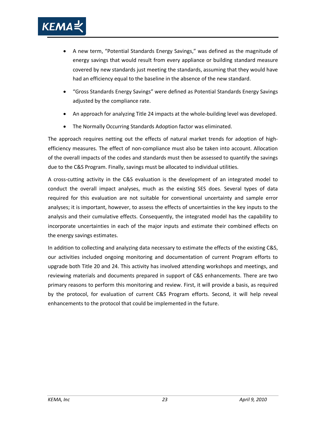

- A new term, "Potential Standards Energy Savings," was defined as the magnitude of energy savings that would result from every appliance or building standard measure covered by new standards just meeting the standards, assuming that they would have had an efficiency equal to the baseline in the absence of the new standard.
- "Gross Standards Energy Savings" were defined as Potential Standards Energy Savings adjusted by the compliance rate.
- An approach for analyzing Title 24 impacts at the whole-building level was developed.
- The Normally Occurring Standards Adoption factor was eliminated.

The approach requires netting out the effects of natural market trends for adoption of highefficiency measures. The effect of non-compliance must also be taken into account. Allocation of the overall impacts of the codes and standards must then be assessed to quantify the savings due to the C&S Program. Finally, savings must be allocated to individual utilities.

A cross-cutting activity in the C&S evaluation is the development of an integrated model to conduct the overall impact analyses, much as the existing SES does. Several types of data required for this evaluation are not suitable for conventional uncertainty and sample error analyses; it is important, however, to assess the effects of uncertainties in the key inputs to the analysis and their cumulative effects. Consequently, the integrated model has the capability to incorporate uncertainties in each of the major inputs and estimate their combined effects on the energy savings estimates.

In addition to collecting and analyzing data necessary to estimate the effects of the existing C&S, our activities included ongoing monitoring and documentation of current Program efforts to upgrade both Title 20 and 24. This activity has involved attending workshops and meetings, and reviewing materials and documents prepared in support of C&S enhancements. There are two primary reasons to perform this monitoring and review. First, it will provide a basis, as required by the protocol, for evaluation of current C&S Program efforts. Second, it will help reveal enhancements to the protocol that could be implemented in the future.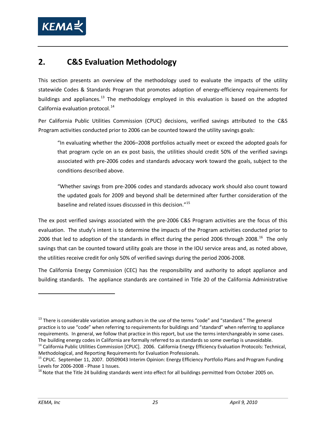

# <span id="page-38-4"></span>**2. C&S Evaluation Methodology**

This section presents an overview of the methodology used to evaluate the impacts of the utility statewide Codes & Standards Program that promotes adoption of energy-efficiency requirements for buildings and appliances.<sup>[13](#page-38-0)</sup> The methodology employed in this evaluation is based on the adopted California evaluation protocol. $^{14}$  $^{14}$  $^{14}$ 

Per California Public Utilities Commission (CPUC) decisions, verified savings attributed to the C&S Program activities conducted prior to 2006 can be counted toward the utility savings goals:

"In evaluating whether the 2006–2008 portfolios actually meet or exceed the adopted goals for that program cycle on an ex post basis, the utilities should credit 50% of the verified savings associated with pre-2006 codes and standards advocacy work toward the goals, subject to the conditions described above.

"Whether savings from pre-2006 codes and standards advocacy work should also count toward the updated goals for 2009 and beyond shall be determined after further consideration of the baseline and related issues discussed in this decision."<sup>[15](#page-38-2)</sup>

The ex post verified savings associated with the pre-2006 C&S Program activities are the focus of this evaluation. The study's intent is to determine the impacts of the Program activities conducted prior to 2006 that led to adoption of the standards in effect during the period 2006 through 2008.<sup>[16](#page-38-3)</sup> The only savings that can be counted toward utility goals are those in the IOU service areas and, as noted above, the utilities receive credit for only 50% of verified savings during the period 2006-2008.

The California Energy Commission (CEC) has the responsibility and authority to adopt appliance and building standards. The appliance standards are contained in Title 20 of the California Administrative

<span id="page-38-0"></span><sup>&</sup>lt;sup>13</sup> There is considerable variation among authors in the use of the terms "code" and "standard." The general practice is to use "code" when referring to requirements for buildings and "standard" when referring to appliance requirements. In general, we follow that practice in this report, but use the terms interchangeably in some cases. The building energy codes in California are formally referred to as standards so some overlap is unavoidable. <sup>14</sup> California Public Utilities Commission [CPUC]. 2006. California Energy Efficiency Evaluation Protocols: Technical,

<span id="page-38-1"></span>Methodological, and Reporting Requirements for Evaluation Professionals.

<span id="page-38-2"></span><sup>&</sup>lt;sup>15</sup> CPUC. September 11, 2007. D0509043 Interim Opinion: Energy Efficiency Portfolio Plans and Program Funding Levels for 2006-2008 - Phase 1 Issues.<br><sup>16</sup> Note that the Title 24 building standards went into effect for all buildings permitted from October 2005 on.

<span id="page-38-3"></span>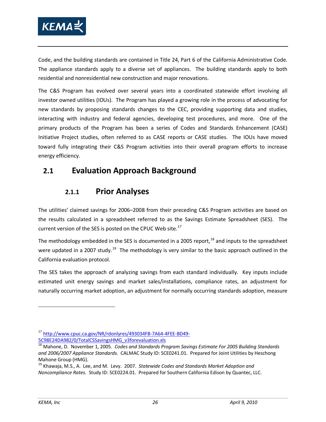

Code, and the building standards are contained in Title 24, Part 6 of the California Administrative Code. The appliance standards apply to a diverse set of appliances. The building standards apply to both residential and nonresidential new construction and major renovations.

The C&S Program has evolved over several years into a coordinated statewide effort involving all investor owned utilities (IOUs). The Program has played a growing role in the process of advocating for new standards by proposing standards changes to the CEC, providing supporting data and studies, interacting with industry and federal agencies, developing test procedures, and more. One of the primary products of the Program has been a series of Codes and Standards Enhancement (CASE) Initiative Project studies, often referred to as CASE reports or CASE studies. The IOUs have moved toward fully integrating their C&S Program activities into their overall program efforts to increase energy efficiency.

## **2.1 Evaluation Approach Background**

## **2.1.1 Prior Analyses**

The utilities' claimed savings for 2006–2008 from their preceding C&S Program activities are based on the results calculated in a spreadsheet referred to as the Savings Estimate Spreadsheet (SES). The current version of the SES is posted on the CPUC Web site*. [17](#page-39-0)*

The methodology embedded in the SES is documented in a 2005 report.<sup>[18](#page-39-1)</sup> and inputs to the spreadsheet were updated in a 2007 study.<sup>[19](#page-39-2)</sup> The methodology is very similar to the basic approach outlined in the California evaluation protocol.

The SES takes the approach of analyzing savings from each standard individually. Key inputs include estimated unit energy savings and market sales/installations, compliance rates, an adjustment for naturally occurring market adoption, an adjustment for normally occurring standards adoption, measure

<span id="page-39-0"></span><sup>17</sup> [http://www.cpuc.ca.gov/NR/rdonlyres/493034FB-7A64-4FEE-BD49-](http://www.cpuc.ca.gov/NR/rdonlyres/493034FB-7A64-4FEE-BD49-5C98E24DA982/0/TotalCSSavingsHMG_v3forevaluation.xls) [5C98E24DA982/0/TotalCSSavingsHMG\\_v3forevaluation.xls](http://www.cpuc.ca.gov/NR/rdonlyres/493034FB-7A64-4FEE-BD49-5C98E24DA982/0/TotalCSSavingsHMG_v3forevaluation.xls)

<span id="page-39-1"></span><sup>18</sup> Mahone, D. November 1, 2005. *Codes and Standards Program Savings Estimate For 2005 Building Standards and 2006/2007 Appliance Standards.* CALMAC Study ID: SCE0241.01. Prepared for Joint Utilities by Heschong Mahone Group (HMG).

<span id="page-39-2"></span><sup>19</sup> Khawaja, M.S., A. Lee, and M. Levy. 2007. *Statewide Codes and Standards Market Adoption and Noncompliance Rates.* Study ID: SCE0224.01. Prepared for Southern California Edison by Quantec, LLC.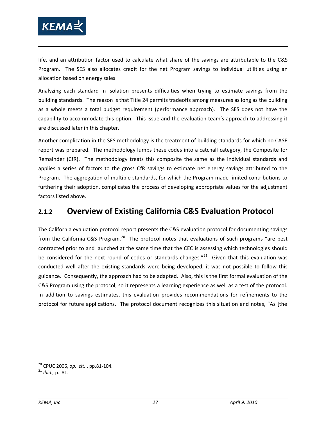

life, and an attribution factor used to calculate what share of the savings are attributable to the C&S Program. The SES also allocates credit for the net Program savings to individual utilities using an allocation based on energy sales.

Analyzing each standard in isolation presents difficulties when trying to estimate savings from the building standards. The reason is that Title 24 permits tradeoffs among measures as long as the building as a whole meets a total budget requirement (performance approach). The SES does not have the capability to accommodate this option. This issue and the evaluation team's approach to addressing it are discussed later in this chapter.

Another complication in the SES methodology is the treatment of building standards for which no CASE report was prepared. The methodology lumps these codes into a catchall category, the Composite for Remainder (CfR). The methodology treats this composite the same as the individual standards and applies a series of factors to the gross CfR savings to estimate net energy savings attributed to the Program. The aggregation of multiple standards, for which the Program made limited contributions to furthering their adoption, complicates the process of developing appropriate values for the adjustment factors listed above.

## **2.1.2 Overview of Existing California C&S Evaluation Protocol**

The California evaluation protocol report presents the C&S evaluation protocol for documenting savings from the California C&S Program.<sup>20</sup> The protocol notes that evaluations of such programs "are best contracted prior to and launched at the same time that the CEC is assessing which technologies should be considered for the next round of codes or standards changes."<sup>[21](#page-40-1)</sup> Given that this evaluation was conducted well after the existing standards were being developed, it was not possible to follow this guidance. Consequently, the approach had to be adapted. Also, this is the first formal evaluation of the C&S Program using the protocol, so it represents a learning experience as well as a test of the protocol. In addition to savings estimates, this evaluation provides recommendations for refinements to the protocol for future applications. The protocol document recognizes this situation and notes, "As [the

<span id="page-40-0"></span><sup>20</sup> CPUC 2006, *op. cit.*., pp.81-104.

<span id="page-40-1"></span><sup>21</sup> *Ibid.,* p. 81.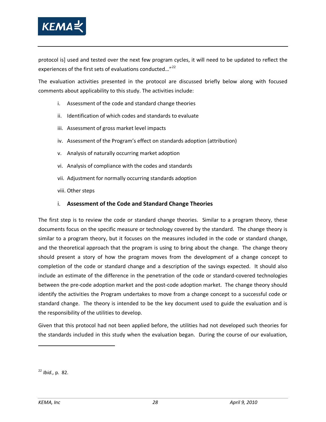

protocol is] used and tested over the next few program cycles, it will need to be updated to reflect the experiences of the first sets of evaluations conducted..."<sup>[22](#page-41-0)</sup>

The evaluation activities presented in the protocol are discussed briefly below along with focused comments about applicability to this study. The activities include:

- i. Assessment of the code and standard change theories
- ii. Identification of which codes and standards to evaluate
- iii. Assessment of gross market level impacts
- iv. Assessment of the Program's effect on standards adoption (attribution)
- v. Analysis of naturally occurring market adoption
- vi. Analysis of compliance with the codes and standards
- vii. Adjustment for normally occurring standards adoption
- viii. Other steps

## i. **Assessment of the Code and Standard Change Theories**

The first step is to review the code or standard change theories. Similar to a program theory, these documents focus on the specific measure or technology covered by the standard. The change theory is similar to a program theory, but it focuses on the measures included in the code or standard change, and the theoretical approach that the program is using to bring about the change. The change theory should present a story of how the program moves from the development of a change concept to completion of the code or standard change and a description of the savings expected. It should also include an estimate of the difference in the penetration of the code or standard-covered technologies between the pre-code adoption market and the post-code adoption market. The change theory should identify the activities the Program undertakes to move from a change concept to a successful code or standard change. The theory is intended to be the key document used to guide the evaluation and is the responsibility of the utilities to develop.

Given that this protocol had not been applied before, the utilities had not developed such theories for the standards included in this study when the evaluation began. During the course of our evaluation,

<span id="page-41-0"></span><sup>22</sup> *Ibid.,* p. 82.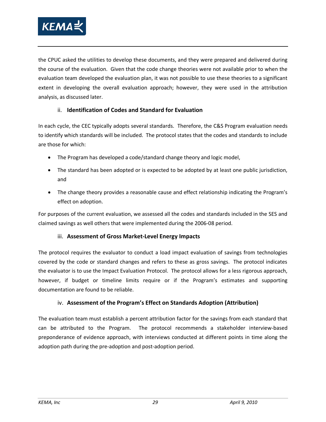

the CPUC asked the utilities to develop these documents, and they were prepared and delivered during the course of the evaluation. Given that the code change theories were not available prior to when the evaluation team developed the evaluation plan, it was not possible to use these theories to a significant extent in developing the overall evaluation approach; however, they were used in the attribution analysis, as discussed later.

## ii. **Identification of Codes and Standard for Evaluation**

In each cycle, the CEC typically adopts several standards. Therefore, the C&S Program evaluation needs to identify which standards will be included. The protocol states that the codes and standards to include are those for which:

- The Program has developed a code/standard change theory and logic model,
- The standard has been adopted or is expected to be adopted by at least one public jurisdiction, and
- The change theory provides a reasonable cause and effect relationship indicating the Program's effect on adoption.

For purposes of the current evaluation, we assessed all the codes and standards included in the SES and claimed savings as well others that were implemented during the 2006-08 period.

## iii. **Assessment of Gross Market-Level Energy Impacts**

The protocol requires the evaluator to conduct a load impact evaluation of savings from technologies covered by the code or standard changes and refers to these as gross savings. The protocol indicates the evaluator is to use the Impact Evaluation Protocol. The protocol allows for a less rigorous approach, however, if budget or timeline limits require or if the Program's estimates and supporting documentation are found to be reliable.

## iv. **Assessment of the Program's Effect on Standards Adoption (Attribution)**

The evaluation team must establish a percent attribution factor for the savings from each standard that can be attributed to the Program. The protocol recommends a stakeholder interview-based preponderance of evidence approach, with interviews conducted at different points in time along the adoption path during the pre-adoption and post-adoption period.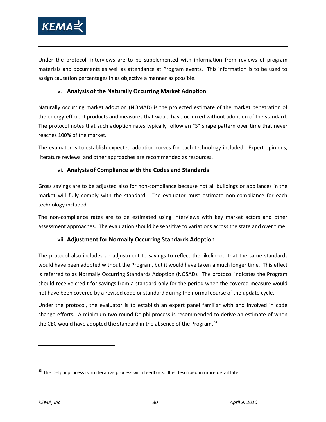

Under the protocol, interviews are to be supplemented with information from reviews of program materials and documents as well as attendance at Program events. This information is to be used to assign causation percentages in as objective a manner as possible.

## v. **Analysis of the Naturally Occurring Market Adoption**

Naturally occurring market adoption (NOMAD) is the projected estimate of the market penetration of the energy-efficient products and measures that would have occurred without adoption of the standard. The protocol notes that such adoption rates typically follow an "S" shape pattern over time that never reaches 100% of the market.

The evaluator is to establish expected adoption curves for each technology included. Expert opinions, literature reviews, and other approaches are recommended as resources.

## vi. **Analysis of Compliance with the Codes and Standards**

Gross savings are to be adjusted also for non-compliance because not all buildings or appliances in the market will fully comply with the standard. The evaluator must estimate non-compliance for each technology included.

The non-compliance rates are to be estimated using interviews with key market actors and other assessment approaches. The evaluation should be sensitive to variations across the state and over time.

## vii. **Adjustment for Normally Occurring Standards Adoption**

The protocol also includes an adjustment to savings to reflect the likelihood that the same standards would have been adopted without the Program, but it would have taken a much longer time. This effect is referred to as Normally Occurring Standards Adoption (NOSAD). The protocol indicates the Program should receive credit for savings from a standard only for the period when the covered measure would not have been covered by a revised code or standard during the normal course of the update cycle.

Under the protocol, the evaluator is to establish an expert panel familiar with and involved in code change efforts. A minimum two-round Delphi process is recommended to derive an estimate of when the CEC would have adopted the standard in the absence of the Program.<sup>[23](#page-43-0)</sup>

<span id="page-43-0"></span><sup>&</sup>lt;sup>23</sup> The Delphi process is an iterative process with feedback. It is described in more detail later.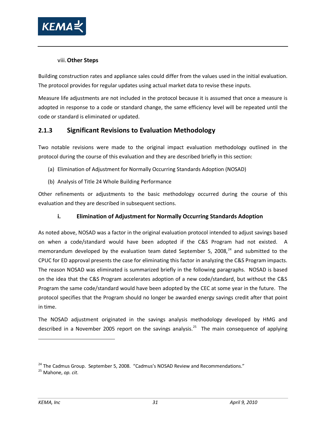

## viii.**Other Steps**

Building construction rates and appliance sales could differ from the values used in the initial evaluation. The protocol provides for regular updates using actual market data to revise these inputs.

Measure life adjustments are not included in the protocol because it is assumed that once a measure is adopted in response to a code or standard change, the same efficiency level will be repeated until the code or standard is eliminated or updated.

## <span id="page-44-2"></span>**2.1.3 Significant Revisions to Evaluation Methodology**

Two notable revisions were made to the original impact evaluation methodology outlined in the protocol during the course of this evaluation and they are described briefly in this section:

- (a) Elimination of Adjustment for Normally Occurring Standards Adoption (NOSAD)
- (b) Analysis of Title 24 Whole Building Performance

Other refinements or adjustments to the basic methodology occurred during the course of this evaluation and they are described in subsequent sections.

## **i. Elimination of Adjustment for Normally Occurring Standards Adoption**

As noted above, NOSAD was a factor in the original evaluation protocol intended to adjust savings based on when a code/standard would have been adopted if the C&S Program had not existed. A memorandum developed by the evaluation team dated September 5, 2008, $^{24}$  $^{24}$  $^{24}$  and submitted to the CPUC for ED approval presents the case for eliminating this factor in analyzing the C&S Program impacts. The reason NOSAD was eliminated is summarized briefly in the following paragraphs. NOSAD is based on the idea that the C&S Program accelerates adoption of a new code/standard, but without the C&S Program the same code/standard would have been adopted by the CEC at some year in the future. The protocol specifies that the Program should no longer be awarded energy savings credit after that point in time.

The NOSAD adjustment originated in the savings analysis methodology developed by HMG and described in a November 2005 report on the savings analysis.<sup>[25](#page-44-1)</sup> The main consequence of applying

<span id="page-44-0"></span><sup>&</sup>lt;sup>24</sup> The Cadmus Group. September 5, 2008. "Cadmus's NOSAD Review and Recommendations."

<span id="page-44-1"></span><sup>25</sup> Mahone, *op. cit*.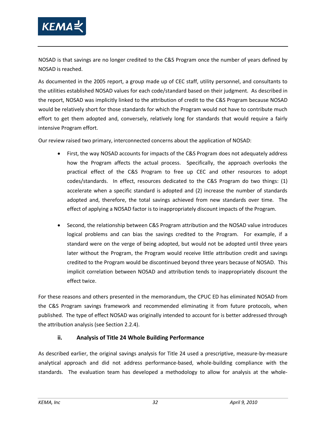

NOSAD is that savings are no longer credited to the C&S Program once the number of years defined by NOSAD is reached.

As documented in the 2005 report, a group made up of CEC staff, utility personnel, and consultants to the utilities established NOSAD values for each code/standard based on their judgment. As described in the report, NOSAD was implicitly linked to the attribution of credit to the C&S Program because NOSAD would be relatively short for those standards for which the Program would not have to contribute much effort to get them adopted and, conversely, relatively long for standards that would require a fairly intensive Program effort.

Our review raised two primary, interconnected concerns about the application of NOSAD:

- First, the way NOSAD accounts for impacts of the C&S Program does not adequately address how the Program affects the actual process. Specifically, the approach overlooks the practical effect of the C&S Program to free up CEC and other resources to adopt codes/standards. In effect, resources dedicated to the C&S Program do two things: (1) accelerate when a specific standard is adopted and (2) increase the number of standards adopted and, therefore, the total savings achieved from new standards over time. The effect of applying a NOSAD factor is to inappropriately discount impacts of the Program.
- Second, the relationship between C&S Program attribution and the NOSAD value introduces logical problems and can bias the savings credited to the Program. For example, if a standard were on the verge of being adopted, but would not be adopted until three years later without the Program, the Program would receive little attribution credit and savings credited to the Program would be discontinued beyond three years because of NOSAD. This implicit correlation between NOSAD and attribution tends to inappropriately discount the effect twice.

For these reasons and others presented in the memorandum, the CPUC ED has eliminated NOSAD from the C&S Program savings framework and recommended eliminating it from future protocols, when published. The type of effect NOSAD was originally intended to account for is better addressed through the attribution analysis (see Section [2.2.4\)](#page-85-0).

## **ii. Analysis of Title 24 Whole Building Performance**

As described earlier, the original savings analysis for Title 24 used a prescriptive, measure-by-measure analytical approach and did not address performance-based, whole-building compliance with the standards. The evaluation team has developed a methodology to allow for analysis at the whole-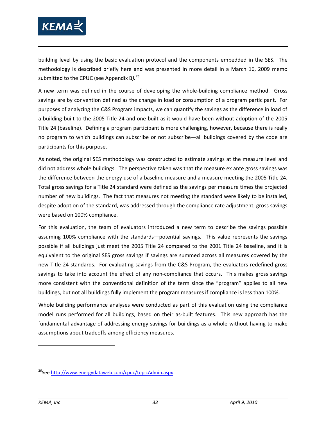

building level by using the basic evaluation protocol and the components embedded in the SES. The methodology is described briefly here and was presented in more detail in a March 16, 2009 memo submitted to the CPUC (see Appendix B*).[26](#page-46-0)*

A new term was defined in the course of developing the whole-building compliance method. Gross savings are by convention defined as the change in load or consumption of a program participant. For purposes of analyzing the C&S Program impacts, we can quantify the savings as the difference in load of a building built to the 2005 Title 24 and one built as it would have been without adoption of the 2005 Title 24 (baseline). Defining a program participant is more challenging, however, because there is really no program to which buildings can subscribe or not subscribe—all buildings covered by the code are participants for this purpose.

As noted, the original SES methodology was constructed to estimate savings at the measure level and did not address whole buildings. The perspective taken was that the measure ex ante gross savings was the difference between the energy use of a baseline measure and a measure meeting the 2005 Title 24. Total gross savings for a Title 24 standard were defined as the savings per measure times the projected number of new buildings. The fact that measures not meeting the standard were likely to be installed, despite adoption of the standard, was addressed through the compliance rate adjustment; gross savings were based on 100% compliance.

For this evaluation, the team of evaluators introduced a new term to describe the savings possible assuming 100% compliance with the standards—potential savings. This value represents the savings possible if all buildings just meet the 2005 Title 24 compared to the 2001 Title 24 baseline, and it is equivalent to the original SES gross savings if savings are summed across all measures covered by the new Title 24 standards. For evaluating savings from the C&S Program, the evaluators redefined gross savings to take into account the effect of any non-compliance that occurs. This makes gross savings more consistent with the conventional definition of the term since the "program" applies to all new buildings, but not all buildings fully implement the program measures if compliance is less than 100%.

Whole building performance analyses were conducted as part of this evaluation using the compliance model runs performed for all buildings, based on their as-built features. This new approach has the fundamental advantage of addressing energy savings for buildings as a whole without having to make assumptions about tradeoffs among efficiency measures.

<span id="page-46-0"></span><sup>&</sup>lt;sup>26</sup>Se[e http://www.energydataweb.com/cpuc/topicAdmin.aspx](http://www.energydataweb.com/cpuc/topicAdmin.aspx)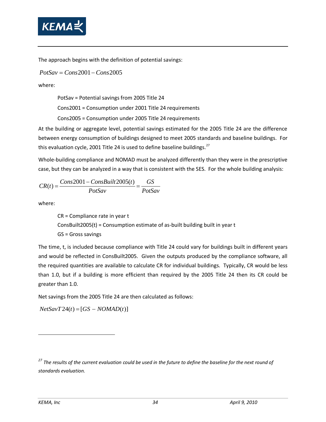

The approach begins with the definition of potential savings:

*PotSav* = *Cons*2001− *Cons*2005

where:

PotSav = Potential savings from 2005 Title 24

Cons2001 = Consumption under 2001 Title 24 requirements

Cons2005 = Consumption under 2005 Title 24 requirements

At the building or aggregate level, potential savings estimated for the 2005 Title 24 are the difference between energy consumption of buildings designed to meet 2005 standards and baseline buildings. For this evaluation cycle, 2001 Title 24 is used to define baseline buildings. $^{27}$  $^{27}$  $^{27}$ 

Whole-building compliance and NOMAD must be analyzed differently than they were in the prescriptive case, but they can be analyzed in a way that is consistent with the SES. For the whole building analysis:

$$
CR(t) = \frac{Cons2001 - ConsBuild2005(t)}{PotSav} = \frac{GS}{PotSav}
$$

where:

CR = Compliance rate in year t ConsBuilt2005(t) = Consumption estimate of as-built building built in year t GS = Gross savings

The time, t, is included because compliance with Title 24 could vary for buildings built in different years and would be reflected in ConsBuilt2005. Given the outputs produced by the compliance software, all the required quantities are available to calculate CR for individual buildings. Typically, CR would be less than 1.0, but if a building is more efficient than required by the 2005 Title 24 then its CR could be greater than 1.0.

Net savings from the 2005 Title 24 are then calculated as follows:

 $NetSavT24(t) = [GS - NOMAD(t)]$ 

<span id="page-47-0"></span>*<sup>27</sup> The results of the current evaluation could be used in the future to define the baseline for the next round of standards evaluation.*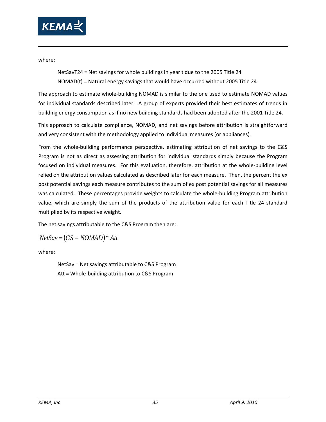

where:

NetSavT24 = Net savings for whole buildings in year t due to the 2005 Title 24 NOMAD(t) = Natural energy savings that would have occurred without 2005 Title 24

The approach to estimate whole-building NOMAD is similar to the one used to estimate NOMAD values for individual standards described later. A group of experts provided their best estimates of trends in building energy consumption as if no new building standards had been adopted after the 2001 Title 24.

This approach to calculate compliance, NOMAD, and net savings before attribution is straightforward and very consistent with the methodology applied to individual measures (or appliances).

From the whole-building performance perspective, estimating attribution of net savings to the C&S Program is not as direct as assessing attribution for individual standards simply because the Program focused on individual measures. For this evaluation, therefore, attribution at the whole-building level relied on the attribution values calculated as described later for each measure. Then, the percent the ex post potential savings each measure contributes to the sum of ex post potential savings for all measures was calculated. These percentages provide weights to calculate the whole-building Program attribution value, which are simply the sum of the products of the attribution value for each Title 24 standard multiplied by its respective weight.

The net savings attributable to the C&S Program then are:

$$
NetSav = (GS - NOMAD)*Att
$$

where:

NetSav = Net savings attributable to C&S Program Att = Whole-building attribution to C&S Program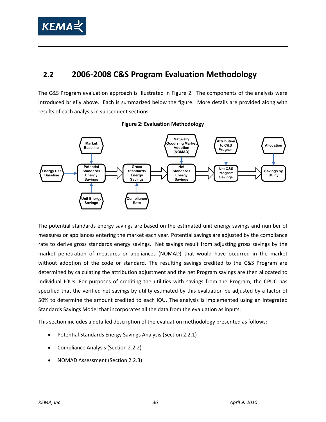

# **2.2 2006-2008 C&S Program Evaluation Methodology**

The C&S Program evaluation approach is illustrated in [Figure 2.](#page-49-0) The components of the analysis were introduced briefly above. Each is summarized below the figure. More details are provided along with results of each analysis in subsequent sections.

<span id="page-49-0"></span>

## **Figure 2: Evaluation Methodology**

The potential standards energy savings are based on the estimated unit energy savings and number of measures or appliances entering the market each year. Potential savings are adjusted by the compliance rate to derive gross standards energy savings. Net savings result from adjusting gross savings by the market penetration of measures or appliances (NOMAD) that would have occurred in the market without adoption of the code or standard. The resulting savings credited to the C&S Program are determined by calculating the attribution adjustment and the net Program savings are then allocated to individual IOUs. For purposes of crediting the utilities with savings from the Program, the CPUC has specified that the verified net savings by utility estimated by this evaluation be adjusted by a factor of 50% to determine the amount credited to each IOU. The analysis is implemented using an Integrated Standards Savings Model that incorporates all the data from the evaluation as inputs.

This section includes a detailed description of the evaluation methodology presented as follows:

- Potential Standards Energy Savings Analysis (Section [2.2.1\)](#page-50-0)
- Compliance Analysis (Section [2.2.2\)](#page-52-0)
- NOMAD Assessment (Sectio[n 2.2.3\)](#page-73-0)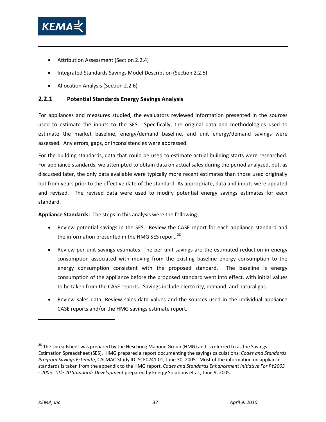

- Attribution Assessment (Section [2.2.4\)](#page-85-0)
- Integrated Standards Savings Model Description (Section [2.2.5\)](#page-93-0)
- Allocation Analysis (Sectio[n 2.2.6\)](#page-94-0)

## <span id="page-50-0"></span>**2.2.1 Potential Standards Energy Savings Analysis**

For appliances and measures studied, the evaluators reviewed information presented in the sources used to estimate the inputs to the SES. Specifically, the original data and methodologies used to estimate the market baseline, energy/demand baseline, and unit energy/demand savings were assessed. Any errors, gaps, or inconsistencies were addressed.

For the building standards, data that could be used to estimate actual building starts were researched. For appliance standards, we attempted to obtain data on actual sales during the period analyzed, but, as discussed later, the only data available were typically more recent estimates than those used originally but from years prior to the effective date of the standard. As appropriate, data and inputs were updated and revised. The revised data were used to modify potential energy savings estimates for each standard.

**Appliance Standards:** The steps in this analysis were the following:

- Review potential savings in the SES. Review the CASE report for each appliance standard and the information presented in the HMG SES report.<sup>[28](#page-50-1)</sup>
- Review per unit savings estimates: The per unit savings are the estimated reduction in energy consumption associated with moving from the existing baseline energy consumption to the energy consumption consistent with the proposed standard. The baseline is energy consumption of the appliance before the proposed standard went into effect, with initial values to be taken from the CASE reports. Savings include electricity, demand, and natural gas.
- Review sales data: Review sales data values and the sources used in the individual appliance CASE reports and/or the HMG savings estimate report.

<span id="page-50-1"></span><sup>&</sup>lt;sup>28</sup> The spreadsheet was prepared by the Heschong Mahone Group (HMG) and is referred to as the Savings Estimation Spreadsheet (SES). HMG prepared a report documenting the savings calculations: *Codes and Standards Program Savings Estimate*, CALMAC Study ID: SCE0241.01, June 30, 2005. Most of the information on appliance standards is taken from the appendix to the HMG report, *Codes and Standards Enhancement Initiative For PY2003 - 2005: Title 20 Standards Development* prepared by Energy Solutions et al., June 9, 2005.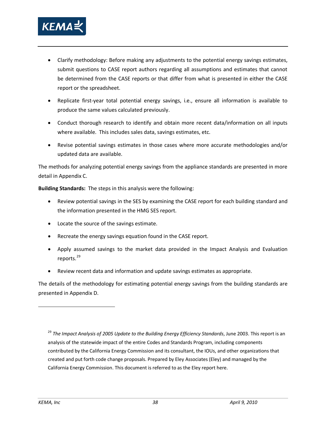

- Clarify methodology: Before making any adjustments to the potential energy savings estimates, submit questions to CASE report authors regarding all assumptions and estimates that cannot be determined from the CASE reports or that differ from what is presented in either the CASE report or the spreadsheet.
- Replicate first-year total potential energy savings, i.e., ensure all information is available to produce the same values calculated previously.
- Conduct thorough research to identify and obtain more recent data/information on all inputs where available. This includes sales data, savings estimates, etc.
- Revise potential savings estimates in those cases where more accurate methodologies and/or updated data are available.

The methods for analyzing potential energy savings from the appliance standards are presented in more detail in Appendix C.

**Building Standards:** The steps in this analysis were the following:

- Review potential savings in the SES by examining the CASE report for each building standard and the information presented in the HMG SES report.
- Locate the source of the savings estimate.
- Recreate the energy savings equation found in the CASE report.
- Apply assumed savings to the market data provided in the Impact Analysis and Evaluation reports.<sup>[29](#page-51-0)</sup>
- Review recent data and information and update savings estimates as appropriate.

The details of the methodology for estimating potential energy savings from the building standards are presented in Appendix D.

<span id="page-51-0"></span><sup>29</sup> The Impact Analysis of 2005 Update to the Building Energy Efficiency Standards, June 2003. This report is an analysis of the statewide impact of the entire Codes and Standards Program, including components contributed by the California Energy Commission and its consultant, the IOUs, and other organizations that created and put forth code change proposals. Prepared by Eley Associates (Eley) and managed by the California Energy Commission. This document is referred to as the Eley report here.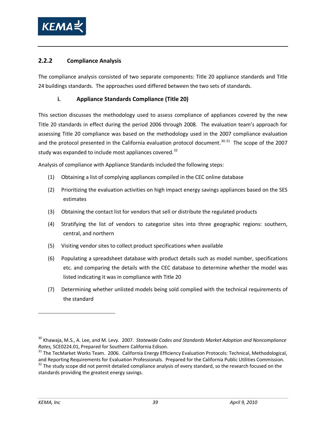

## <span id="page-52-0"></span>**2.2.2 Compliance Analysis**

The compliance analysis consisted of two separate components: Title 20 appliance standards and Title 24 buildings standards. The approaches used differed between the two sets of standards.

## **i. Appliance Standards Compliance (Title 20)**

This section discusses the methodology used to assess compliance of appliances covered by the new Title 20 standards in effect during the period 2006 through 2008. The evaluation team's approach for assessing Title 20 compliance was based on the methodology used in the 2007 compliance evaluation and the protocol presented in the California evaluation protocol document.<sup>[30.](#page-52-1)[31](#page-52-2)</sup> The scope of the 2007 study was expanded to include most appliances covered.<sup>[32](#page-52-3)</sup>

Analysis of compliance with Appliance Standards included the following steps:

- (1) Obtaining a list of complying appliances compiled in the CEC online database
- (2) Prioritizing the evaluation activities on high impact energy savings appliances based on the SES estimates
- (3) Obtaining the contact list for vendors that sell or distribute the regulated products
- (4) Stratifying the list of vendors to categorize sites into three geographic regions: southern, central, and northern
- (5) Visiting vendor sites to collect product specifications when available
- (6) Populating a spreadsheet database with product details such as model number, specifications etc. and comparing the details with the CEC database to determine whether the model was listed indicating it was in compliance with Title 20
- (7) Determining whether unlisted models being sold complied with the technical requirements of the standard

<span id="page-52-1"></span><sup>&</sup>lt;sup>30</sup> Khawaja, M.S., A. Lee, and M. Levy. 2007. Statewide Codes and Standards Market Adoption and Noncompliance *Rates,* SCE0224.01, Prepared for Southern California Edison.

<span id="page-52-2"></span><sup>&</sup>lt;sup>31</sup> The TecMarket Works Team. 2006. California Energy Efficiency Evaluation Protocols: Technical, Methodological, and Reporting Requirements for Evaluation Professionals. Prepared for the California Public Utilities Commission.<br><sup>32</sup> The study scope did not permit detailed compliance analysis of every standard, so the research focused

<span id="page-52-3"></span>standards providing the greatest energy savings.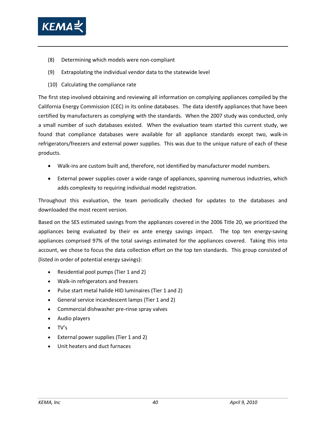

- (8) Determining which models were non-compliant
- (9) Extrapolating the individual vendor data to the statewide level
- (10) Calculating the compliance rate

The first step involved obtaining and reviewing all information on complying appliances compiled by the California Energy Commission (CEC) in its online databases. The data identify appliances that have been certified by manufacturers as complying with the standards. When the 2007 study was conducted, only a small number of such databases existed. When the evaluation team started this current study, we found that compliance databases were available for all appliance standards except two, walk-in refrigerators/freezers and external power supplies. This was due to the unique nature of each of these products.

- Walk-ins are custom built and, therefore, not identified by manufacturer model numbers.
- External power supplies cover a wide range of appliances, spanning numerous industries, which adds complexity to requiring individual model registration.

Throughout this evaluation, the team periodically checked for updates to the databases and downloaded the most recent version.

Based on the SES estimated savings from the appliances covered in the 2006 Title 20, we prioritized the appliances being evaluated by their ex ante energy savings impact. The top ten energy-saving appliances comprised 97% of the total savings estimated for the appliances covered. Taking this into account, we chose to focus the data collection effort on the top ten standards. This group consisted of (listed in order of potential energy savings):

- Residential pool pumps (Tier 1 and 2)
- Walk-in refrigerators and freezers
- Pulse start metal halide HID luminaires (Tier 1 and 2)
- General service incandescent lamps (Tier 1 and 2)
- Commercial dishwasher pre-rinse spray valves
- Audio players
- TV's
- External power supplies (Tier 1 and 2)
- Unit heaters and duct furnaces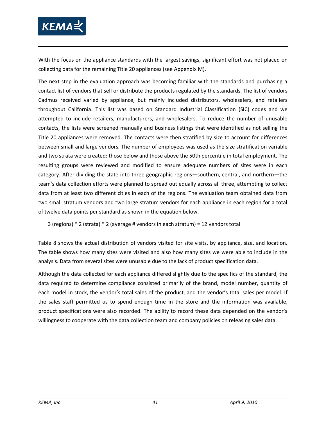

With the focus on the appliance standards with the largest savings, significant effort was not placed on collecting data for the remaining Title 20 appliances (see Appendix M).

The next step in the evaluation approach was becoming familiar with the standards and purchasing a contact list of vendors that sell or distribute the products regulated by the standards. The list of vendors Cadmus received varied by appliance, but mainly included distributors, wholesalers, and retailers throughout California. This list was based on Standard Industrial Classification (SIC) codes and we attempted to include retailers, manufacturers, and wholesalers. To reduce the number of unusable contacts, the lists were screened manually and business listings that were identified as not selling the Title 20 appliances were removed. The contacts were then stratified by size to account for differences between small and large vendors. The number of employees was used as the size stratification variable and two strata were created: those below and those above the 50th percentile in total employment. The resulting groups were reviewed and modified to ensure adequate numbers of sites were in each category. After dividing the state into three geographic regions—southern, central, and northern—the team's data collection efforts were planned to spread out equally across all three, attempting to collect data from at least two different cities in each of the regions. The evaluation team obtained data from two small stratum vendors and two large stratum vendors for each appliance in each region for a total of twelve data points per standard as shown in the equation below.

3 (regions) \* 2 (strata) \* 2 (average # vendors in each stratum) = 12 vendors total

[Table 8](#page-55-0) shows the actual distribution of vendors visited for site visits, by appliance, size, and location. The table shows how many sites were visited and also how many sites we were able to include in the analysis. Data from several sites were unusable due to the lack of product specification data.

Although the data collected for each appliance differed slightly due to the specifics of the standard, the data required to determine compliance consisted primarily of the brand, model number, quantity of each model in stock, the vendor's total sales of the product, and the vendor's total sales per model. If the sales staff permitted us to spend enough time in the store and the information was available, product specifications were also recorded. The ability to record these data depended on the vendor's willingness to cooperate with the data collection team and company policies on releasing sales data.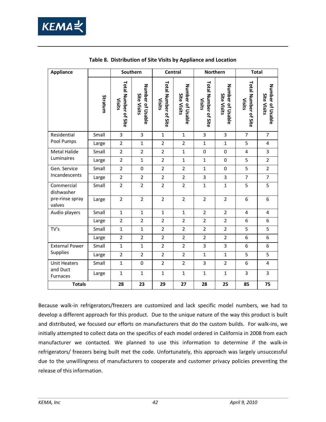

<span id="page-55-0"></span>

| <b>Appliance</b>                         |         | Southern                              |                                        |                                       | Central                                |                                       | Northern                               | <b>Total</b>                          |                                        |
|------------------------------------------|---------|---------------------------------------|----------------------------------------|---------------------------------------|----------------------------------------|---------------------------------------|----------------------------------------|---------------------------------------|----------------------------------------|
|                                          | Stratum | Total Number of Site<br><b>Visits</b> | Number of Usable<br><b>Site Visits</b> | Total Number of Site<br><b>Visits</b> | Number of Usable<br><b>Site Visits</b> | Total Number of Site<br><b>Visits</b> | Number of Usable<br><b>Site Visits</b> | Total Number of Site<br><b>Visits</b> | Number of Usable<br><b>Site Visits</b> |
| Residential                              | Small   | 3                                     | $\overline{3}$                         | $\mathbf{1}$                          | $\mathbf{1}$                           | 3                                     | 3                                      | $\overline{7}$                        | $\overline{7}$                         |
| Pool Pumps                               | Large   | $\overline{2}$                        | $\mathbf{1}$                           | $\overline{2}$                        | $\overline{2}$                         | $\mathbf{1}$                          | $\mathbf{1}$                           | 5                                     | 4                                      |
| <b>Metal Halide</b>                      | Small   | $\overline{2}$                        | $\overline{2}$                         | $\overline{2}$                        | $\mathbf 1$                            | $\mathbf 0$                           | $\mathbf 0$                            | 4                                     | 3                                      |
| Luminaires                               | Large   | $\overline{2}$                        | $\mathbf{1}$                           | $\overline{2}$                        | $\mathbf 1$                            | $\mathbf{1}$                          | $\mathbf 0$                            | 5                                     | $\overline{2}$                         |
| Gen. Service                             | Small   | $\overline{2}$                        | $\pmb{0}$                              | $\overline{2}$                        | $\overline{2}$                         | $\mathbf{1}$                          | $\mathbf 0$                            | 5                                     | $\overline{2}$                         |
| Incandescents                            | Large   | $\overline{2}$                        | $\overline{2}$                         | $\overline{2}$                        | $\overline{2}$                         | 3                                     | 3                                      | $\overline{7}$                        | $\overline{7}$                         |
| Commercial<br>dishwasher                 | Small   | $\overline{2}$                        | $\overline{2}$                         | $\overline{2}$                        | $\overline{2}$                         | $\mathbf{1}$                          | $\mathbf{1}$                           | 5                                     | 5                                      |
| pre-rinse spray<br>valves                | Large   | $\overline{2}$                        | $\overline{2}$                         | $\overline{2}$                        | $\overline{2}$                         | $\overline{2}$                        | $\overline{2}$                         | 6                                     | 6                                      |
| Audio players                            | Small   | $\mathbf{1}$                          | $\mathbf{1}$                           | $\mathbf{1}$                          | $\mathbf{1}$                           | $\overline{2}$                        | $\overline{2}$                         | $\overline{4}$                        | 4                                      |
|                                          | Large   | $\overline{2}$                        | $\overline{2}$                         | $\overline{2}$                        | $\overline{2}$                         | $\overline{2}$                        | $\overline{2}$                         | 6                                     | 6                                      |
| TV's                                     | Small   | $\mathbf{1}$                          | $\mathbf{1}$                           | $\overline{2}$                        | $\overline{2}$                         | $\overline{2}$                        | $\overline{2}$                         | 5                                     | 5                                      |
|                                          | Large   | $\overline{2}$                        | $\overline{2}$                         | $\overline{2}$                        | $\overline{2}$                         | $\overline{2}$                        | $\overline{2}$                         | 6                                     | 6                                      |
| <b>External Power</b><br><b>Supplies</b> | Small   | $\mathbf{1}$                          | $\mathbf{1}$                           | $\overline{2}$                        | $\overline{2}$                         | 3                                     | 3                                      | 6                                     | 6                                      |
|                                          | Large   | $\overline{2}$                        | $\overline{2}$                         | $\overline{2}$                        | $\overline{2}$                         | $\mathbf{1}$                          | $\mathbf{1}$                           | 5                                     | 5                                      |
| <b>Unit Heaters</b><br>and Duct          | Small   | $\mathbf{1}$                          | $\mathbf 0$                            | $\overline{2}$                        | $\overline{2}$                         | 3                                     | $\overline{2}$                         | 6                                     | 4                                      |
| Furnaces                                 | Large   | $\mathbf{1}$                          | $\mathbf{1}$                           | $\mathbf{1}$                          | $\mathbf{1}$                           | $\mathbf{1}$                          | $\mathbf{1}$                           | 3                                     | $\overline{3}$                         |
| <b>Totals</b>                            |         | 28                                    | 23                                     | 29                                    | 27                                     | 28                                    | 25                                     | 85                                    | 75                                     |

**Table 8. Distribution of Site Visits by Appliance and Location**

Because walk-in refrigerators/freezers are customized and lack specific model numbers, we had to develop a different approach for this product. Due to the unique nature of the way this product is built and distributed, we focused our efforts on manufacturers that do the custom builds. For walk-ins, we initially attempted to collect data on the specifics of each model ordered in California in 2008 from each manufacturer we contacted. We planned to use this information to determine if the walk-in refrigerators/ freezers being built met the code. Unfortunately, this approach was largely unsuccessful due to the unwillingness of manufacturers to cooperate and customer privacy policies preventing the release of this information.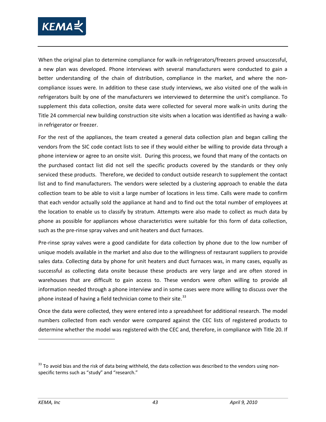

When the original plan to determine compliance for walk-in refrigerators/freezers proved unsuccessful, a new plan was developed. Phone interviews with several manufacturers were conducted to gain a better understanding of the chain of distribution, compliance in the market, and where the noncompliance issues were. In addition to these case study interviews, we also visited one of the walk-in refrigerators built by one of the manufacturers we interviewed to determine the unit's compliance. To supplement this data collection, onsite data were collected for several more walk-in units during the Title 24 commercial new building construction site visits when a location was identified as having a walkin refrigerator or freezer.

For the rest of the appliances, the team created a general data collection plan and began calling the vendors from the SIC code contact lists to see if they would either be willing to provide data through a phone interview or agree to an onsite visit. During this process, we found that many of the contacts on the purchased contact list did not sell the specific products covered by the standards or they only serviced these products. Therefore, we decided to conduct outside research to supplement the contact list and to find manufacturers. The vendors were selected by a clustering approach to enable the data collection team to be able to visit a large number of locations in less time. Calls were made to confirm that each vendor actually sold the appliance at hand and to find out the total number of employees at the location to enable us to classify by stratum. Attempts were also made to collect as much data by phone as possible for appliances whose characteristics were suitable for this form of data collection, such as the pre-rinse spray valves and unit heaters and duct furnaces.

Pre-rinse spray valves were a good candidate for data collection by phone due to the low number of unique models available in the market and also due to the willingness of restaurant suppliers to provide sales data. Collecting data by phone for unit heaters and duct furnaces was, in many cases, equally as successful as collecting data onsite because these products are very large and are often stored in warehouses that are difficult to gain access to. These vendors were often willing to provide all information needed through a phone interview and in some cases were more willing to discuss over the phone instead of having a field technician come to their site. $33$ 

Once the data were collected, they were entered into a spreadsheet for additional research. The model numbers collected from each vendor were compared against the CEC lists of registered products to determine whether the model was registered with the CEC and, therefore, in compliance with Title 20. If

<span id="page-56-0"></span> $33$  To avoid bias and the risk of data being withheld, the data collection was described to the vendors using nonspecific terms such as "study" and "research."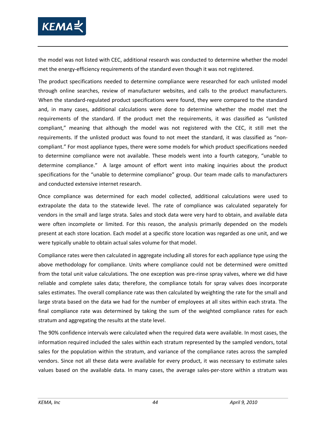

the model was not listed with CEC, additional research was conducted to determine whether the model met the energy-efficiency requirements of the standard even though it was not registered.

The product specifications needed to determine compliance were researched for each unlisted model through online searches, review of manufacturer websites, and calls to the product manufacturers. When the standard-regulated product specifications were found, they were compared to the standard and, in many cases, additional calculations were done to determine whether the model met the requirements of the standard. If the product met the requirements, it was classified as "unlisted compliant," meaning that although the model was not registered with the CEC, it still met the requirements. If the unlisted product was found to not meet the standard, it was classified as "noncompliant." For most appliance types, there were some models for which product specifications needed to determine compliance were not available. These models went into a fourth category, "unable to determine compliance." A large amount of effort went into making inquiries about the product specifications for the "unable to determine compliance" group. Our team made calls to manufacturers and conducted extensive internet research.

Once compliance was determined for each model collected, additional calculations were used to extrapolate the data to the statewide level. The rate of compliance was calculated separately for vendors in the small and large strata. Sales and stock data were very hard to obtain, and available data were often incomplete or limited. For this reason, the analysis primarily depended on the models present at each store location. Each model at a specific store location was regarded as one unit, and we were typically unable to obtain actual sales volume for that model.

Compliance rates were then calculated in aggregate including all stores for each appliance type using the above methodology for compliance. Units where compliance could not be determined were omitted from the total unit value calculations. The one exception was pre-rinse spray valves, where we did have reliable and complete sales data; therefore, the compliance totals for spray valves does incorporate sales estimates. The overall compliance rate was then calculated by weighting the rate for the small and large strata based on the data we had for the number of employees at all sites within each strata. The final compliance rate was determined by taking the sum of the weighted compliance rates for each stratum and aggregating the results at the state level.

The 90% confidence intervals were calculated when the required data were available. In most cases, the information required included the sales within each stratum represented by the sampled vendors, total sales for the population within the stratum, and variance of the compliance rates across the sampled vendors. Since not all these data were available for every product, it was necessary to estimate sales values based on the available data. In many cases, the average sales-per-store within a stratum was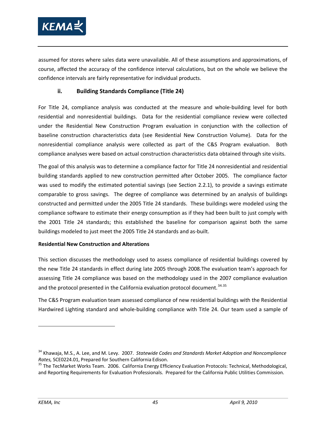

assumed for stores where sales data were unavailable. All of these assumptions and approximations, of course, affected the accuracy of the confidence interval calculations, but on the whole we believe the confidence intervals are fairly representative for individual products.

## **ii. Building Standards Compliance (Title 24)**

For Title 24, compliance analysis was conducted at the measure and whole-building level for both residential and nonresidential buildings. Data for the residential compliance review were collected under the Residential New Construction Program evaluation in conjunction with the collection of baseline construction characteristics data (see Residential New Construction Volume). Data for the nonresidential compliance analysis were collected as part of the C&S Program evaluation. Both compliance analyses were based on actual construction characteristics data obtained through site visits.

The goal of this analysis was to determine a compliance factor for Title 24 nonresidential and residential building standards applied to new construction permitted after October 2005. The compliance factor was used to modify the estimated potential savings (see Section [2.2.1\)](#page-50-0), to provide a savings estimate comparable to gross savings. The degree of compliance was determined by an analysis of buildings constructed and permitted under the 2005 Title 24 standards. These buildings were modeled using the compliance software to estimate their energy consumption as if they had been built to just comply with the 2001 Title 24 standards; this established the baseline for comparison against both the same buildings modeled to just meet the 2005 Title 24 standards and as-built.

### **Residential New Construction and Alterations**

This section discusses the methodology used to assess compliance of residential buildings covered by the new Title 24 standards in effect during late 2005 through 2008.The evaluation team's approach for assessing Title 24 compliance was based on the methodology used in the 2007 compliance evaluation and the protocol presented in the California evaluation protocol document.<sup>[34.](#page-58-0)[35](#page-58-1)</sup>

The C&S Program evaluation team assessed compliance of new residential buildings with the Residential Hardwired Lighting standard and whole-building compliance with Title 24. Our team used a sample of

<span id="page-58-0"></span><sup>34</sup> Khawaja, M.S., A. Lee, and M. Levy. 2007. *Statewide Codes and Standards Market Adoption and Noncompliance Rates,* SCE0224.01, Prepared for Southern California Edison.

<span id="page-58-1"></span><sup>&</sup>lt;sup>35</sup> The TecMarket Works Team. 2006. California Energy Efficiency Evaluation Protocols: Technical, Methodological, and Reporting Requirements for Evaluation Professionals. Prepared for the California Public Utilities Commission.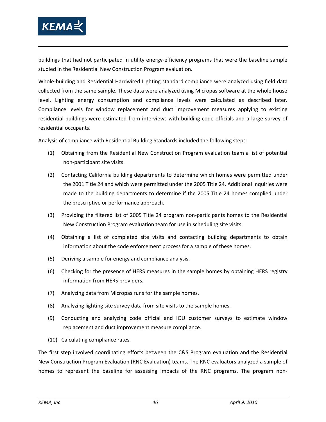

buildings that had not participated in utility energy-efficiency programs that were the baseline sample studied in the Residential New Construction Program evaluation.

Whole-building and Residential Hardwired Lighting standard compliance were analyzed using field data collected from the same sample. These data were analyzed using Micropas software at the whole house level. Lighting energy consumption and compliance levels were calculated as described later. Compliance levels for window replacement and duct improvement measures applying to existing residential buildings were estimated from interviews with building code officials and a large survey of residential occupants.

Analysis of compliance with Residential Building Standards included the following steps:

- (1) Obtaining from the Residential New Construction Program evaluation team a list of potential non-participant site visits.
- (2) Contacting California building departments to determine which homes were permitted under the 2001 Title 24 and which were permitted under the 2005 Title 24. Additional inquiries were made to the building departments to determine if the 2005 Title 24 homes complied under the prescriptive or performance approach.
- (3) Providing the filtered list of 2005 Title 24 program non-participants homes to the Residential New Construction Program evaluation team for use in scheduling site visits.
- (4) Obtaining a list of completed site visits and contacting building departments to obtain information about the code enforcement process for a sample of these homes.
- (5) Deriving a sample for energy and compliance analysis.
- (6) Checking for the presence of HERS measures in the sample homes by obtaining HERS registry information from HERS providers.
- (7) Analyzing data from Micropas runs for the sample homes.
- (8) Analyzing lighting site survey data from site visits to the sample homes.
- (9) Conducting and analyzing code official and IOU customer surveys to estimate window replacement and duct improvement measure compliance.
- (10) Calculating compliance rates.

The first step involved coordinating efforts between the C&S Program evaluation and the Residential New Construction Program Evaluation (RNC Evaluation) teams. The RNC evaluators analyzed a sample of homes to represent the baseline for assessing impacts of the RNC programs. The program non-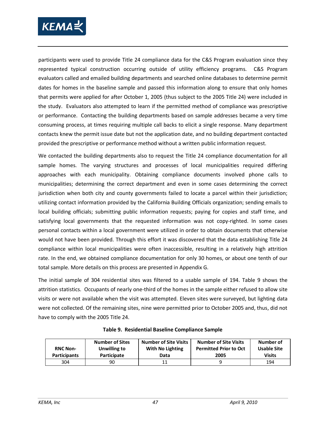

participants were used to provide Title 24 compliance data for the C&S Program evaluation since they represented typical construction occurring outside of utility efficiency programs. C&S Program evaluators called and emailed building departments and searched online databases to determine permit dates for homes in the baseline sample and passed this information along to ensure that only homes that permits were applied for after October 1, 2005 (thus subject to the 2005 Title 24) were included in the study. Evaluators also attempted to learn if the permitted method of compliance was prescriptive or performance. Contacting the building departments based on sample addresses became a very time consuming process, at times requiring multiple call backs to elicit a single response. Many department contacts knew the permit issue date but not the application date, and no building department contacted provided the prescriptive or performance method without a written public information request.

We contacted the building departments also to request the Title 24 compliance documentation for all sample homes. The varying structures and processes of local municipalities required differing approaches with each municipality. Obtaining compliance documents involved phone calls to municipalities; determining the correct department and even in some cases determining the correct jurisdiction when both city and county governments failed to locate a parcel within their jurisdiction; utilizing contact information provided by the California Building Officials organization; sending emails to local building officials; submitting public information requests; paying for copies and staff time, and satisfying local governments that the requested information was not copy-righted. In some cases personal contacts within a local government were utilized in order to obtain documents that otherwise would not have been provided. Through this effort it was discovered that the data establishing Title 24 compliance within local municipalities were often inaccessible, resulting in a relatively high attrition rate. In the end, we obtained compliance documentation for only 30 homes, or about one tenth of our total sample. More details on this process are presented in Appendix G.

The initial sample of 304 residential sites was filtered to a usable sample of 194. [Table 9](#page-60-0) shows the attrition statistics. Occupants of nearly one-third of the homes in the sample either refused to allow site visits or were not available when the visit was attempted. Eleven sites were surveyed, but lighting data were not collected. Of the remaining sites, nine were permitted prior to October 2005 and, thus, did not have to comply with the 2005 Title 24.

<span id="page-60-0"></span>

| <b>RNC Non-</b><br><b>Participants</b> | <b>Number of Sites</b><br>Unwilling to<br>Participate | <b>Number of Site Visits</b><br>With No Lighting<br>Data | <b>Number of Site Visits</b><br><b>Permitted Prior to Oct</b><br>2005 | Number of<br>Usable Site<br><b>Visits</b> |
|----------------------------------------|-------------------------------------------------------|----------------------------------------------------------|-----------------------------------------------------------------------|-------------------------------------------|
| 304                                    | 90                                                    | 11                                                       |                                                                       | 194                                       |

**Table 9. Residential Baseline Compliance Sample**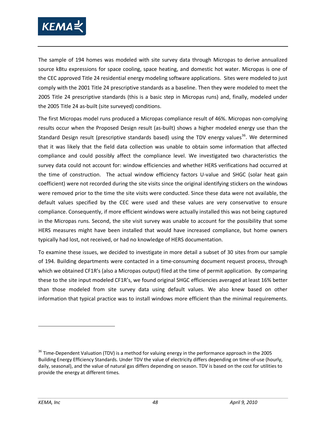

The sample of 194 homes was modeled with site survey data through Micropas to derive annualized source kBtu expressions for space cooling, space heating, and domestic hot water. Micropas is one of the CEC approved Title 24 residential energy modeling software applications. Sites were modeled to just comply with the 2001 Title 24 prescriptive standards as a baseline. Then they were modeled to meet the 2005 Title 24 prescriptive standards (this is a basic step in Micropas runs) and, finally, modeled under the 2005 Title 24 as-built (site surveyed) conditions.

The first Micropas model runs produced a Micropas compliance result of 46%. Micropas non-complying results occur when the Proposed Design result (as-built) shows a higher modeled energy use than the Standard Design result (prescriptive standards based) using the TDV energy values<sup>[36](#page-61-0)</sup>. We determined that it was likely that the field data collection was unable to obtain some information that affected compliance and could possibly affect the compliance level. We investigated two characteristics the survey data could not account for: window efficiencies and whether HERS verifications had occurred at the time of construction. The actual window efficiency factors U-value and SHGC (solar heat gain coefficient) were not recorded during the site visits since the original identifying stickers on the windows were removed prior to the time the site visits were conducted. Since these data were not available, the default values specified by the CEC were used and these values are very conservative to ensure compliance. Consequently, if more efficient windows were actually installed this was not being captured in the Micropas runs. Second, the site visit survey was unable to account for the possibility that some HERS measures might have been installed that would have increased compliance, but home owners typically had lost, not received, or had no knowledge of HERS documentation.

To examine these issues, we decided to investigate in more detail a subset of 30 sites from our sample of 194. Building departments were contacted in a time-consuming document request process, through which we obtained CF1R's (also a Micropas output) filed at the time of permit application. By comparing these to the site input modeled CF1R's, we found original SHGC efficiencies averaged at least 16% better than those modeled from site survey data using default values. We also knew based on other information that typical practice was to install windows more efficient than the minimal requirements.

<span id="page-61-0"></span><sup>&</sup>lt;sup>36</sup> Time-Dependent Valuation (TDV) is a method for valuing energy in the performance approach in the 2005 Building Energy Efficiency Standards. Under TDV the value of electricity differs depending on time-of-use (hourly, daily, seasonal), and the value of natural gas differs depending on season. TDV is based on the cost for utilities to provide the energy at different times.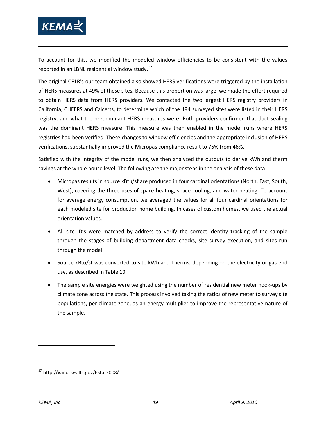

To account for this, we modified the modeled window efficiencies to be consistent with the values reported in an LBNL residential window study. $37$ 

The original CF1R's our team obtained also showed HERS verifications were triggered by the installation of HERS measures at 49% of these sites. Because this proportion was large, we made the effort required to obtain HERS data from HERS providers. We contacted the two largest HERS registry providers in California, CHEERS and Calcerts, to determine which of the 194 surveyed sites were listed in their HERS registry, and what the predominant HERS measures were. Both providers confirmed that duct sealing was the dominant HERS measure. This measure was then enabled in the model runs where HERS registries had been verified. These changes to window efficiencies and the appropriate inclusion of HERS verifications, substantially improved the Micropas compliance result to 75% from 46%.

Satisfied with the integrity of the model runs, we then analyzed the outputs to derive kWh and therm savings at the whole house level. The following are the major steps in the analysis of these data:

- Micropas results in source kBtu/sf are produced in four cardinal orientations (North, East, South, West), covering the three uses of space heating, space cooling, and water heating. To account for average energy consumption, we averaged the values for all four cardinal orientations for each modeled site for production home building. In cases of custom homes, we used the actual orientation values.
- All site ID's were matched by address to verify the correct identity tracking of the sample through the stages of building department data checks, site survey execution, and sites run through the model.
- Source kBtu/sf was converted to site kWh and Therms, depending on the electricity or gas end use, as described i[n Table 10.](#page-63-0)
- The sample site energies were weighted using the number of residential new meter hook-ups by climate zone across the state. This process involved taking the ratios of new meter to survey site populations, per climate zone, as an energy multiplier to improve the representative nature of the sample.

<span id="page-62-0"></span><sup>37</sup> http://windows.lbl.gov/EStar2008/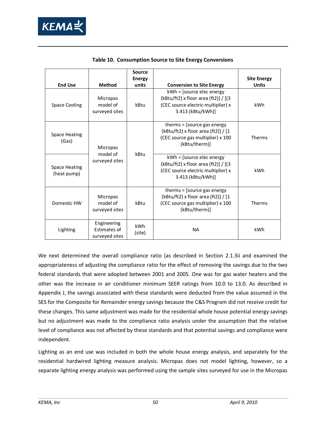

<span id="page-63-0"></span>

| <b>End Use</b>                                            | <b>Method</b>                                 | <b>Source</b><br><b>Energy</b><br>units | <b>Conversion to Site Energy</b>                                                                                             | <b>Site Energy</b><br><b>Units</b> |
|-----------------------------------------------------------|-----------------------------------------------|-----------------------------------------|------------------------------------------------------------------------------------------------------------------------------|------------------------------------|
| <b>Space Cooling</b>                                      | <b>Micropas</b><br>model of<br>surveyed sites | kBtu                                    | kWh = [source elec energy<br>(kBtu/ft2) x floor area (ft2)] / [(3<br>(CEC source electric multiplier) x<br>3.413 (kBtu/kWh)] | kWh                                |
| <b>Space Heating</b><br>(Gas)                             | <b>Micropas</b>                               |                                         | therms = [source gas energy<br>(kBtu/ft2) x floor area (ft2)] / [1<br>(CEC source gas multiplier) x 100<br>(kBtu/therm)]     | Therms                             |
| <b>Space Heating</b><br>(heat pump)                       | model of<br>surveyed sites                    | kBtu                                    | kWh = [source elec energy<br>(kBtu/ft2) x floor area (ft2)] / [(3<br>(CEC source electric multiplier) x<br>3.413 (kBtu/kWh)] | kWh                                |
| Domestic HW                                               | Micropas<br>model of<br>surveyed sites        | kBtu                                    | therms $=$ [source gas energy<br>(kBtu/ft2) x floor area (ft2)] / [1<br>(CEC source gas multiplier) x 100<br>(kBtu/therm)]   | <b>Therms</b>                      |
| Engineering<br>Estimates of<br>Lighting<br>surveyed sites |                                               | kWh<br>(site)                           | <b>NA</b>                                                                                                                    | kWh                                |

**Table 10. Consumption Source to Site Energy Conversions**

We next determined the overall compliance ratio (as described in Section [2.1.3ii](#page-44-2) and examined the appropriateness of adjusting the compliance ratio for the effect of removing the savings due to the two federal standards that were adopted between 2001 and 2005. One was for gas water heaters and the other was the increase in air conditioner minimum SEER ratings from 10.0 to 13.0. As described in Appendix J, the savings associated with these standards were deducted from the value assumed in the SES for the Composite for Remainder energy savings because the C&S Program did not receive credit for these changes. This same adjustment was made for the residential whole house potential energy savings but no adjustment was made to the compliance ratio analysis under the assumption that the relative level of compliance was not affected by these standards and that potential savings and compliance were independent.

Lighting as an end use was included in both the whole house energy analysis, and separately for the residential hardwired lighting measure analysis. Micropas does not model lighting, however, so a separate lighting energy analysis was performed using the sample sites surveyed for use in the Micropas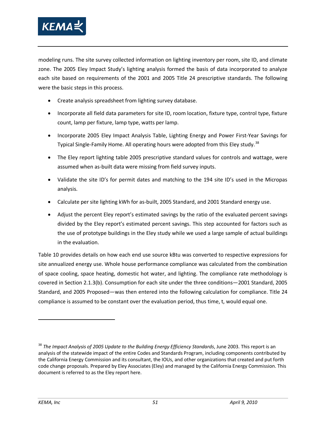

modeling runs. The site survey collected information on lighting inventory per room, site ID, and climate zone. The 2005 Eley Impact Study's lighting analysis formed the basis of data incorporated to analyze each site based on requirements of the 2001 and 2005 Title 24 prescriptive standards. The following were the basic steps in this process.

- Create analysis spreadsheet from lighting survey database.
- Incorporate all field data parameters for site ID, room location, fixture type, control type, fixture count, lamp per fixture, lamp type, watts per lamp.
- Incorporate 2005 Eley Impact Analysis Table, Lighting Energy and Power First-Year Savings for Typical Single-Family Home. All operating hours were adopted from this Eley study.<sup>[38](#page-64-0)</sup>
- The Eley report lighting table 2005 prescriptive standard values for controls and wattage, were assumed when as-built data were missing from field survey inputs.
- Validate the site ID's for permit dates and matching to the 194 site ID's used in the Micropas analysis.
- Calculate per site lighting kWh for as-built, 2005 Standard, and 2001 Standard energy use.
- Adjust the percent Eley report's estimated savings by the ratio of the evaluated percent savings divided by the Eley report's estimated percent savings. This step accounted for factors such as the use of prototype buildings in the Eley study while we used a large sample of actual buildings in the evaluation.

[Table 10](#page-63-0) provides details on how each end use source kBtu was converted to respective expressions for site annualized energy use. Whole house performance compliance was calculated from the combination of space cooling, space heating, domestic hot water, and lighting. The compliance rate methodology is covered in Section [2.1.3\(b\).](#page-44-2) Consumption for each site under the three conditions—2001 Standard, 2005 Standard, and 2005 Proposed—was then entered into the following calculation for compliance. Title 24 compliance is assumed to be constant over the evaluation period, thus time, t, would equal one.

<span id="page-64-0"></span><sup>38</sup> *The Impact Analysis of 2005 Update to the Building Energy Efficiency Standards*, June 2003. This report is an analysis of the statewide impact of the entire Codes and Standards Program, including components contributed by the California Energy Commission and its consultant, the IOUs, and other organizations that created and put forth code change proposals. Prepared by Eley Associates (Eley) and managed by the California Energy Commission. This document is referred to as the Eley report here.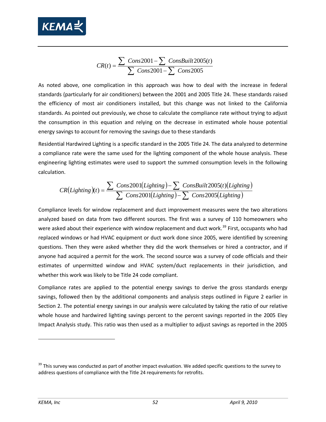

$$
CR(t) = \frac{\sum \text{Cons2001} - \sum \text{ConsBuit2005}(t)}{\sum \text{Cons2001} - \sum \text{Cons2005}}
$$

As noted above, one complication in this approach was how to deal with the increase in federal standards (particularly for air conditioners) between the 2001 and 2005 Title 24. These standards raised the efficiency of most air conditioners installed, but this change was not linked to the California standards. As pointed out previously, we chose to calculate the compliance rate without trying to adjust the consumption in this equation and relying on the decrease in estimated whole house potential energy savings to account for removing the savings due to these standards

Residential Hardwired Lighting is a specific standard in the 2005 Title 24. The data analyzed to determine a compliance rate were the same used for the lighting component of the whole house analysis. These engineering lighting estimates were used to support the summed consumption levels in the following calculation.

$$
CR(Lighting)(t) = \frac{\sum \text{Cons2001}(Lighting) - \sum \text{ConsBuilder2005}(t)(Lighting)}{\sum \text{Cons2001}(Lighting) - \sum \text{Cons2005}(Lighting)}
$$

Compliance levels for window replacement and duct improvement measures were the two alterations analyzed based on data from two different sources. The first was a survey of 110 homeowners who were asked about their experience with window replacement and duct work.<sup>[39](#page-65-0)</sup> First, occupants who had replaced windows or had HVAC equipment or duct work done since 2005, were identified by screening questions. Then they were asked whether they did the work themselves or hired a contractor, and if anyone had acquired a permit for the work. The second source was a survey of code officials and their estimates of unpermitted window and HVAC system/duct replacements in their jurisdiction, and whether this work was likely to be Title 24 code compliant.

Compliance rates are applied to the potential energy savings to derive the gross standards energy savings, followed then by the additional components and analysis steps outlined in [Figure 2](#page-49-0) earlier in Section [2.](#page-38-4) The potential energy savings in our analysis were calculated by taking the ratio of our relative whole house and hardwired lighting savings percent to the percent savings reported in the 2005 Eley Impact Analysis study. This ratio was then used as a multiplier to adjust savings as reported in the 2005

<span id="page-65-0"></span><sup>&</sup>lt;sup>39</sup> This survey was conducted as part of another impact evaluation. We added specific questions to the survey to address questions of compliance with the Title 24 requirements for retrofits.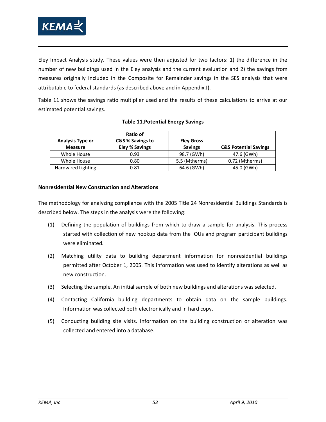

Eley Impact Analysis study. These values were then adjusted for two factors: 1) the difference in the number of new buildings used in the Eley analysis and the current evaluation and 2) the savings from measures originally included in the Composite for Remainder savings in the SES analysis that were attributable to federal standards (as described above and in Appendix J)[.](#page-66-0)

[Table 11](#page-66-0) shows the savings ratio multiplier used and the results of these calculations to arrive at our estimated potential savings.

| <b>Analysis Type or</b><br><b>Measure</b> | Ratio of<br>C&S % Savings to<br><b>Eley % Savings</b> | <b>Eley Gross</b><br><b>Savings</b> | <b>C&amp;S Potential Savings</b> |
|-------------------------------------------|-------------------------------------------------------|-------------------------------------|----------------------------------|
| Whole House                               | 0.93                                                  | 98.7 (GWh)                          | 47.6 (GWh)                       |
| Whole House                               | 0.80                                                  | 5.5 (Mtherms)                       | 0.72 (Mtherms)                   |
| Hardwired Lighting                        | 0.81                                                  | 64.6 (GWh)                          | 45.0 (GWh)                       |

## <span id="page-66-0"></span>**Table 11.Potential Energy Savings**

### **Nonresidential New Construction and Alterations**

The methodology for analyzing compliance with the 2005 Title 24 Nonresidential Buildings Standards is described below. The steps in the analysis were the following:

- (1) Defining the population of buildings from which to draw a sample for analysis. This process started with collection of new hookup data from the IOUs and program participant buildings were eliminated.
- (2) Matching utility data to building department information for nonresidential buildings permitted after October 1, 2005. This information was used to identify alterations as well as new construction.
- (3) Selecting the sample. An initial sample of both new buildings and alterations was selected.
- (4) Contacting California building departments to obtain data on the sample buildings. Information was collected both electronically and in hard copy.
- (5) Conducting building site visits. Information on the building construction or alteration was collected and entered into a database.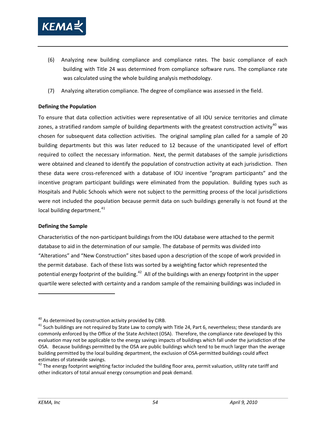

- (6) Analyzing new building compliance and compliance rates. The basic compliance of each building with Title 24 was determined from compliance software runs. The compliance rate was calculated using the whole building analysis methodology.
- (7) Analyzing alteration compliance. The degree of compliance was assessed in the field.

### **Defining the Population**

To ensure that data collection activities were representative of all IOU service territories and climate zones, a stratified random sample of building departments with the greatest construction activity<sup>[40](#page-67-0)</sup> was chosen for subsequent data collection activities. The original sampling plan called for a sample of 20 building departments but this was later reduced to 12 because of the unanticipated level of effort required to collect the necessary information. Next, the permit databases of the sample jurisdictions were obtained and cleaned to identify the population of construction activity at each jurisdiction. Then these data were cross-referenced with a database of IOU incentive "program participants" and the incentive program participant buildings were eliminated from the population. Building types such as Hospitals and Public Schools which were not subject to the permitting process of the local jurisdictions were not included the population because permit data on such buildings generally is not found at the local building department.<sup>[41](#page-67-1)</sup>

### **Defining the Sample**

Characteristics of the non-participant buildings from the IOU database were attached to the permit database to aid in the determination of our sample. The database of permits was divided into "Alterations" and "New Construction" sites based upon a description of the scope of work provided in the permit database. Each of these lists was sorted by a weighting factor which represented the potential energy footprint of the building.<sup>[42](#page-67-2)</sup> All of the buildings with an energy footprint in the upper quartile were selected with certainty and a random sample of the remaining buildings was included in

<span id="page-67-0"></span> $40$  As determined by construction activity provided by CIRB.

<span id="page-67-1"></span> $41$  Such buildings are not required by State Law to comply with Title 24, Part 6, nevertheless; these standards are commonly enforced by the Office of the State Architect (OSA). Therefore, the compliance rate developed by this evaluation may not be applicable to the energy savings impacts of buildings which fall under the jurisdiction of the OSA. Because buildings permitted by the OSA are public buildings which tend to be much larger than the average building permitted by the local building department, the exclusion of OSA-permitted buildings could affect estimates of statewide savings.<br><sup>42</sup> The energy footprint weighting factor included the building floor area, permit valuation, utility rate tariff and

<span id="page-67-2"></span>other indicators of total annual energy consumption and peak demand.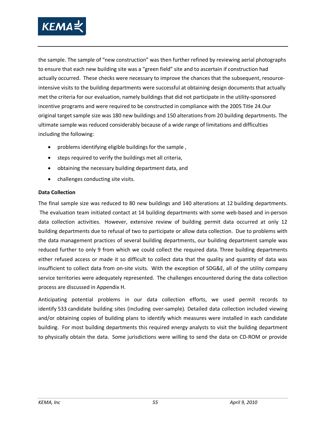

the sample. The sample of "new construction" was then further refined by reviewing aerial photographs to ensure that each new building site was a "green field" site and to ascertain if construction had actually occurred. These checks were necessary to improve the chances that the subsequent, resourceintensive visits to the building departments were successful at obtaining design documents that actually met the criteria for our evaluation, namely buildings that did not participate in the utility-sponsored incentive programs and were required to be constructed in compliance with the 2005 Title 24.Our original target sample size was 180 new buildings and 150 alterations from 20 building departments. The ultimate sample was reduced considerably because of a wide range of limitations and difficulties including the following:

- problems identifying eligible buildings for the sample ,
- steps required to verify the buildings met all criteria,
- obtaining the necessary building department data, and
- challenges conducting site visits.

### **Data Collection**

The final sample size was reduced to 80 new buildings and 140 alterations at 12 building departments. The evaluation team initiated contact at 14 building departments with some web-based and in-person data collection activities. However, extensive review of building permit data occurred at only 12 building departments due to refusal of two to participate or allow data collection. Due to problems with the data management practices of several building departments, our building department sample was reduced further to only 9 from which we could collect the required data. Three building departments either refused access or made it so difficult to collect data that the quality and quantity of data was insufficient to collect data from on-site visits. With the exception of SDG&E, all of the utility company service territories were adequately represented. The challenges encountered during the data collection process are discussed in Appendix H.

Anticipating potential problems in our data collection efforts, we used permit records to identify 533 candidate building sites (including over-sample)*.* Detailed data collection included viewing and/or obtaining copies of building plans to identify which measures were installed in each candidate building. For most building departments this required energy analysts to visit the building department to physically obtain the data. Some jurisdictions were willing to send the data on CD-ROM or provide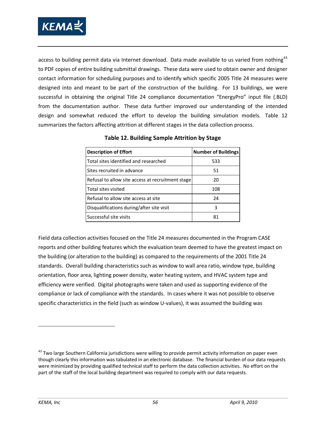

access to building permit data via Internet download. Data made available to us varied from nothing<sup>[43](#page-69-1)</sup> design and somewhat reduced the effort to develop the building simulation models. [Table 12](#page-69-0) to PDF copies of entire building submittal drawings. These data were used to obtain owner and designer contact information for scheduling purposes and to identify which specific 2005 Title 24 measures were designed into and meant to be part of the construction of the building. For 13 buildings, we were successful in obtaining the original Title 24 compliance documentation "EnergyPro" input file (.BLD) from the documentation author. These data further improved our understanding of the intended summarizes the factors affecting attrition at different stages in the data collection process.

<span id="page-69-0"></span>

| <b>Description of Effort</b>                      | <b>Number of Buildings</b> |
|---------------------------------------------------|----------------------------|
| Total sites identified and researched             | 533                        |
| Sites recruited in advance                        | 51                         |
| Refusal to allow site access at recruitment stage | 20                         |
| Total sites visited                               | 108                        |
| Refusal to allow site access at site              | 24                         |
| Disqualifications during/after site visit         | 3                          |
| Successful site visits                            | 81                         |

**Table 12. Building Sample Attrition by Stage**

Field data collection activities focused on the Title 24 measures documented in the Program CASE reports and other building features which the evaluation team deemed to have the greatest impact on the building (or alteration to the building) as compared to the requirements of the 2001 Title 24 standards. Overall building characteristics such as window to wall area ratio, window type, building orientation, floor area, lighting power density, water heating system, and HVAC system type and efficiency were verified. Digital photographs were taken and used as supporting evidence of the compliance or lack of compliance with the standards. In cases where it was not possible to observe specific characteristics in the field (such as window U-values), it was assumed the building was

<span id="page-69-1"></span><sup>&</sup>lt;sup>43</sup> Two large Southern California jurisdictions were willing to provide permit activity information on paper even though clearly this information was tabulated in an electronic database. The financial burden of our data requests were minimized by providing qualified technical staff to perform the data collection activities. No effort on the part of the staff of the local building department was required to comply with our data requests.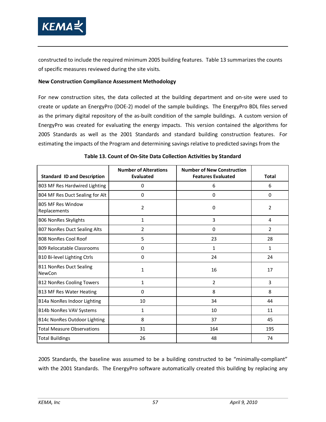

constructed to include the required minimum 2005 building features. [Table 13](#page-70-0) summarizes the counts of specific measures reviewed during the site visits.

#### **New Construction Compliance Assessment Methodology**

For new construction sites, the data collected at the building department and on-site were used to create or update an EnergyPro (DOE-2) model of the sample buildings. The EnergyPro BDL files served as the primary digital repository of the as-built condition of the sample buildings. A custom version of EnergyPro was created for evaluating the energy impacts. This version contained the algorithms for 2005 Standards as well as the 2001 Standards and standard building construction features. For estimating the impacts of the Program and determining savings relative to predicted savings from the

<span id="page-70-0"></span>

| <b>Standard ID and Description</b>              | <b>Number of Alterations</b><br><b>Evaluated</b> | <b>Number of New Construction</b><br><b>Features Evaluated</b> | <b>Total</b>   |
|-------------------------------------------------|--------------------------------------------------|----------------------------------------------------------------|----------------|
| B03 MF Res Hardwired Lighting                   | 0                                                | 6                                                              | 6              |
| B04 MF Res Duct Sealing for Alt                 | $\Omega$                                         | $\Omega$                                                       | $\Omega$       |
| <b>B05 MF Res Window</b><br>Replacements        | $\overline{2}$                                   | 0                                                              | 2              |
| <b>B06 NonRes Skylights</b>                     | $\mathbf{1}$                                     | 3                                                              | 4              |
| <b>B07 NonRes Duct Sealing Alts</b>             | $\overline{2}$                                   | $\Omega$                                                       | $\overline{2}$ |
| <b>B08 NonRes Cool Roof</b>                     | 5                                                | 23                                                             | 28             |
| <b>B09 Relocatable Classrooms</b>               | 0                                                | $\mathbf{1}$                                                   | $\mathbf{1}$   |
| B10 Bi-level Lighting Ctrls                     | $\Omega$                                         | 24                                                             | 24             |
| <b>B11 NonRes Duct Sealing</b><br><b>NewCon</b> | 1                                                | 16                                                             | 17             |
| <b>B12 NonRes Cooling Towers</b>                | $\mathbf{1}$                                     | $\overline{2}$                                                 | 3              |
| <b>B13 MF Res Water Heating</b>                 | $\Omega$                                         | 8                                                              | 8              |
| B14a NonRes Indoor Lighting                     | 10                                               | 34                                                             | 44             |
| B14b NonRes VAV Systems                         | $\mathbf{1}$                                     | 10                                                             | 11             |
| <b>B14c NonRes Outdoor Lighting</b>             | 8                                                | 37                                                             | 45             |
| <b>Total Measure Observations</b>               | 31                                               | 164                                                            | 195            |
| <b>Total Buildings</b>                          | 26                                               | 48                                                             | 74             |

|  |  | Table 13. Count of On-Site Data Collection Activities by Standard |  |  |  |
|--|--|-------------------------------------------------------------------|--|--|--|
|--|--|-------------------------------------------------------------------|--|--|--|

2005 Standards, the baseline was assumed to be a building constructed to be "minimally-compliant" with the 2001 Standards. The EnergyPro software automatically created this building by replacing any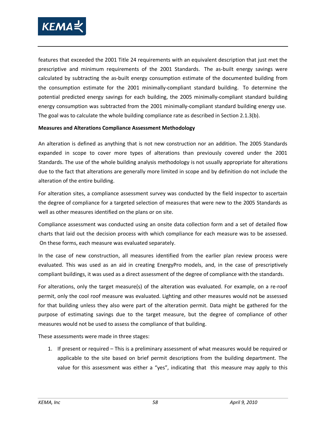

features that exceeded the 2001 Title 24 requirements with an equivalent description that just met the prescriptive and minimum requirements of the 2001 Standards. The as-built energy savings were calculated by subtracting the as-built energy consumption estimate of the documented building from the consumption estimate for the 2001 minimally-compliant standard building. To determine the potential predicted energy savings for each building, the 2005 minimally-compliant standard building energy consumption was subtracted from the 2001 minimally-compliant standard building energy use. The goal was to calculate the whole building compliance rate as described in Section [2.1.3\(b\).](#page-44-2)

#### **Measures and Alterations Compliance Assessment Methodology**

An alteration is defined as anything that is not new construction nor an addition. The 2005 Standards expanded in scope to cover more types of alterations than previously covered under the 2001 Standards. The use of the whole building analysis methodology is not usually appropriate for alterations due to the fact that alterations are generally more limited in scope and by definition do not include the alteration of the entire building.

For alteration sites, a compliance assessment survey was conducted by the field inspector to ascertain the degree of compliance for a targeted selection of measures that were new to the 2005 Standards as well as other measures identified on the plans or on site.

Compliance assessment was conducted using an onsite data collection form and a set of detailed flow charts that laid out the decision process with which compliance for each measure was to be assessed. On these forms, each measure was evaluated separately.

In the case of new construction, all measures identified from the earlier plan review process were evaluated. This was used as an aid in creating EnergyPro models, and, in the case of prescriptively compliant buildings, it was used as a direct assessment of the degree of compliance with the standards.

For alterations, only the target measure(s) of the alteration was evaluated. For example, on a re-roof permit, only the cool roof measure was evaluated. Lighting and other measures would not be assessed for that building unless they also were part of the alteration permit. Data might be gathered for the purpose of estimating savings due to the target measure, but the degree of compliance of other measures would not be used to assess the compliance of that building.

These assessments were made in three stages:

1. If present or required – This is a preliminary assessment of what measures would be required or applicable to the site based on brief permit descriptions from the building department. The value for this assessment was either a "yes", indicating that this measure may apply to this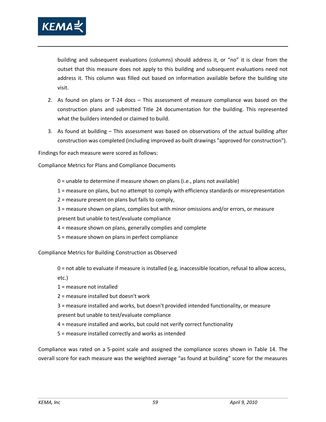

building and subsequent evaluations (columns) should address it, or "no" it is clear from the outset that this measure does not apply to this building and subsequent evaluations need not address it. This column was filled out based on information available before the building site visit.

- 2. As found on plans or T-24 docs This assessment of measure compliance was based on the construction plans and submitted Title 24 documentation for the building. This represented what the builders intended or claimed to build.
- 3. As found at building This assessment was based on observations of the actual building after construction was completed (including improved as-built drawings "approved for construction").

Findings for each measure were scored as follows:

Compliance Metrics for Plans and Compliance Documents

- 0 = unable to determine if measure shown on plans (i.e., plans not available)
- 1 = measure on plans, but no attempt to comply with efficiency standards or misrepresentation
- 2 = measure present on plans but fails to comply,
- 3 = measure shown on plans, complies but with minor omissions and/or errors, or measure
- present but unable to test/evaluate compliance
- 4 = measure shown on plans, generally complies and complete
- 5 = measure shown on plans in perfect compliance

Compliance Metrics for Building Construction as Observed

- 0 = not able to evaluate if measure is installed (e.g, inaccessible location, refusal to allow access,
- etc.)
- 1 = measure not installed
- 2 = measure installed but doesn't work
- 3 = measure installed and works, but doesn't provided intended functionality, or measure present but unable to test/evaluate compliance
- 4 = measure installed and works, but could not verify correct functionality
- 5 = measure installed correctly and works as intended

Compliance was rated on a 5-point scale and assigned the compliance scores shown in [Table 14.](#page-73-0) The overall score for each measure was the weighted average "as found at building" score for the measures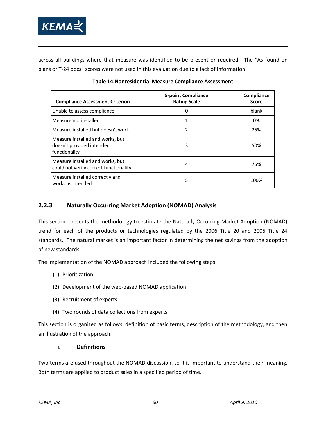

across all buildings where that measure was identified to be present or required. The "As found on plans or T-24 docs" scores were not used in this evaluation due to a lack of information.

<span id="page-73-0"></span>

| <b>Compliance Assessment Criterion</b>                                         | <b>5-point Compliance</b><br><b>Rating Scale</b> | Compliance<br><b>Score</b> |
|--------------------------------------------------------------------------------|--------------------------------------------------|----------------------------|
| Unable to assess compliance                                                    |                                                  | blank                      |
| Measure not installed                                                          |                                                  | 0%                         |
| Measure installed but doesn't work                                             | 2                                                | 25%                        |
| Measure installed and works, but<br>doesn't provided intended<br>functionality | 3                                                | 50%                        |
| Measure installed and works, but<br>could not verify correct functionality     | 4                                                | 75%                        |
| Measure installed correctly and<br>works as intended                           | 5                                                | 100%                       |

#### **Table 14.Nonresidential Measure Compliance Assessment**

### **2.2.3 Naturally Occurring Market Adoption (NOMAD) Analysis**

This section presents the methodology to estimate the Naturally Occurring Market Adoption (NOMAD) trend for each of the products or technologies regulated by the 2006 Title 20 and 2005 Title 24 standards. The natural market is an important factor in determining the net savings from the adoption of new standards.

The implementation of the NOMAD approach included the following steps:

- (1) Prioritization
- (2) Development of the web-based NOMAD application
- (3) Recruitment of experts
- (4) Two rounds of data collections from experts

This section is organized as follows: definition of basic terms, description of the methodology, and then an illustration of the approach.

#### **i. Definitions**

Two terms are used throughout the NOMAD discussion, so it is important to understand their meaning. Both terms are applied to product sales in a specified period of time.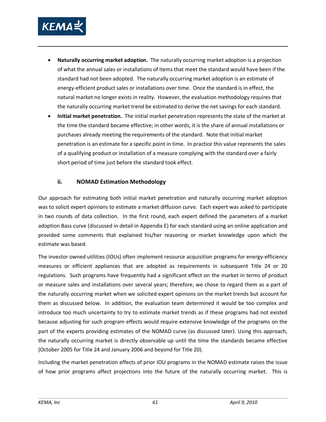

- **Naturally occurring market adoption.** The naturally occurring market adoption is a projection of what the annual sales or installations of items that meet the standard would have been if the standard had not been adopted. The naturally occurring market adoption is an estimate of energy-efficient product sales or installations over time. Once the standard is in effect, the natural market no longer exists in reality. However, the evaluation methodology requires that the naturally occurring market trend be estimated to derive the net savings for each standard.
- **Initial market penetration.** The initial market penetration represents the state of the market at the time the standard became effective; in other words, it is the share of annual installations or purchases already meeting the requirements of the standard. Note that initial market penetration is an estimate for a specific point in time. In practice this value represents the sales of a qualifying product or installation of a measure complying with the standard over a fairly short period of time just before the standard took effect.

#### **ii. NOMAD Estimation Methodology**

Our approach for estimating both initial market penetration and naturally occurring market adoption was to solicit expert opinions to estimate a market diffusion curve. Each expert was asked to participate in two rounds of data collection. In the first round, each expert defined the parameters of a market adoption Bass curve (discussed in detail in Appendix E) for each standard using an online application and provided some comments that explained his/her reasoning or market knowledge upon which the estimate was based.

The investor owned utilities (IOUs) often implement resource acquisition programs for energy-efficiency measures or efficient appliances that are adopted as requirements in subsequent Title 24 or 20 regulations. Such programs have frequently had a significant effect on the market in terms of product or measure sales and installations over several years; therefore, we chose to regard them as a part of the naturally occurring market when we solicited expert opinions on the market trends but account for them as discussed below. In addition, the evaluation team determined it would be too complex and introduce too much uncertainty to try to estimate market trends as if these programs had not existed because adjusting for such program effects would require extensive knowledge of the programs on the part of the experts providing estimates of the NOMAD curve (as discussed later). Using this approach, the naturally occurring market is directly observable up until the time the standards became effective (October 2005 for Title 24 and January 2006 and beyond for Title 20).

Including the market penetration effects of prior IOU programs in the NOMAD estimate raises the issue of how prior programs affect projections into the future of the naturally occurring market. This is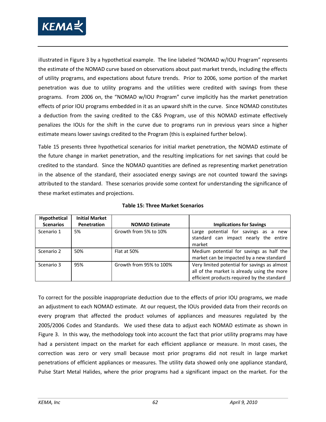

illustrated in [Figure 3](#page-76-0) by a hypothetical example. The line labeled "NOMAD w/IOU Program" represents the estimate of the NOMAD curve based on observations about past market trends, including the effects of utility programs, and expectations about future trends. Prior to 2006, some portion of the market penetration was due to utility programs and the utilities were credited with savings from these programs. From 2006 on, the "NOMAD w/IOU Program" curve implicitly has the market penetration effects of prior IOU programs embedded in it as an upward shift in the curve. Since NOMAD constitutes a deduction from the saving credited to the C&S Program, use of this NOMAD estimate effectively penalizes the IOUs for the shift in the curve due to programs run in previous years since a higher estimate means lower savings credited to the Program (this is explained further below).

[Table 15](#page-75-0) presents three hypothetical scenarios for initial market penetration, the NOMAD estimate of the future change in market penetration, and the resulting implications for net savings that could be credited to the standard. Since the NOMAD quantities are defined as representing market penetration in the absence of the standard, their associated energy savings are not counted toward the savings attributed to the standard. These scenarios provide some context for understanding the significance of these market estimates and projections.

<span id="page-75-0"></span>

| Hypothetical     | <b>Initial Market</b> |                         |                                               |
|------------------|-----------------------|-------------------------|-----------------------------------------------|
| <b>Scenarios</b> | Penetration           | <b>NOMAD Estimate</b>   | <b>Implications for Savings</b>               |
| Scenario 1       | 5%                    | Growth from 5% to 10%   | potential for savings as<br>Large<br>a<br>new |
|                  |                       |                         | standard can impact nearly the entire         |
|                  |                       |                         | market                                        |
| Scenario 2       | 50%                   | Flat at 50%             | Medium potential for savings as half the      |
|                  |                       |                         | market can be impacted by a new standard      |
| Scenario 3       | 95%                   | Growth from 95% to 100% | Very limited potential for savings as almost  |
|                  |                       |                         | all of the market is already using the more   |
|                  |                       |                         | efficient products required by the standard   |

To correct for the possible inappropriate deduction due to the effects of prior IOU programs, we made an adjustment to each NOMAD estimate. At our request, the IOUs provided data from their records on every program that affected the product volumes of appliances and measures regulated by the 2005/2006 Codes and Standards. We used these data to adjust each NOMAD estimate as shown in [Figure 3.](#page-76-0) In this way, the methodology took into account the fact that prior utility programs may have had a persistent impact on the market for each efficient appliance or measure. In most cases, the correction was zero or very small because most prior programs did not result in large market penetrations of efficient appliances or measures. The utility data showed only one appliance standard, Pulse Start Metal Halides, where the prior programs had a significant impact on the market. For the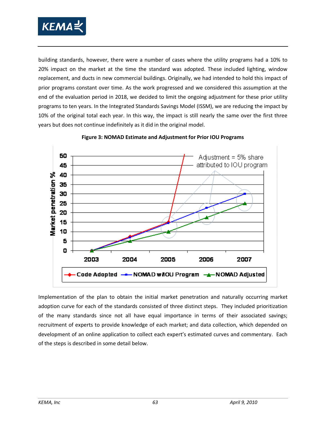

building standards, however, there were a number of cases where the utility programs had a 10% to 20% impact on the market at the time the standard was adopted. These included lighting, window replacement, and ducts in new commercial buildings. Originally, we had intended to hold this impact of prior programs constant over time. As the work progressed and we considered this assumption at the end of the evaluation period in 2018, we decided to limit the ongoing adjustment for these prior utility programs to ten years. In the Integrated Standards Savings Model (ISSM), we are reducing the impact by 10% of the original total each year. In this way, the impact is still nearly the same over the first three years but does not continue indefinitely as it did in the original model.

<span id="page-76-0"></span>

#### **Figure 3: NOMAD Estimate and Adjustment for Prior IOU Programs**

Implementation of the plan to obtain the initial market penetration and naturally occurring market adoption curve for each of the standards consisted of three distinct steps. They included prioritization of the many standards since not all have equal importance in terms of their associated savings; recruitment of experts to provide knowledge of each market; and data collection, which depended on development of an online application to collect each expert's estimated curves and commentary. Each of the steps is described in some detail below.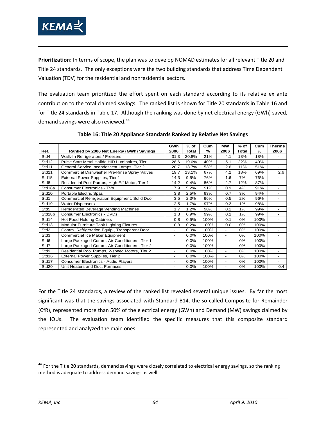

**Prioritization:** In terms of scope, the plan was to develop NOMAD estimates for all relevant Title 20 and Title 24 standards. The only exceptions were the two building standards that address Time Dependent Valuation (TDV) for the residential and nonresidential sectors.

The evaluation team prioritized the effort spent on each standard according to its relative ex ante contribution to the total claimed savings. The ranked list is shown for Title 20 standards in [Table 16](#page-77-0) and for Title 24 standards in [Table 17.](#page-78-0) Although the ranking was done by net electrical energy (GWh) saved, demand savings were also reviewed. $44$ 

<span id="page-77-0"></span>

|                  |                                                 | GWh                      | $%$ of  | Cum  | <b>MW</b>                | $%$ of | Cum           | <b>Therms</b>                |
|------------------|-------------------------------------------------|--------------------------|---------|------|--------------------------|--------|---------------|------------------------------|
| Ref.             | Ranked by 2006 Net Energy (GWh) Savings         | 2006                     | Total   | ℅    | 2006                     | Total  | $\frac{9}{6}$ | 2006                         |
| Std4             | Walk-In Refrigerators / Freezers                | 31.3                     | 20.8%   | 21%  | 4.1                      | 18%    | 18%           | $\qquad \qquad \blacksquare$ |
| Std12            | Pulse Start Metal Halide HID Luminaires, Tier 1 | 28.6                     | 19.0%   | 40%  | 5.1                      | 22%    | 40%           | -                            |
| Std11            | General Service Incandescent Lamps, Tier 2      | 20.7                     | 13.7%   | 53%  | 2.6                      | 11%    | 51%           | $\overline{\phantom{0}}$     |
| Std21            | Commercial Dishwasher Pre-Rinse Spray Valves    | 19.7                     | 13.1%   | 67%  | 4.2                      | 18%    | 69%           | 2.6                          |
| Std15            | External Power Supplies, Tier 1                 | 14.3                     | 9.5%    | 76%  | 1.6                      | 7%     | 76%           |                              |
| Std8             | Residential Pool Pumps, High Eff Motor, Tier 1  | 14.2                     | 9.4%    | 86%  | 2.7                      | 12%    | 87%           | -                            |
| Std18a           | <b>Consumer Electronics - TVs</b>               | 7.9                      | 5.2%    | 91%  | 0.9                      | 4%     | 91%           | $\overline{\phantom{0}}$     |
| Std10            | Portable Electric Spas                          | 3.8                      | 2.5%    | 93%  | 0.7                      | 3%     | 94%           | $\overline{\phantom{0}}$     |
| Std1             | Commercial Refrigeration Equipment, Solid Door  | 3.5                      | 2.3%    | 96%  | 0.5                      | 2%     | 96%           | $\overline{\phantom{0}}$     |
| Std19            | <b>Water Dispensers</b>                         | 2.5                      | 1.7%    | 97%  | 0.3                      | 1%     | 98%           | -                            |
| Std5             | Refrigerated Beverage Vending Machines          | 1.7                      | 1.2%    | 98%  | 0.2                      | 1%     | 99%           | $\qquad \qquad \blacksquare$ |
| Std18b           | <b>Consumer Electronics - DVDs</b>              | 1.3                      | 0.9%    | 99%  | 0.1                      | 1%     | 99%           | -                            |
| Std14            | Hot Food Holding Cabinets                       | 0.8                      | 0.5%    | 100% | 0.1                      | 0%     | 100%          |                              |
| Std13            | Modular Furniture Task Lighting Fixtures        | 0.3                      | 0.2%    | 100% | 0.0                      | 0%     | 100%          | ۰                            |
| Std <sub>2</sub> | Comm. Refrigeration Equip., Transparent Door    | -                        | 0.0%    | 100% | $\overline{\phantom{a}}$ | 0%     | 100%          | -                            |
| Std3             | Commercial Ice Maker Equipment                  | $\overline{\phantom{a}}$ | 0.0%    | 100% | $\blacksquare$           | 0%     | 100%          | Ξ.                           |
| Std6             | Large Packaged Comm. Air-Conditioners, Tier 1   | $\overline{\phantom{0}}$ | 0.0%    | 100% | $\overline{\phantom{a}}$ | 0%     | 100%          | ٠                            |
| Std7             | Large Packaged Comm. Air-Conditioners, Tier 2   | $\overline{\phantom{a}}$ | 0.0%    | 100% | $\overline{\phantom{a}}$ | 0%     | 100%          | $\overline{\phantom{0}}$     |
| Std9             | Residential Pool Pumps, 2-speed Motors, Tier 2  | $\overline{\phantom{0}}$ | $0.0\%$ | 100% | $\blacksquare$           | 0%     | 100%          | -                            |
| Std16            | External Power Supplies, Tier 2                 | $\overline{\phantom{a}}$ | 0.0%    | 100% | $\overline{\phantom{a}}$ | 0%     | 100%          | ۰                            |
| Std17            | Consumer Electronics - Audio Players            |                          | 0.0%    | 100% | $\overline{a}$           | 0%     | 100%          | -                            |
| Std20            | Unit Heaters and Duct Furnaces                  |                          | 0.0%    | 100% |                          | 0%     | 100%          | 0.4                          |

**Table 16: Title 20 Appliance Standards Ranked by Relative Net Savings**

For the Title 24 standards, a review of the ranked list revealed several unique issues. By far the most significant was that the savings associated with Standard B14, the so-called Composite for Remainder (CfR), represented more than 50% of the electrical energy (GWh) and Demand (MW) savings claimed by the IOUs. The evaluation team identified the specific measures that this composite standard represented and analyzed the main ones.

<span id="page-77-1"></span><sup>&</sup>lt;sup>44</sup> For the Title 20 standards, demand savings were closely correlated to electrical energy savings, so the ranking method is adequate to address demand savings as well.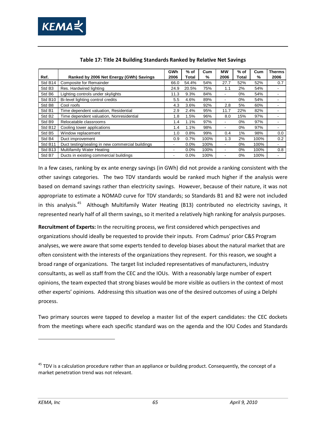

<span id="page-78-0"></span>

|                     |                                                  | GWh  | % of    | Cum  | <b>MW</b>                | % of  | Cum  | <b>Therms</b>            |
|---------------------|--------------------------------------------------|------|---------|------|--------------------------|-------|------|--------------------------|
| Ref.                | Ranked by 2006 Net Energy (GWh) Savings          | 2006 | Total   | %    | 2006                     | Total | %    | 2006                     |
| Std B14             | Composite for Remainder                          | 66.0 | 54.4%   | 54%  | 27.7                     | 52%   | 52%  | 0.7                      |
| Std B <sub>3</sub>  | Res. Hardwired lighting                          | 24.9 | 20.5%   | 75%  | 1.1                      | 2%    | 54%  | $\overline{\phantom{a}}$ |
| Std B6              | Lighting controls under skylights                | 11.3 | 9.3%    | 84%  | ۰                        | 0%    | 54%  | $\overline{\phantom{a}}$ |
| Std B <sub>10</sub> | Bi-level lighting control credits                | 5.5  | 4.6%    | 89%  | ۰                        | 0%    | 54%  |                          |
| Std B8              | Cool roofs                                       | 4.3  | 3.6%    | 92%  | 2.8                      | 5%    | 60%  |                          |
| Std B1              | Time dependent valuation, Residential            | 2.9  | 2.4%    | 95%  | 11.7                     | 22%   | 82%  |                          |
| Std B <sub>2</sub>  | Time dependent valuation, Nonresidential         | 1.8  | 1.5%    | 96%  | 8.0                      | 15%   | 97%  |                          |
| Std B9              | Relocatable classrooms                           | 1.4  | 1.1%    | 97%  | $\overline{\phantom{a}}$ | $0\%$ | 97%  | $\overline{a}$           |
| Std B <sub>12</sub> | Cooling tower applications                       | 1.4  | 1.1%    | 98%  | $\overline{\phantom{a}}$ | $0\%$ | 97%  | $\overline{\phantom{a}}$ |
| Std B <sub>5</sub>  | Window replacement                               | 1.0  | 0.8%    | 99%  | 0.4                      | $1\%$ | 98%  | 0.0                      |
| Std B4              | Duct improvement                                 | 0.9  | 0.7%    | 100% | 1.3                      | 2%    | 100% | 0.2                      |
| Std B11             | Duct testing/sealing in new commercial buildings | ۰    | $0.0\%$ | 100% | $\overline{\phantom{a}}$ | $0\%$ | 100% | $\overline{\phantom{a}}$ |
| Std B <sub>13</sub> | Multifamily Water Heating                        | ٠    | $0.0\%$ | 100% | $\overline{\phantom{a}}$ | 0%    | 100% | 0.8                      |
| Std B7              | Ducts in existing commercial buildings           |      | $0.0\%$ | 100% |                          | 0%    | 100% |                          |

In a few cases, ranking by ex ante energy savings (in GWh) did not provide a ranking consistent with the other savings categories. The two TDV standards would be ranked much higher if the analysis were based on demand savings rather than electricity savings. However, because of their nature, it was not appropriate to estimate a NOMAD curve for TDV standards; so Standards B1 and B2 were not included in this analysis.<sup>[45](#page-78-1)</sup> Although Multifamily Water Heating (B13) contributed no electricity savings, it represented nearly half of all therm savings, so it merited a relatively high ranking for analysis purposes.

**Recruitment of Experts:** In the recruiting process, we first considered which perspectives and organizations should ideally be requested to provide their inputs. From Cadmus' prior C&S Program analyses, we were aware that some experts tended to develop biases about the natural market that are often consistent with the interests of the organizations they represent. For this reason, we sought a broad range of organizations. The target list included representatives of manufacturers, industry consultants, as well as staff from the CEC and the IOUs. With a reasonably large number of expert opinions, the team expected that strong biases would be more visible as outliers in the context of most other experts' opinions. Addressing this situation was one of the desired outcomes of using a Delphi process.

Two primary sources were tapped to develop a master list of the expert candidates: the CEC dockets from the meetings where each specific standard was on the agenda and the IOU Codes and Standards

<span id="page-78-1"></span><sup>&</sup>lt;sup>45</sup> TDV is a calculation procedure rather than an appliance or building product. Consequently, the concept of a market penetration trend was not relevant.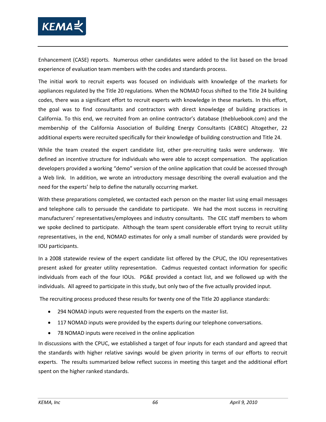

Enhancement (CASE) reports. Numerous other candidates were added to the list based on the broad experience of evaluation team members with the codes and standards process.

The initial work to recruit experts was focused on individuals with knowledge of the markets for appliances regulated by the Title 20 regulations. When the NOMAD focus shifted to the Title 24 building codes, there was a significant effort to recruit experts with knowledge in these markets. In this effort, the goal was to find consultants and contractors with direct knowledge of building practices in California. To this end, we recruited from an online contractor's database (thebluebook.com) and the membership of the California Association of Building Energy Consultants (CABEC) Altogether, 22 additional experts were recruited specifically for their knowledge of building construction and Title 24.

While the team created the expert candidate list, other pre-recruiting tasks were underway. We defined an incentive structure for individuals who were able to accept compensation. The application developers provided a working "demo" version of the online application that could be accessed through a Web link. In addition, we wrote an introductory message describing the overall evaluation and the need for the experts' help to define the naturally occurring market.

With these preparations completed, we contacted each person on the master list using email messages and telephone calls to persuade the candidate to participate. We had the most success in recruiting manufacturers' representatives/employees and industry consultants. The CEC staff members to whom we spoke declined to participate. Although the team spent considerable effort trying to recruit utility representatives, in the end, NOMAD estimates for only a small number of standards were provided by IOU participants.

In a 2008 statewide review of the expert candidate list offered by the CPUC, the IOU representatives present asked for greater utility representation. Cadmus requested contact information for specific individuals from each of the four IOUs. PG&E provided a contact list, and we followed up with the individuals. All agreed to participate in this study, but only two of the five actually provided input.

The recruiting process produced these results for twenty one of the Title 20 appliance standards:

- 294 NOMAD inputs were requested from the experts on the master list.
- 117 NOMAD inputs were provided by the experts during our telephone conversations.
- 78 NOMAD inputs were received in the online application

In discussions with the CPUC, we established a target of four inputs for each standard and agreed that the standards with higher relative savings would be given priority in terms of our efforts to recruit experts. The results summarized below reflect success in meeting this target and the additional effort spent on the higher ranked standards.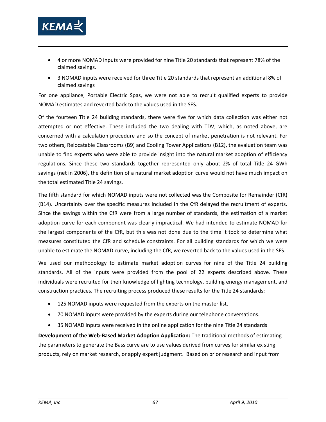

- 4 or more NOMAD inputs were provided for nine Title 20 standards that represent 78% of the claimed savings.
- 3 NOMAD inputs were received for three Title 20 standards that represent an additional 8% of claimed savings

For one appliance, Portable Electric Spas, we were not able to recruit qualified experts to provide NOMAD estimates and reverted back to the values used in the SES.

Of the fourteen Title 24 building standards, there were five for which data collection was either not attempted or not effective. These included the two dealing with TDV, which, as noted above, are concerned with a calculation procedure and so the concept of market penetration is not relevant. For two others, Relocatable Classrooms (B9) and Cooling Tower Applications (B12), the evaluation team was unable to find experts who were able to provide insight into the natural market adoption of efficiency regulations. Since these two standards together represented only about 2% of total Title 24 GWh savings (net in 2006), the definition of a natural market adoption curve would not have much impact on the total estimated Title 24 savings.

The fifth standard for which NOMAD inputs were not collected was the Composite for Remainder (CfR) (B14). Uncertainty over the specific measures included in the CfR delayed the recruitment of experts. Since the savings within the CfR were from a large number of standards, the estimation of a market adoption curve for each component was clearly impractical. We had intended to estimate NOMAD for the largest components of the CfR, but this was not done due to the time it took to determine what measures constituted the CfR and schedule constraints. For all building standards for which we were unable to estimate the NOMAD curve, including the CfR, we reverted back to the values used in the SES.

We used our methodology to estimate market adoption curves for nine of the Title 24 building standards. All of the inputs were provided from the pool of 22 experts described above. These individuals were recruited for their knowledge of lighting technology, building energy management, and construction practices. The recruiting process produced these results for the Title 24 standards:

- 125 NOMAD inputs were requested from the experts on the master list.
- 70 NOMAD inputs were provided by the experts during our telephone conversations.
- 35 NOMAD inputs were received in the online application for the nine Title 24 standards

**Development of the Web-Based Market Adoption Application:** The traditional methods of estimating the parameters to generate the Bass curve are to use values derived from curves for similar existing products, rely on market research, or apply expert judgment. Based on prior research and input from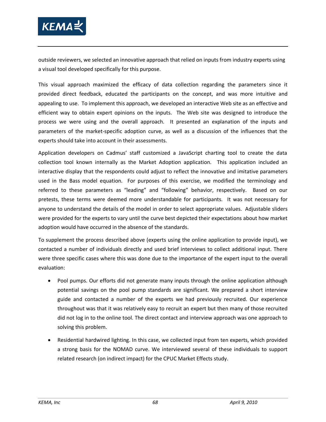

outside reviewers, we selected an innovative approach that relied on inputs from industry experts using a visual tool developed specifically for this purpose.

This visual approach maximized the efficacy of data collection regarding the parameters since it provided direct feedback, educated the participants on the concept, and was more intuitive and appealing to use. To implement this approach, we developed an interactive Web site as an effective and efficient way to obtain expert opinions on the inputs. The Web site was designed to introduce the process we were using and the overall approach. It presented an explanation of the inputs and parameters of the market-specific adoption curve, as well as a discussion of the influences that the experts should take into account in their assessments.

Application developers on Cadmus' staff customized a JavaScript charting tool to create the data collection tool known internally as the Market Adoption application. This application included an interactive display that the respondents could adjust to reflect the innovative and imitative parameters used in the Bass model equation. For purposes of this exercise, we modified the terminology and referred to these parameters as "leading" and "following" behavior, respectively. Based on our pretests, these terms were deemed more understandable for participants. It was not necessary for anyone to understand the details of the model in order to select appropriate values. Adjustable sliders were provided for the experts to vary until the curve best depicted their expectations about how market adoption would have occurred in the absence of the standards.

To supplement the process described above (experts using the online application to provide input), we contacted a number of individuals directly and used brief interviews to collect additional input. There were three specific cases where this was done due to the importance of the expert input to the overall evaluation:

- Pool pumps. Our efforts did not generate many inputs through the online application although potential savings on the pool pump standards are significant. We prepared a short interview guide and contacted a number of the experts we had previously recruited. Our experience throughout was that it was relatively easy to recruit an expert but then many of those recruited did not log in to the online tool. The direct contact and interview approach was one approach to solving this problem.
- Residential hardwired lighting. In this case, we collected input from ten experts, which provided a strong basis for the NOMAD curve. We interviewed several of these individuals to support related research (on indirect impact) for the CPUC Market Effects study.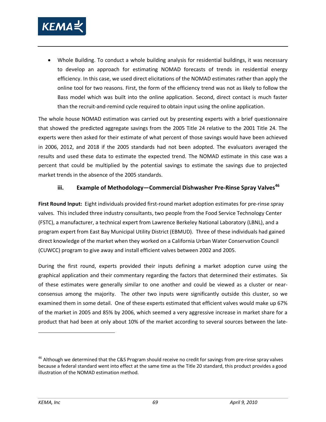

• Whole Building. To conduct a whole building analysis for residential buildings, it was necessary to develop an approach for estimating NOMAD forecasts of trends in residential energy efficiency. In this case, we used direct elicitations of the NOMAD estimates rather than apply the online tool for two reasons. First, the form of the efficiency trend was not as likely to follow the Bass model which was built into the online application. Second, direct contact is much faster than the recruit-and-remind cycle required to obtain input using the online application.

The whole house NOMAD estimation was carried out by presenting experts with a brief questionnaire that showed the predicted aggregate savings from the 2005 Title 24 relative to the 2001 Title 24. The experts were then asked for their estimate of what percent of those savings would have been achieved in 2006, 2012, and 2018 if the 2005 standards had not been adopted. The evaluators averaged the results and used these data to estimate the expected trend. The NOMAD estimate in this case was a percent that could be multiplied by the potential savings to estimate the savings due to projected market trends in the absence of the 2005 standards.

#### **iii. Example of Methodology—Commercial Dishwasher Pre-Rinse Spray Valves[46](#page-82-0)**

**First Round Input:** Eight individuals provided first-round market adoption estimates for pre-rinse spray valves. This included three industry consultants, two people from the Food Service Technology Center (FSTC), a manufacturer, a technical expert from Lawrence Berkeley National Laboratory (LBNL), and a program expert from East Bay Municipal Utility District (EBMUD). Three of these individuals had gained direct knowledge of the market when they worked on a California Urban Water Conservation Council (CUWCC) program to give away and install efficient valves between 2002 and 2005.

During the first round, experts provided their inputs defining a market adoption curve using the graphical application and their commentary regarding the factors that determined their estimates. Six of these estimates were generally similar to one another and could be viewed as a cluster or nearconsensus among the majority. The other two inputs were significantly outside this cluster, so we examined them in some detail. One of these experts estimated that efficient valves would make up 67% of the market in 2005 and 85% by 2006, which seemed a very aggressive increase in market share for a product that had been at only about 10% of the market according to several sources between the late-

<span id="page-82-0"></span><sup>&</sup>lt;sup>46</sup> Although we determined that the C&S Program should receive no credit for savings from pre-rinse spray valves because a federal standard went into effect at the same time as the Title 20 standard, this product provides a good illustration of the NOMAD estimation method.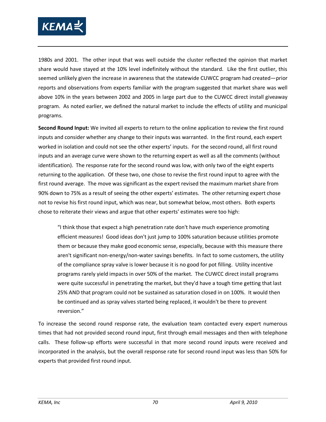

1980s and 2001. The other input that was well outside the cluster reflected the opinion that market share would have stayed at the 10% level indefinitely without the standard. Like the first outlier, this seemed unlikely given the increase in awareness that the statewide CUWCC program had created—prior reports and observations from experts familiar with the program suggested that market share was well above 10% in the years between 2002 and 2005 in large part due to the CUWCC direct install giveaway program. As noted earlier, we defined the natural market to include the effects of utility and municipal programs.

**Second Round Input:** We invited all experts to return to the online application to review the first round inputs and consider whether any change to their inputs was warranted. In the first round, each expert worked in isolation and could not see the other experts' inputs. For the second round, all first round inputs and an average curve were shown to the returning expert as well as all the comments (without identification). The response rate for the second round was low, with only two of the eight experts returning to the application. Of these two, one chose to revise the first round input to agree with the first round average. The move was significant as the expert revised the maximum market share from 90% down to 75% as a result of seeing the other experts' estimates. The other returning expert chose not to revise his first round input, which was near, but somewhat below, most others. Both experts chose to reiterate their views and argue that other experts' estimates were too high:

"I think those that expect a high penetration rate don't have much experience promoting efficient measures! Good ideas don't just jump to 100% saturation because utilities promote them or because they make good economic sense, especially, because with this measure there aren't significant non-energy/non-water savings benefits. In fact to some customers, the utility of the compliance spray valve is lower because it is no good for pot filling. Utility incentive programs rarely yield impacts in over 50% of the market. The CUWCC direct install programs were quite successful in penetrating the market, but they'd have a tough time getting that last 25% AND that program could not be sustained as saturation closed in on 100%. It would then be continued and as spray valves started being replaced, it wouldn't be there to prevent reversion."

To increase the second round response rate, the evaluation team contacted every expert numerous times that had not provided second round input, first through email messages and then with telephone calls. These follow-up efforts were successful in that more second round inputs were received and incorporated in the analysis, but the overall response rate for second round input was less than 50% for experts that provided first round input.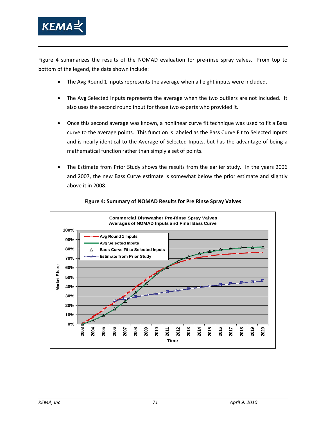

[Figure 4](#page-84-0) summarizes the results of the NOMAD evaluation for pre-rinse spray valves. From top to bottom of the legend, the data shown include:

- The Avg Round 1 Inputs represents the average when all eight inputs were included.
- The Avg Selected Inputs represents the average when the two outliers are not included. It also uses the second round input for those two experts who provided it.
- Once this second average was known, a nonlinear curve fit technique was used to fit a Bass curve to the average points. This function is labeled as the Bass Curve Fit to Selected Inputs and is nearly identical to the Average of Selected Inputs, but has the advantage of being a mathematical function rather than simply a set of points.
- The Estimate from Prior Study shows the results from the earlier study. In the years 2006 and 2007, the new Bass Curve estimate is somewhat below the prior estimate and slightly above it in 2008.

<span id="page-84-0"></span>

#### **Figure 4: Summary of NOMAD Results for Pre Rinse Spray Valves**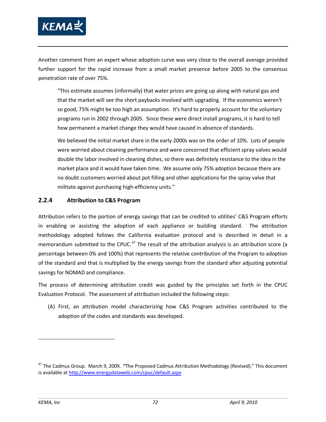

Another comment from an expert whose adoption curve was very close to the overall average provided further support for the rapid increase from a small market presence before 2005 to the consensus penetration rate of over 75%.

"This estimate assumes (informally) that water prices are going up along with natural gas and that the market will see the short paybacks involved with upgrading. If the economics weren't so good, 75% might be too high an assumption. It's hard to properly account for the voluntary programs run in 2002 through 2005. Since these were direct install programs, it is hard to tell how permanent a market change they would have caused in absence of standards.

We believed the initial market share in the early 2000s was on the order of 10%. Lots of people were worried about cleaning performance and were concerned that efficient spray valves would double the labor involved in cleaning dishes, so there was definitely resistance to the idea in the market place and it would have taken time. We assume only 75% adoption because there are no doubt customers worried about pot filling and other applications for the spray valve that militate against purchasing high-efficiency units."

#### **2.2.4 Attribution to C&S Program**

Attribution refers to the portion of energy savings that can be credited to utilities' C&S Program efforts in enabling or assisting the adoption of each appliance or building standard. The attribution methodology adopted follows the California evaluation protocol and is described in detail in a memorandum submitted to the CPUC.<sup>[47](#page-85-0)</sup> The result of the attribution analysis is an attribution score (a percentage between 0% and 100%) that represents the relative contribution of the Program to adoption of the standard and that is multiplied by the energy savings from the standard after adjusting potential savings for NOMAD and compliance.

The process of determining attribution credit was guided by the principles set forth in the CPUC Evaluation Protocol. The assessment of attribution included the following steps:

(A) First, an attribution model characterizing how C&S Program activities contributed to the adoption of the codes and standards was developed.

<span id="page-85-0"></span><sup>47</sup> The Cadmus Group. March 9, 2009. **"**The Proposed Cadmus Attribution Methodology (Revised)." This document is available a[t http://www.energydataweb.com/cpuc/default.aspx](http://www.energydataweb.com/cpuc/default.aspx)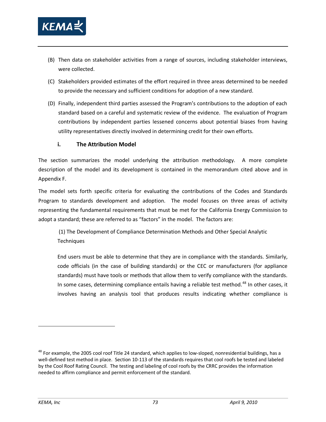

- (B) Then data on stakeholder activities from a range of sources, including stakeholder interviews, were collected.
- (C) Stakeholders provided estimates of the effort required in three areas determined to be needed to provide the necessary and sufficient conditions for adoption of a new standard.
- (D) Finally, independent third parties assessed the Program's contributions to the adoption of each standard based on a careful and systematic review of the evidence. The evaluation of Program contributions by independent parties lessened concerns about potential biases from having utility representatives directly involved in determining credit for their own efforts.

#### **i. The Attribution Model**

The section summarizes the model underlying the attribution methodology. A more complete description of the model and its development is contained in the memorandum cited above and in Appendix F.

The model sets forth specific criteria for evaluating the contributions of the Codes and Standards Program to standards development and adoption. The model focuses on three areas of activity representing the fundamental requirements that must be met for the California Energy Commission to adopt a standard; these are referred to as "factors" in the model. The factors are:

(1) The Development of Compliance Determination Methods and Other Special Analytic **Techniques** 

End users must be able to determine that they are in compliance with the standards. Similarly, code officials (in the case of building standards) or the CEC or manufacturers (for appliance standards) must have tools or methods that allow them to verify compliance with the standards. In some cases, determining compliance entails having a reliable test method.<sup>[48](#page-86-0)</sup> In other cases, it involves having an analysis tool that produces results indicating whether compliance is

<span id="page-86-0"></span> $^{48}$  For example, the 2005 cool roof Title 24 standard, which applies to low-sloped, nonresidential buildings, has a well-defined test method in place. Section 10-113 of the standards requires that cool roofs be tested and labeled by the Cool Roof Rating Council. The testing and labeling of cool roofs by the CRRC provides the information needed to affirm compliance and permit enforcement of the standard.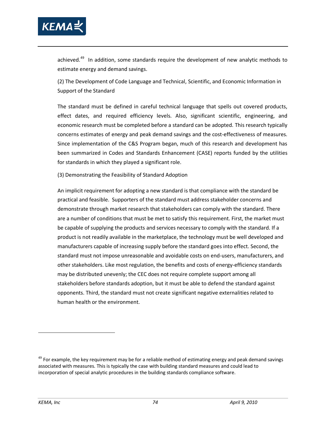

achieved.<sup>[49](#page-87-0)</sup> In addition, some standards require the development of new analytic methods to estimate energy and demand savings.

(2) The Development of Code Language and Technical, Scientific, and Economic Information in Support of the Standard

The standard must be defined in careful technical language that spells out covered products, effect dates, and required efficiency levels. Also, significant scientific, engineering, and economic research must be completed before a standard can be adopted. This research typically concerns estimates of energy and peak demand savings and the cost-effectiveness of measures. Since implementation of the C&S Program began, much of this research and development has been summarized in Codes and Standards Enhancement (CASE) reports funded by the utilities for standards in which they played a significant role.

(3) Demonstrating the Feasibility of Standard Adoption

An implicit requirement for adopting a new standard is that compliance with the standard be practical and feasible. Supporters of the standard must address stakeholder concerns and demonstrate through market research that stakeholders can comply with the standard. There are a number of conditions that must be met to satisfy this requirement. First, the market must be capable of supplying the products and services necessary to comply with the standard. If a product is not readily available in the marketplace, the technology must be well developed and manufacturers capable of increasing supply before the standard goes into effect. Second, the standard must not impose unreasonable and avoidable costs on end-users, manufacturers, and other stakeholders. Like most regulation, the benefits and costs of energy-efficiency standards may be distributed unevenly; the CEC does not require complete support among all stakeholders before standards adoption, but it must be able to defend the standard against opponents. Third, the standard must not create significant negative externalities related to human health or the environment.

<span id="page-87-0"></span><sup>&</sup>lt;sup>49</sup> For example, the key requirement may be for a reliable method of estimating energy and peak demand savings associated with measures. This is typically the case with building standard measures and could lead to incorporation of special analytic procedures in the building standards compliance software.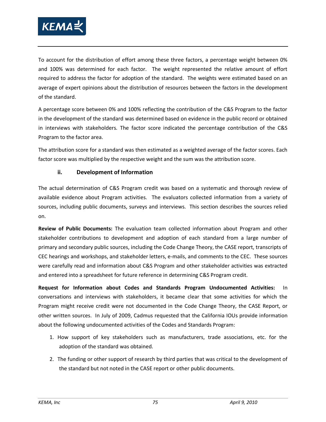

To account for the distribution of effort among these three factors, a percentage weight between 0% and 100% was determined for each factor. The weight represented the relative amount of effort required to address the factor for adoption of the standard. The weights were estimated based on an average of expert opinions about the distribution of resources between the factors in the development of the standard.

A percentage score between 0% and 100% reflecting the contribution of the C&S Program to the factor in the development of the standard was determined based on evidence in the public record or obtained in interviews with stakeholders. The factor score indicated the percentage contribution of the C&S Program to the factor area.

The attribution score for a standard was then estimated as a weighted average of the factor scores. Each factor score was multiplied by the respective weight and the sum was the attribution score.

#### **ii. Development of Information**

The actual determination of C&S Program credit was based on a systematic and thorough review of available evidence about Program activities. The evaluators collected information from a variety of sources, including public documents, surveys and interviews. This section describes the sources relied on.

**Review of Public Documents:** The evaluation team collected information about Program and other stakeholder contributions to development and adoption of each standard from a large number of primary and secondary public sources, including the Code Change Theory, the CASE report, transcripts of CEC hearings and workshops, and stakeholder letters, e-mails, and comments to the CEC. These sources were carefully read and information about C&S Program and other stakeholder activities was extracted and entered into a spreadsheet for future reference in determining C&S Program credit.

**Request for Information about Codes and Standards Program Undocumented Activities:** In conversations and interviews with stakeholders, it became clear that some activities for which the Program might receive credit were not documented in the Code Change Theory, the CASE Report, or other written sources. In July of 2009, Cadmus requested that the California IOUs provide information about the following undocumented activities of the Codes and Standards Program:

- 1. How support of key stakeholders such as manufacturers, trade associations, etc. for the adoption of the standard was obtained.
- 2. The funding or other support of research by third parties that was critical to the development of the standard but not noted in the CASE report or other public documents.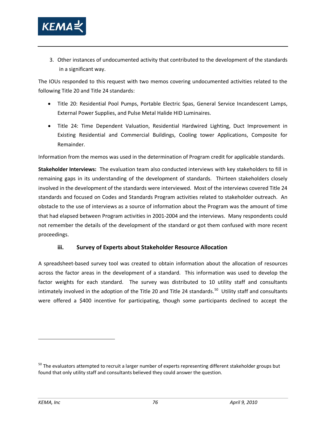

3. Other instances of undocumented activity that contributed to the development of the standards in a significant way.

The IOUs responded to this request with two memos covering undocumented activities related to the following Title 20 and Title 24 standards:

- Title 20: Residential Pool Pumps, Portable Electric Spas, General Service Incandescent Lamps, External Power Supplies, and Pulse Metal Halide HID Luminaires.
- Title 24: Time Dependent Valuation, Residential Hardwired Lighting, Duct Improvement in Existing Residential and Commercial Buildings, Cooling tower Applications, Composite for Remainder.

Information from the memos was used in the determination of Program credit for applicable standards.

**Stakeholder Interviews:** The evaluation team also conducted interviews with key stakeholders to fill in remaining gaps in its understanding of the development of standards. Thirteen stakeholders closely involved in the development of the standards were interviewed. Most of the interviews covered Title 24 standards and focused on Codes and Standards Program activities related to stakeholder outreach. An obstacle to the use of interviews as a source of information about the Program was the amount of time that had elapsed between Program activities in 2001-2004 and the interviews. Many respondents could not remember the details of the development of the standard or got them confused with more recent proceedings.

#### **iii. Survey of Experts about Stakeholder Resource Allocation**

A spreadsheet-based survey tool was created to obtain information about the allocation of resources across the factor areas in the development of a standard. This information was used to develop the factor weights for each standard. The survey was distributed to 10 utility staff and consultants intimately involved in the adoption of the Title 20 and Title 24 standards.<sup>[50](#page-89-0)</sup> Utility staff and consultants were offered a \$400 incentive for participating, though some participants declined to accept the

<span id="page-89-0"></span><sup>&</sup>lt;sup>50</sup> The evaluators attempted to recruit a larger number of experts representing different stakeholder groups but found that only utility staff and consultants believed they could answer the question.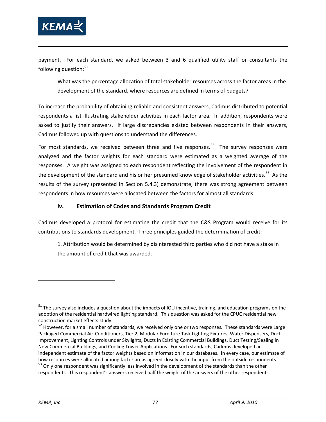

payment. For each standard, we asked between 3 and 6 qualified utility staff or consultants the following question: $51$ 

What was the percentage allocation of total stakeholder resources across the factor areas in the development of the standard, where resources are defined in terms of budgets?

To increase the probability of obtaining reliable and consistent answers, Cadmus distributed to potential respondents a list illustrating stakeholder activities in each factor area. In addition, respondents were asked to justify their answers. If large discrepancies existed between respondents in their answers, Cadmus followed up with questions to understand the differences.

For most standards, we received between three and five responses.<sup>52</sup> The survey responses were analyzed and the factor weights for each standard were estimated as a weighted average of the responses. A weight was assigned to each respondent reflecting the involvement of the respondent in the development of the standard and his or her presumed knowledge of stakeholder activities.<sup>[53](#page-90-2)</sup> As the results of the survey (presented in Section 5.4.3) demonstrate, there was strong agreement between respondents in how resources were allocated between the factors for almost all standards.

### **iv. Estimation of Codes and Standards Program Credit**

Cadmus developed a protocol for estimating the credit that the C&S Program would receive for its contributions to standards development. Three principles guided the determination of credit:

1. Attribution would be determined by disinterested third parties who did not have a stake in the amount of credit that was awarded.

<span id="page-90-0"></span> $51$  The survey also includes a question about the impacts of IOU incentive, training, and education programs on the adoption of the residential hardwired lighting standard. This question was asked for the CPUC residential new construction market effects study.

<span id="page-90-1"></span>*<sup>52</sup>* However, for a small number of standards, we received only one or two responses. These standards were Large Packaged Commercial Air-Conditioners, Tier 2, Modular Furniture Task Lighting Fixtures, Water Dispensers, Duct Improvement, Lighting Controls under Skylights, Ducts in Existing Commercial Buildings, Duct Testing/Sealing in New Commercial Buildings, and Cooling Tower Applications. For such standards, Cadmus developed an independent estimate of the factor weights based on information in our databases. In every case, our estimate of how resources were allocated among factor areas agreed closely with the input from the outside respondents. <sup>53</sup> Only one respondent was significantly less involved in the development of the standards than the other

<span id="page-90-2"></span>respondents. This respondent's answers received half the weight of the answers of the other respondents.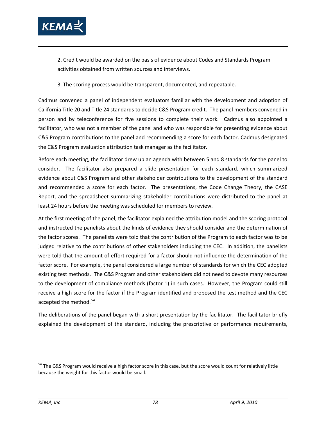

2. Credit would be awarded on the basis of evidence about Codes and Standards Program activities obtained from written sources and interviews.

3. The scoring process would be transparent, documented, and repeatable.

Cadmus convened a panel of independent evaluators familiar with the development and adoption of California Title 20 and Title 24 standards to decide C&S Program credit. The panel members convened in person and by teleconference for five sessions to complete their work. Cadmus also appointed a facilitator, who was not a member of the panel and who was responsible for presenting evidence about C&S Program contributions to the panel and recommending a score for each factor. Cadmus designated the C&S Program evaluation attribution task manager as the facilitator.

Before each meeting, the facilitator drew up an agenda with between 5 and 8 standards for the panel to consider. The facilitator also prepared a slide presentation for each standard, which summarized evidence about C&S Program and other stakeholder contributions to the development of the standard and recommended a score for each factor. The presentations, the Code Change Theory, the CASE Report, and the spreadsheet summarizing stakeholder contributions were distributed to the panel at least 24 hours before the meeting was scheduled for members to review.

At the first meeting of the panel, the facilitator explained the attribution model and the scoring protocol and instructed the panelists about the kinds of evidence they should consider and the determination of the factor scores. The panelists were told that the contribution of the Program to each factor was to be judged relative to the contributions of other stakeholders including the CEC. In addition, the panelists were told that the amount of effort required for a factor should not influence the determination of the factor score. For example, the panel considered a large number of standards for which the CEC adopted existing test methods. The C&S Program and other stakeholders did not need to devote many resources to the development of compliance methods (factor 1) in such cases. However, the Program could still receive a high score for the factor if the Program identified and proposed the test method and the CEC accepted the method.<sup>[54](#page-91-0)</sup>

The deliberations of the panel began with a short presentation by the facilitator. The facilitator briefly explained the development of the standard, including the prescriptive or performance requirements,

<span id="page-91-0"></span><sup>&</sup>lt;sup>54</sup> The C&S Program would receive a high factor score in this case, but the score would count for relatively little because the weight for this factor would be small.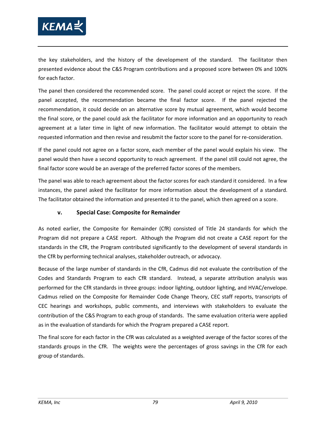

the key stakeholders, and the history of the development of the standard. The facilitator then presented evidence about the C&S Program contributions and a proposed score between 0% and 100% for each factor.

The panel then considered the recommended score. The panel could accept or reject the score. If the panel accepted, the recommendation became the final factor score. If the panel rejected the recommendation, it could decide on an alternative score by mutual agreement, which would become the final score, or the panel could ask the facilitator for more information and an opportunity to reach agreement at a later time in light of new information. The facilitator would attempt to obtain the requested information and then revise and resubmit the factor score to the panel for re-consideration.

If the panel could not agree on a factor score, each member of the panel would explain his view. The panel would then have a second opportunity to reach agreement. If the panel still could not agree, the final factor score would be an average of the preferred factor scores of the members.

The panel was able to reach agreement about the factor scores for each standard it considered. In a few instances, the panel asked the facilitator for more information about the development of a standard. The facilitator obtained the information and presented it to the panel, which then agreed on a score.

#### **v. Special Case: Composite for Remainder**

As noted earlier, the Composite for Remainder (CfR) consisted of Title 24 standards for which the Program did not prepare a CASE report. Although the Program did not create a CASE report for the standards in the CfR, the Program contributed significantly to the development of several standards in the CfR by performing technical analyses, stakeholder outreach, or advocacy.

Because of the large number of standards in the CfR, Cadmus did not evaluate the contribution of the Codes and Standards Program to each CfR standard. Instead, a separate attribution analysis was performed for the CfR standards in three groups: indoor lighting, outdoor lighting, and HVAC/envelope. Cadmus relied on the Composite for Remainder Code Change Theory, CEC staff reports, transcripts of CEC hearings and workshops, public comments, and interviews with stakeholders to evaluate the contribution of the C&S Program to each group of standards. The same evaluation criteria were applied as in the evaluation of standards for which the Program prepared a CASE report.

The final score for each factor in the CfR was calculated as a weighted average of the factor scores of the standards groups in the CfR. The weights were the percentages of gross savings in the CfR for each group of standards.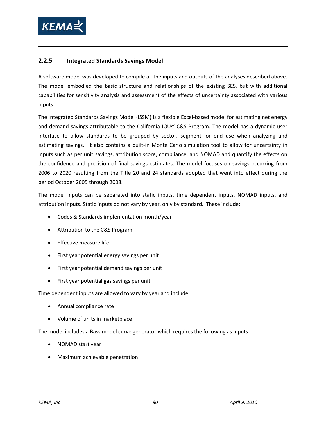

### **2.2.5 Integrated Standards Savings Model**

A software model was developed to compile all the inputs and outputs of the analyses described above. The model embodied the basic structure and relationships of the existing SES, but with additional capabilities for sensitivity analysis and assessment of the effects of uncertainty associated with various inputs.

The Integrated Standards Savings Model (ISSM) is a flexible Excel-based model for estimating net energy and demand savings attributable to the California IOUs' C&S Program. The model has a dynamic user interface to allow standards to be grouped by sector, segment, or end use when analyzing and estimating savings. It also contains a built-in Monte Carlo simulation tool to allow for uncertainty in inputs such as per unit savings, attribution score, compliance, and NOMAD and quantify the effects on the confidence and precision of final savings estimates. The model focuses on savings occurring from 2006 to 2020 resulting from the Title 20 and 24 standards adopted that went into effect during the period October 2005 through 2008.

The model inputs can be separated into static inputs, time dependent inputs, NOMAD inputs, and attribution inputs. Static inputs do not vary by year, only by standard. These include:

- Codes & Standards implementation month/year
- Attribution to the C&S Program
- Effective measure life
- First year potential energy savings per unit
- First year potential demand savings per unit
- First year potential gas savings per unit

Time dependent inputs are allowed to vary by year and include:

- Annual compliance rate
- Volume of units in marketplace

The model includes a Bass model curve generator which requires the following as inputs:

- NOMAD start year
- Maximum achievable penetration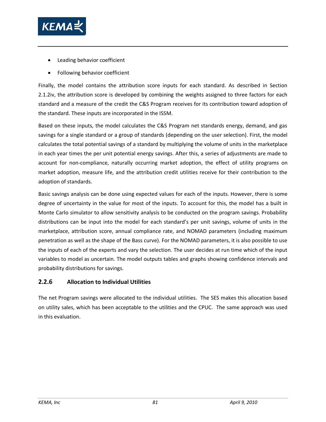

- Leading behavior coefficient
- Following behavior coefficient

Finally, the model contains the attribution score inputs for each standard. As described in Section [2.1.2iv,](#page-40-0) the attribution score is developed by combining the weights assigned to three factors for each standard and a measure of the credit the C&S Program receives for its contribution toward adoption of the standard. These inputs are incorporated in the ISSM.

Based on these inputs, the model calculates the C&S Program net standards energy, demand, and gas savings for a single standard or a group of standards (depending on the user selection). First, the model calculates the total potential savings of a standard by multiplying the volume of units in the marketplace in each year times the per unit potential energy savings. After this, a series of adjustments are made to account for non-compliance, naturally occurring market adoption, the effect of utility programs on market adoption, measure life, and the attribution credit utilities receive for their contribution to the adoption of standards.

Basic savings analysis can be done using expected values for each of the inputs. However, there is some degree of uncertainty in the value for most of the inputs. To account for this, the model has a built in Monte Carlo simulator to allow sensitivity analysis to be conducted on the program savings. Probability distributions can be input into the model for each standard's per unit savings, volume of units in the marketplace, attribution score, annual compliance rate, and NOMAD parameters (including maximum penetration as well as the shape of the Bass curve). For the NOMAD parameters, it is also possible to use the inputs of each of the experts and vary the selection. The user decides at run time which of the input variables to model as uncertain. The model outputs tables and graphs showing confidence intervals and probability distributions for savings.

#### **2.2.6 Allocation to Individual Utilities**

The net Program savings were allocated to the individual utilities. The SES makes this allocation based on utility sales, which has been acceptable to the utilities and the CPUC. The same approach was used in this evaluation.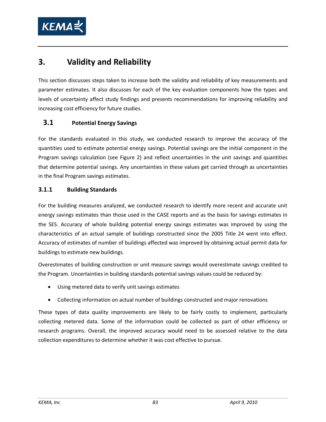

# **3. Validity and Reliability**

This section discusses steps taken to increase both the validity and reliability of key measurements and parameter estimates. It also discusses for each of the key evaluation components how the types and levels of uncertainty affect study findings and presents recommendations for improving reliability and increasing cost efficiency for future studies.

## **3.1 Potential Energy Savings**

For the standards evaluated in this study, we conducted research to improve the accuracy of the quantities used to estimate potential energy savings. Potential savings are the initial component in the Program savings calculation (see [Figure 2\)](#page-49-0) and reflect uncertainties in the unit savings and quantities that determine potential savings. Any uncertainties in these values get carried through as uncertainties in the final Program savings estimates.

### **3.1.1 Building Standards**

For the building measures analyzed, we conducted research to identify more recent and accurate unit energy savings estimates than those used in the CASE reports and as the basis for savings estimates in the SES. Accuracy of whole building potential energy savings estimates was improved by using the characteristics of an actual sample of buildings constructed since the 2005 Title 24 went into effect. Accuracy of estimates of number of buildings affected was improved by obtaining actual permit data for buildings to estimate new buildings.

Overestimates of building construction or unit measure savings would overestimate savings credited to the Program. Uncertainties in building standards potential savings values could be reduced by:

- Using metered data to verify unit savings estimates
- Collecting information on actual number of buildings constructed and major renovations

These types of data quality improvements are likely to be fairly costly to implement, particularly collecting metered data. Some of the information could be collected as part of other efficiency or research programs. Overall, the improved accuracy would need to be assessed relative to the data collection expenditures to determine whether it was cost effective to pursue.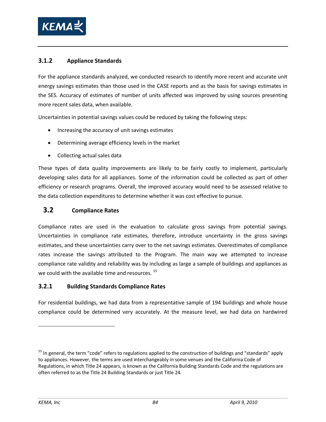

## **3.1.2 Appliance Standards**

For the appliance standards analyzed, we conducted research to identify more recent and accurate unit energy savings estimates than those used in the CASE reports and as the basis for savings estimates in the SES. Accuracy of estimates of number of units affected was improved by using sources presenting more recent sales data, when available.

Uncertainties in potential savings values could be reduced by taking the following steps:

- Increasing the accuracy of unit savings estimates
- Determining average efficiency levels in the market
- Collecting actual sales data

These types of data quality improvements are likely to be fairly costly to implement, particularly developing sales data for all appliances. Some of the information could be collected as part of other efficiency or research programs. Overall, the improved accuracy would need to be assessed relative to the data collection expenditures to determine whether it was cost effective to pursue.

## **3.2 Compliance Rates**

Compliance rates are used in the evaluation to calculate gross savings from potential savings. Uncertainties in compliance rate estimates, therefore, introduce uncertainty in the gross savings estimates, and these uncertainties carry over to the net savings estimates. Overestimates of compliance rates increase the savings attributed to the Program. The main way we attempted to increase compliance rate validity and reliability was by including as large a sample of buildings and appliances as we could with the available time and resources.<sup>[55](#page-97-0)</sup>

## **3.2.1 Building Standards Compliance Rates**

For residential buildings, we had data from a representative sample of 194 buildings and whole house compliance could be determined very accurately. At the measure level, we had data on hardwired

<span id="page-97-0"></span><sup>&</sup>lt;sup>55</sup> In general, the term "code" refers to regulations applied to the construction of buildings and "standards" apply to appliances. However, the terms are used interchangeably in some venues and the California Code of Regulations, in which Title 24 appears, is known as the California Building Standards Code and the regulations are often referred to as the Title 24 Building Standards or just Title 24.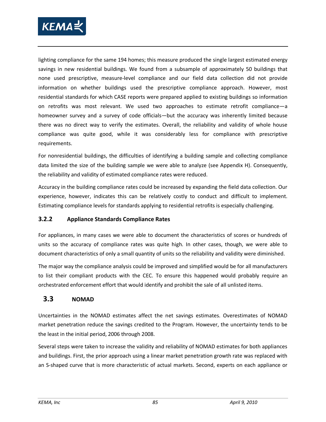

lighting compliance for the same 194 homes; this measure produced the single largest estimated energy savings in new residential buildings. We found from a subsample of approximately 50 buildings that none used prescriptive, measure-level compliance and our field data collection did not provide information on whether buildings used the prescriptive compliance approach. However, most residential standards for which CASE reports were prepared applied to existing buildings so information on retrofits was most relevant. We used two approaches to estimate retrofit compliance—a homeowner survey and a survey of code officials—but the accuracy was inherently limited because there was no direct way to verify the estimates. Overall, the reliability and validity of whole house compliance was quite good, while it was considerably less for compliance with prescriptive requirements.

For nonresidential buildings, the difficulties of identifying a building sample and collecting compliance data limited the size of the building sample we were able to analyze (see Appendix H). Consequently, the reliability and validity of estimated compliance rates were reduced.

Accuracy in the building compliance rates could be increased by expanding the field data collection. Our experience, however, indicates this can be relatively costly to conduct and difficult to implement. Estimating compliance levels for standards applying to residential retrofits is especially challenging.

## **3.2.2 Appliance Standards Compliance Rates**

For appliances, in many cases we were able to document the characteristics of scores or hundreds of units so the accuracy of compliance rates was quite high. In other cases, though, we were able to document characteristics of only a small quantity of units so the reliability and validity were diminished.

The major way the compliance analysis could be improved and simplified would be for all manufacturers to list their compliant products with the CEC. To ensure this happened would probably require an orchestrated enforcement effort that would identify and prohibit the sale of all unlisted items.

# **3.3 NOMAD**

Uncertainties in the NOMAD estimates affect the net savings estimates. Overestimates of NOMAD market penetration reduce the savings credited to the Program. However, the uncertainty tends to be the least in the initial period, 2006 through 2008.

Several steps were taken to increase the validity and reliability of NOMAD estimates for both appliances and buildings. First, the prior approach using a linear market penetration growth rate was replaced with an S-shaped curve that is more characteristic of actual markets. Second, experts on each appliance or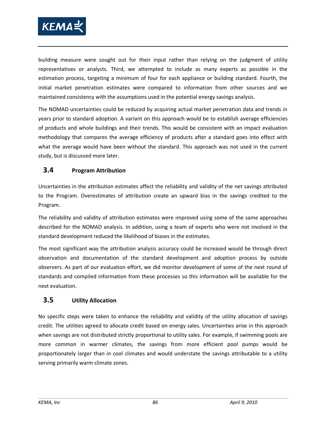

building measure were sought out for their input rather than relying on the judgment of utility representatives or analysts. Third, we attempted to include as many experts as possible in the estimation process, targeting a minimum of four for each appliance or building standard. Fourth, the initial market penetration estimates were compared to information from other sources and we maintained consistency with the assumptions used in the potential energy savings analysis.

The NOMAD uncertainties could be reduced by acquiring actual market penetration data and trends in years prior to standard adoption. A variant on this approach would be to establish average efficiencies of products and whole buildings and their trends. This would be consistent with an impact evaluation methodology that compares the average efficiency of products after a standard goes into effect with what the average would have been without the standard. This approach was not used in the current study, but is discussed more later.

## **3.4 Program Attribution**

Uncertainties in the attribution estimates affect the reliability and validity of the net savings attributed to the Program. Overestimates of attribution create an upward bias in the savings credited to the Program.

The reliability and validity of attribution estimates were improved using some of the same approaches described for the NOMAD analysis. In addition, using a team of experts who were not involved in the standard development reduced the likelihood of biases in the estimates.

The most significant way the attribution analysis accuracy could be increased would be through direct observation and documentation of the standard development and adoption process by outside observers. As part of our evaluation effort, we did monitor development of some of the next round of standards and compiled information from these processes so this information will be available for the next evaluation.

## **3.5 Utility Allocation**

No specific steps were taken to enhance the reliability and validity of the utility allocation of savings credit. The utilities agreed to allocate credit based on energy sales. Uncertainties arise in this approach when savings are not distributed strictly proportional to utility sales. For example, if swimming pools are more common in warmer climates, the savings from more efficient pool pumps would be proportionately larger than in cool climates and would understate the savings attributable to a utility serving primarily warm climate zones.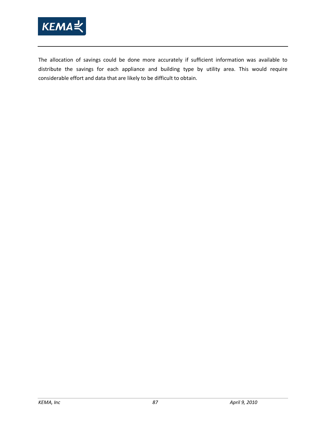

The allocation of savings could be done more accurately if sufficient information was available to distribute the savings for each appliance and building type by utility area. This would require considerable effort and data that are likely to be difficult to obtain.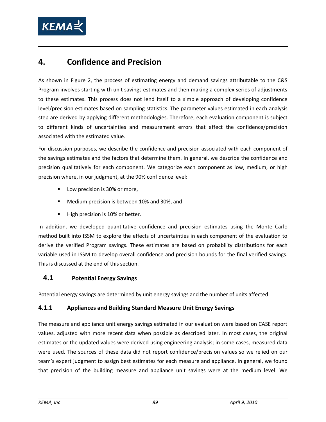

# **4. Confidence and Precision**

As shown in [Figure 2,](#page-49-0) the process of estimating energy and demand savings attributable to the C&S Program involves starting with unit savings estimates and then making a complex series of adjustments to these estimates. This process does not lend itself to a simple approach of developing confidence level/precision estimates based on sampling statistics. The parameter values estimated in each analysis step are derived by applying different methodologies. Therefore, each evaluation component is subject to different kinds of uncertainties and measurement errors that affect the confidence/precision associated with the estimated value.

For discussion purposes, we describe the confidence and precision associated with each component of the savings estimates and the factors that determine them. In general, we describe the confidence and precision qualitatively for each component. We categorize each component as low, medium, or high precision where, in our judgment, at the 90% confidence level:

- **Low precision is 30% or more,**
- **Medium precision is between 10% and 30%, and**
- High precision is 10% or better.

In addition, we developed quantitative confidence and precision estimates using the Monte Carlo method built into ISSM to explore the effects of uncertainties in each component of the evaluation to derive the verified Program savings. These estimates are based on probability distributions for each variable used in ISSM to develop overall confidence and precision bounds for the final verified savings. This is discussed at the end of this section.

# **4.1 Potential Energy Savings**

Potential energy savings are determined by unit energy savings and the number of units affected.

## **4.1.1 Appliances and Building Standard Measure Unit Energy Savings**

The measure and appliance unit energy savings estimated in our evaluation were based on CASE report values, adjusted with more recent data when possible as described later. In most cases, the original estimates or the updated values were derived using engineering analysis; in some cases, measured data were used. The sources of these data did not report confidence/precision values so we relied on our team's expert judgment to assign best estimates for each measure and appliance. In general, we found that precision of the building measure and appliance unit savings were at the medium level. We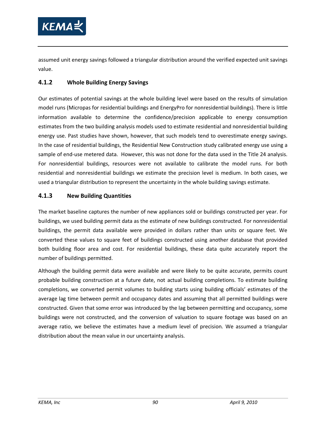

assumed unit energy savings followed a triangular distribution around the verified expected unit savings value.

## **4.1.2 Whole Building Energy Savings**

Our estimates of potential savings at the whole building level were based on the results of simulation model runs (Micropas for residential buildings and EnergyPro for nonresidential buildings). There is little information available to determine the confidence/precision applicable to energy consumption estimates from the two building analysis models used to estimate residential and nonresidential building energy use. Past studies have shown, however, that such models tend to overestimate energy savings. In the case of residential buildings, the Residential New Construction study calibrated energy use using a sample of end-use metered data. However, this was not done for the data used in the Title 24 analysis. For nonresidential buildings, resources were not available to calibrate the model runs. For both residential and nonresidential buildings we estimate the precision level is medium. In both cases, we used a triangular distribution to represent the uncertainty in the whole building savings estimate.

#### **4.1.3 New Building Quantities**

The market baseline captures the number of new appliances sold or buildings constructed per year. For buildings, we used building permit data as the estimate of new buildings constructed. For nonresidential buildings, the permit data available were provided in dollars rather than units or square feet. We converted these values to square feet of buildings constructed using another database that provided both building floor area and cost. For residential buildings, these data quite accurately report the number of buildings permitted.

Although the building permit data were available and were likely to be quite accurate, permits count probable building construction at a future date, not actual building completions. To estimate building completions, we converted permit volumes to building starts using building officials' estimates of the average lag time between permit and occupancy dates and assuming that all permitted buildings were constructed. Given that some error was introduced by the lag between permitting and occupancy, some buildings were not constructed, and the conversion of valuation to square footage was based on an average ratio, we believe the estimates have a medium level of precision. We assumed a triangular distribution about the mean value in our uncertainty analysis.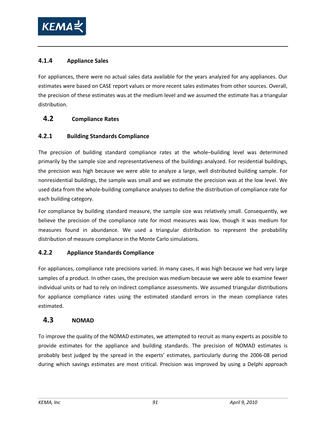

## **4.1.4 Appliance Sales**

For appliances, there were no actual sales data available for the years analyzed for any appliances. Our estimates were based on CASE report values or more recent sales estimates from other sources. Overall, the precision of these estimates was at the medium level and we assumed the estimate has a triangular distribution.

## **4.2 Compliance Rates**

## **4.2.1 Building Standards Compliance**

The precision of building standard compliance rates at the whole–building level was determined primarily by the sample size and representativeness of the buildings analyzed. For residential buildings, the precision was high because we were able to analyze a large, well distributed building sample. For nonresidential buildings, the sample was small and we estimate the precision was at the low level. We used data from the whole-building compliance analyses to define the distribution of compliance rate for each building category.

For compliance by building standard measure, the sample size was relatively small. Consequently, we believe the precision of the compliance rate for most measures was low, though it was medium for measures found in abundance. We used a triangular distribution to represent the probability distribution of measure compliance in the Monte Carlo simulations.

## **4.2.2 Appliance Standards Compliance**

For appliances, compliance rate precisions varied. In many cases, it was high because we had very large samples of a product. In other cases, the precision was medium because we were able to examine fewer individual units or had to rely on indirect compliance assessments. We assumed triangular distributions for appliance compliance rates using the estimated standard errors in the mean compliance rates estimated.

## **4.3 NOMAD**

To improve the quality of the NOMAD estimates, we attempted to recruit as many experts as possible to provide estimates for the appliance and building standards. The precision of NOMAD estimates is probably best judged by the spread in the experts' estimates, particularly during the 2006-08 period during which savings estimates are most critical. Precision was improved by using a Delphi approach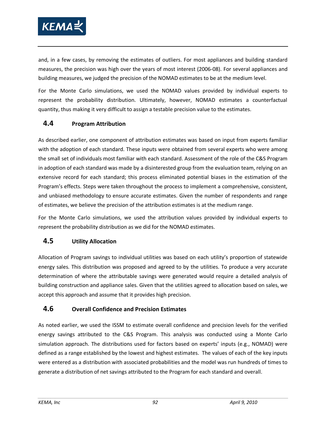

and, in a few cases, by removing the estimates of outliers. For most appliances and building standard measures, the precision was high over the years of most interest (2006-08). For several appliances and building measures, we judged the precision of the NOMAD estimates to be at the medium level.

For the Monte Carlo simulations, we used the NOMAD values provided by individual experts to represent the probability distribution. Ultimately, however, NOMAD estimates a counterfactual quantity, thus making it very difficult to assign a testable precision value to the estimates.

## **4.4 Program Attribution**

As described earlier, one component of attribution estimates was based on input from experts familiar with the adoption of each standard. These inputs were obtained from several experts who were among the small set of individuals most familiar with each standard. Assessment of the role of the C&S Program in adoption of each standard was made by a disinterested group from the evaluation team, relying on an extensive record for each standard; this process eliminated potential biases in the estimation of the Program's effects. Steps were taken throughout the process to implement a comprehensive, consistent, and unbiased methodology to ensure accurate estimates. Given the number of respondents and range of estimates, we believe the precision of the attribution estimates is at the medium range.

For the Monte Carlo simulations, we used the attribution values provided by individual experts to represent the probability distribution as we did for the NOMAD estimates.

# **4.5 Utility Allocation**

Allocation of Program savings to individual utilities was based on each utility's proportion of statewide energy sales. This distribution was proposed and agreed to by the utilities. To produce a very accurate determination of where the attributable savings were generated would require a detailed analysis of building construction and appliance sales. Given that the utilities agreed to allocation based on sales, we accept this approach and assume that it provides high precision.

## **4.6 Overall Confidence and Precision Estimates**

As noted earlier, we used the ISSM to estimate overall confidence and precision levels for the verified energy savings attributed to the C&S Program. This analysis was conducted using a Monte Carlo simulation approach. The distributions used for factors based on experts' inputs (e.g., NOMAD) were defined as a range established by the lowest and highest estimates. The values of each of the key inputs were entered as a distribution with associated probabilities and the model was run hundreds of times to generate a distribution of net savings attributed to the Program for each standard and overall.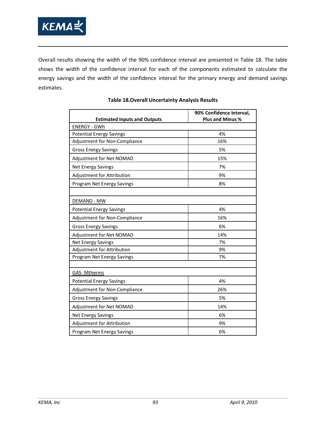

Overall results showing the width of the 90% confidence interval are presented in [Table 18.](#page-106-0) The table shows the width of the confidence interval for each of the components estimated to calculate the energy savings and the width of the confidence interval for the primary energy and demand savings estimates.

<span id="page-106-0"></span>

|                                     | 90% Confidence Interval, |  |  |  |  |
|-------------------------------------|--------------------------|--|--|--|--|
| <b>Estimated Inputs and Outputs</b> | <b>Plus and Minus %</b>  |  |  |  |  |
| <b>ENERGY - GWh</b>                 |                          |  |  |  |  |
| <b>Potential Energy Savings</b>     | 4%                       |  |  |  |  |
| Adjustment for Non-Compliance       | 16%                      |  |  |  |  |
| <b>Gross Energy Savings</b>         | 5%                       |  |  |  |  |
| Adjustment for Net NOMAD            | 15%                      |  |  |  |  |
| <b>Net Energy Savings</b>           | 7%                       |  |  |  |  |
| Adjustment for Attribution          | 9%                       |  |  |  |  |
| Program Net Energy Savings          | 8%                       |  |  |  |  |
|                                     |                          |  |  |  |  |
| <b>DEMAND - MW</b>                  |                          |  |  |  |  |
| <b>Potential Energy Savings</b>     | 4%                       |  |  |  |  |
| Adjustment for Non-Compliance       | 16%                      |  |  |  |  |
| <b>Gross Energy Savings</b>         | 6%                       |  |  |  |  |
| Adjustment for Net NOMAD            | 14%                      |  |  |  |  |
| <b>Net Energy Savings</b>           | 7%                       |  |  |  |  |
| Adjustment for Attribution          | 9%                       |  |  |  |  |
| Program Net Energy Savings          | 7%                       |  |  |  |  |
|                                     |                          |  |  |  |  |
| <b>GAS-Mtherms</b>                  |                          |  |  |  |  |
| <b>Potential Energy Savings</b>     | 4%                       |  |  |  |  |
| Adjustment for Non-Compliance       | 26%                      |  |  |  |  |
| <b>Gross Energy Savings</b>         | 5%                       |  |  |  |  |
| Adjustment for Net NOMAD<br>14%     |                          |  |  |  |  |
| <b>Net Energy Savings</b>           | 6%                       |  |  |  |  |
| Adjustment for Attribution          | 9%                       |  |  |  |  |
| Program Net Energy Savings          | 6%                       |  |  |  |  |

#### **Table 18.Overall Uncertainty Analysis Results**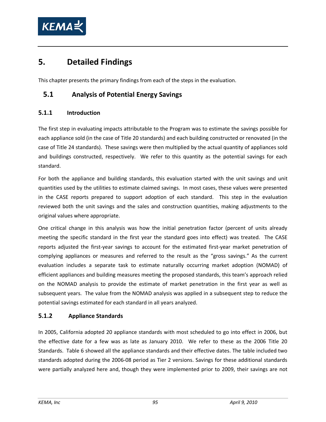

# **5. Detailed Findings**

This chapter presents the primary findings from each of the steps in the evaluation.

## **5.1 Analysis of Potential Energy Savings**

#### **5.1.1 Introduction**

The first step in evaluating impacts attributable to the Program was to estimate the savings possible for each appliance sold (in the case of Title 20 standards) and each building constructed or renovated (in the case of Title 24 standards). These savings were then multiplied by the actual quantity of appliances sold and buildings constructed, respectively. We refer to this quantity as the potential savings for each standard.

For both the appliance and building standards, this evaluation started with the unit savings and unit quantities used by the utilities to estimate claimed savings. In most cases, these values were presented in the CASE reports prepared to support adoption of each standard. This step in the evaluation reviewed both the unit savings and the sales and construction quantities, making adjustments to the original values where appropriate.

One critical change in this analysis was how the initial penetration factor (percent of units already meeting the specific standard in the first year the standard goes into effect) was treated. The CASE reports adjusted the first-year savings to account for the estimated first-year market penetration of complying appliances or measures and referred to the result as the "gross savings." As the current evaluation includes a separate task to estimate naturally occurring market adoption (NOMAD) of efficient appliances and building measures meeting the proposed standards, this team's approach relied on the NOMAD analysis to provide the estimate of market penetration in the first year as well as subsequent years. The value from the NOMAD analysis was applied in a subsequent step to reduce the potential savings estimated for each standard in all years analyzed.

#### **5.1.2 Appliance Standards**

In 2005, California adopted 20 appliance standards with most scheduled to go into effect in 2006, but the effective date for a few was as late as January 2010. We refer to these as the 2006 Title 20 Standards. [Table 6](#page-34-0) showed all the appliance standards and their effective dates. The table included two standards adopted during the 2006-08 period as Tier 2 versions. Savings for these additional standards were partially analyzed here and, though they were implemented prior to 2009, their savings are not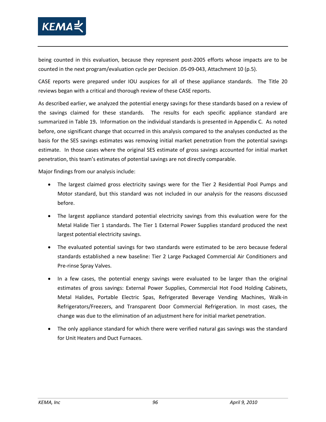

being counted in this evaluation, because they represent post-2005 efforts whose impacts are to be counted in the next program/evaluation cycle per Decision .05-09-043, Attachment 10 (p.5).

CASE reports were prepared under IOU auspices for all of these appliance standards. The Title 20 reviews began with a critical and thorough review of these CASE reports.

As described earlier, we analyzed the potential energy savings for these standards based on a review of the savings claimed for these standards. The results for each specific appliance standard are summarized in [Table 19](#page-110-0)**.** Information on the individual standards is presented in Appendix C. As noted before, one significant change that occurred in this analysis compared to the analyses conducted as the basis for the SES savings estimates was removing initial market penetration from the potential savings estimate. In those cases where the original SES estimate of gross savings accounted for initial market penetration, this team's estimates of potential savings are not directly comparable.

Major findings from our analysis include:

- The largest claimed gross electricity savings were for the Tier 2 Residential Pool Pumps and Motor standard, but this standard was not included in our analysis for the reasons discussed before.
- The largest appliance standard potential electricity savings from this evaluation were for the Metal Halide Tier 1 standards. The Tier 1 External Power Supplies standard produced the next largest potential electricity savings.
- The evaluated potential savings for two standards were estimated to be zero because federal standards established a new baseline: Tier 2 Large Packaged Commercial Air Conditioners and Pre-rinse Spray Valves.
- In a few cases, the potential energy savings were evaluated to be larger than the original estimates of gross savings: External Power Supplies, Commercial Hot Food Holding Cabinets, Metal Halides, Portable Electric Spas, Refrigerated Beverage Vending Machines, Walk-in Refrigerators/Freezers, and Transparent Door Commercial Refrigeration. In most cases, the change was due to the elimination of an adjustment here for initial market penetration.
- The only appliance standard for which there were verified natural gas savings was the standard for Unit Heaters and Duct Furnaces.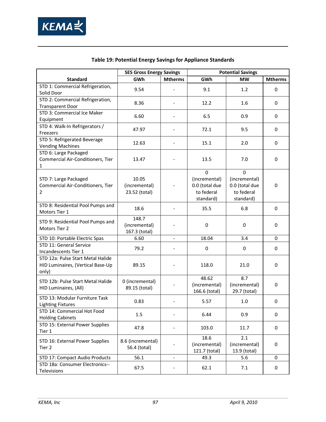

<span id="page-110-0"></span>

|                                                                                 | <b>SES Gross Energy Savings</b>         |                              | <b>Potential Savings</b>                                                  |                                                                        |                |  |
|---------------------------------------------------------------------------------|-----------------------------------------|------------------------------|---------------------------------------------------------------------------|------------------------------------------------------------------------|----------------|--|
| <b>Standard</b>                                                                 | GWh                                     | <b>Mtherms</b>               | GWh                                                                       | <b>MW</b>                                                              | <b>Mtherms</b> |  |
| STD 1: Commercial Refrigeration,<br>Solid Door                                  | 9.54                                    |                              | 9.1                                                                       | 1.2                                                                    | $\mathbf 0$    |  |
| STD 2: Commercial Refrigeration,<br><b>Transparent Door</b>                     | 8.36                                    |                              | 12.2                                                                      | 1.6                                                                    | 0              |  |
| STD 3: Commercial Ice Maker<br>Equipment                                        | 6.60                                    |                              | 6.5                                                                       | 0.9                                                                    | 0              |  |
| STD 4: Walk-In Refrigerators /<br>Freezers                                      | 47.97                                   |                              | 72.1                                                                      | 9.5                                                                    | 0              |  |
| STD 5: Refrigerated Beverage<br><b>Vending Machines</b>                         | 12.63                                   |                              | 15.1                                                                      | 2.0                                                                    | 0              |  |
| STD 6: Large Packaged<br>Commercial Air-Conditioners, Tier<br>1                 | 13.47                                   |                              | 13.5                                                                      | 7.0                                                                    | 0              |  |
| STD 7: Large Packaged<br>Commercial Air-Conditioners, Tier<br>$\overline{2}$    | 10.05<br>(incremental)<br>23.52 (total) |                              | $\mathbf 0$<br>(incremental)<br>0.0 (total due<br>to federal<br>standard) | $\Omega$<br>(incremental)<br>0.0 (total due<br>to federal<br>standard) | $\mathbf 0$    |  |
| STD 8: Residential Pool Pumps and<br>Motors Tier 1                              | 18.6                                    |                              | 35.5                                                                      | 6.8                                                                    | $\mathbf 0$    |  |
| STD 9: Residential Pool Pumps and<br>Motors Tier 2                              | 148.7<br>(incremental)<br>167.3 (total) |                              | $\pmb{0}$                                                                 | 0                                                                      | 0              |  |
| STD 10: Portable Electric Spas                                                  | 6.60                                    |                              | 18.04                                                                     | 3.4                                                                    | $\Omega$       |  |
| STD 11: General Service<br>Incandescents Tier 1                                 | 79.2                                    |                              | 0                                                                         | 0                                                                      | $\mathbf 0$    |  |
| STD 12a: Pulse Start Metal Halide<br>HID Luminaires, (Vertical Base-Up<br>only) | 89.15                                   |                              | 118.0                                                                     | 21.0                                                                   | 0              |  |
| STD 12b: Pulse Start Metal Halide<br>HID Luminaires, (All)                      | 0 (incremental)<br>89.15 (total)        |                              | 48.62<br>(incremental)<br>166.6 (total)                                   | 8.7<br>(incremental)<br>29.7 (total)                                   | 0              |  |
| STD 13: Modular Furniture Task<br><b>Lighting Fixtures</b>                      | 0.83                                    |                              | 5.57                                                                      | 1.0                                                                    | 0              |  |
| STD 14: Commercial Hot Food<br><b>Holding Cabinets</b>                          | 1.5                                     |                              | 6.44                                                                      | 0.9                                                                    | 0              |  |
| STD 15: External Power Supplies<br>Tier 1                                       | 47.8                                    |                              | 103.0                                                                     | 11.7                                                                   | 0              |  |
| STD 16: External Power Supplies<br>Tier 2                                       | 8.6 (incremental)<br>56.4 (total)       |                              | 18.6<br>(incremental)<br>121.7 (total)                                    | 2.1<br>(incremental)<br>13.9 (total)                                   | 0              |  |
| STD 17: Compact Audio Products                                                  | 56.1                                    | $\qquad \qquad \blacksquare$ | 49.3                                                                      | 5.6                                                                    | 0              |  |
| STD 18a: Consumer Electronics--<br>Televisions                                  | 67.5                                    |                              | 62.1                                                                      | 7.1                                                                    | 0              |  |

### **Table 19: Potential Energy Savings for Appliance Standards**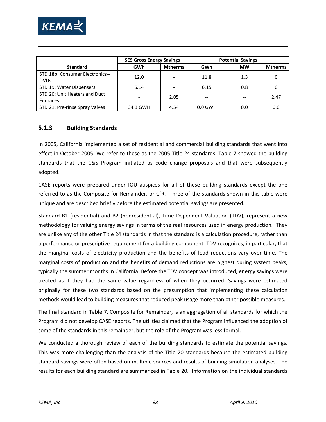

|                                                  | <b>SES Gross Energy Savings</b> |                | <b>Potential Savings</b> |           |                |
|--------------------------------------------------|---------------------------------|----------------|--------------------------|-----------|----------------|
| <b>Standard</b>                                  | GWh                             | <b>Mtherms</b> | GWh                      | <b>MW</b> | <b>Mtherms</b> |
| STD 18b: Consumer Electronics--<br><b>DVDs</b>   | 12.0                            | ۰              | 11.8                     | 1.3       |                |
| STD 19: Water Dispensers                         | 6.14                            |                | 6.15                     | 0.8       |                |
| STD 20: Unit Heaters and Duct<br><b>Furnaces</b> |                                 | 2.05           |                          |           | 2.47           |
| STD 21: Pre-rinse Spray Valves                   | 34.3 GWH                        | 4.54           | $0.0$ GWH                | 0.0       | 0.0            |

#### **5.1.3 Building Standards**

In 2005, California implemented a set of residential and commercial building standards that went into effect in October 2005. We refer to these as the 2005 Title 24 standards. [Table 7](#page-35-0) showed the building standards that the C&S Program initiated as code change proposals and that were subsequently adopted.

CASE reports were prepared under IOU auspices for all of these building standards except the one referred to as the Composite for Remainder, or CfR. Three of the standards shown in this table were unique and are described briefly before the estimated potential savings are presented.

Standard B1 (residential) and B2 (nonresidential), Time Dependent Valuation (TDV), represent a new methodology for valuing energy savings in terms of the real resources used in energy production. They are unlike any of the other Title 24 standards in that the standard is a calculation procedure, rather than a performance or prescriptive requirement for a building component. TDV recognizes, in particular, that the marginal costs of electricity production and the benefits of load reductions vary over time. The marginal costs of production and the benefits of demand reductions are highest during system peaks, typically the summer months in California. Before the TDV concept was introduced, energy savings were treated as if they had the same value regardless of when they occurred. Savings were estimated originally for these two standards based on the presumption that implementing these calculation methods would lead to building measures that reduced peak usage more than other possible measures.

The final standard in [Table 7,](#page-35-0) Composite for Remainder, is an aggregation of all standards for which the Program did not develop CASE reports. The utilities claimed that the Program influenced the adoption of some of the standards in this remainder, but the role of the Program was less formal.

We conducted a thorough review of each of the building standards to estimate the potential savings. This was more challenging than the analysis of the Title 20 standards because the estimated building standard savings were often based on multiple sources and results of building simulation analyses. The results for each building standard are summarized in [Table 20.](#page-113-0) Information on the individual standards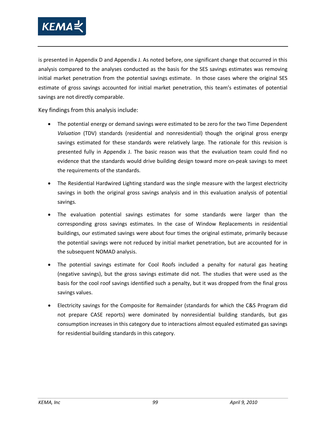

is presented in Appendix D and Appendix J. As noted before, one significant change that occurred in this analysis compared to the analyses conducted as the basis for the SES savings estimates was removing initial market penetration from the potential savings estimate. In those cases where the original SES estimate of gross savings accounted for initial market penetration, this team's estimates of potential savings are not directly comparable.

Key findings from this analysis include:

- The potential energy or demand savings were estimated to be zero for the two Time Dependent *Valuation* (TDV) standards (residential and nonresidential) though the original gross energy savings estimated for these standards were relatively large. The rationale for this revision is presented fully in Appendix J. The basic reason was that the evaluation team could find no evidence that the standards would drive building design toward more on-peak savings to meet the requirements of the standards.
- The Residential Hardwired Lighting standard was the single measure with the largest electricity savings in both the original gross savings analysis and in this evaluation analysis of potential savings.
- The evaluation potential savings estimates for some standards were larger than the corresponding gross savings estimates. In the case of Window Replacements in residential buildings, our estimated savings were about four times the original estimate, primarily because the potential savings were not reduced by initial market penetration, but are accounted for in the subsequent NOMAD analysis.
- The potential savings estimate for Cool Roofs included a penalty for natural gas heating (negative savings), but the gross savings estimate did not. The studies that were used as the basis for the cool roof savings identified such a penalty, but it was dropped from the final gross savings values.
- Electricity savings for the Composite for Remainder (standards for which the C&S Program did not prepare CASE reports) were dominated by nonresidential building standards, but gas consumption increases in this category due to interactions almost equaled estimated gas savings for residential building standards in this category.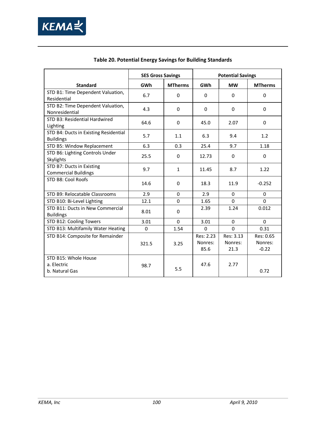

<span id="page-113-0"></span>

|                                                           | <b>SES Gross Savings</b> |                | <b>Potential Savings</b>     |                              |                                 |  |
|-----------------------------------------------------------|--------------------------|----------------|------------------------------|------------------------------|---------------------------------|--|
| <b>Standard</b>                                           | <b>GWh</b>               | <b>MTherms</b> | GWh                          | <b>MW</b>                    | <b>MTherms</b>                  |  |
| STD B1: Time Dependent Valuation,<br>Residential          | 6.7                      | $\Omega$       | $\Omega$                     | $\Omega$                     | $\mathbf 0$                     |  |
| STD B2: Time Dependent Valuation,<br>Nonresidential       | 4.3                      | $\Omega$       | $\Omega$                     | $\Omega$                     | $\Omega$                        |  |
| STD B3: Residential Hardwired<br>Lighting                 | 64.6                     | $\Omega$       | 45.0                         | 2.07                         | $\Omega$                        |  |
| STD B4: Ducts in Existing Residential<br><b>Buildings</b> | 5.7                      | 1.1            | 6.3                          | 9.4                          | 1.2                             |  |
| STD B5: Window Replacement                                | 6.3                      | 0.3            | 25.4                         | 9.7                          | 1.18                            |  |
| STD B6: Lighting Controls Under<br>Skylights              | 25.5                     | $\mathbf 0$    | 12.73                        | $\Omega$                     | $\mathbf 0$                     |  |
| STD B7: Ducts in Existing<br><b>Commercial Buildings</b>  | 9.7                      | $\mathbf{1}$   | 11.45                        | 8.7                          | 1.22                            |  |
| STD B8: Cool Roofs                                        | 14.6                     | $\mathbf 0$    | 18.3                         | 11.9                         | $-0.252$                        |  |
| STD B9: Relocatable Classrooms                            | 2.9                      | $\mathbf 0$    | 2.9                          | $\Omega$                     | $\mathbf 0$                     |  |
| STD B10: Bi-Level Lighting                                | 12.1                     | $\Omega$       | 1.65                         | $\Omega$                     | $\Omega$                        |  |
| STD B11: Ducts in New Commercial<br><b>Buildings</b>      | 8.01                     | 0              | 2.39                         | 1.24                         | 0.012                           |  |
| STD B12: Cooling Towers                                   | 3.01                     | $\Omega$       | 3.01                         | $\Omega$                     | $\Omega$                        |  |
| STD B13: Multifamily Water Heating                        | 0                        | 1.54           | $\Omega$                     | $\Omega$                     | 0.31                            |  |
| STD B14: Composite for Remainder                          | 321.5                    | 3.25           | Res: 2.23<br>Nonres:<br>85.6 | Res: 3.13<br>Nonres:<br>21.3 | Res: 0.65<br>Nonres:<br>$-0.22$ |  |
| STD B15: Whole House<br>a. Electric<br>b. Natural Gas     | 98.7                     | 5.5            | 47.6                         | 2.77                         | 0.72                            |  |

### **Table 20. Potential Energy Savings for Building Standards**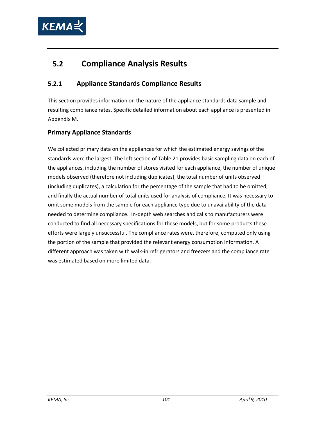

# **5.2 Compliance Analysis Results**

## **5.2.1 Appliance Standards Compliance Results**

This section provides information on the nature of the appliance standards data sample and resulting compliance rates. Specific detailed information about each appliance is presented in Appendix M.

### **Primary Appliance Standards**

We collected primary data on the appliances for which the estimated energy savings of the standards were the largest. The left section of [Table 21](#page-115-0) provides basic sampling data on each of the appliances, including the number of stores visited for each appliance, the number of unique models observed (therefore not including duplicates), the total number of units observed (including duplicates), a calculation for the percentage of the sample that had to be omitted, and finally the actual number of total units used for analysis of compliance. It was necessary to omit some models from the sample for each appliance type due to unavailability of the data needed to determine compliance. In-depth web searches and calls to manufacturers were conducted to find all necessary specifications for these models, but for some products these efforts were largely unsuccessful. The compliance rates were, therefore, computed only using the portion of the sample that provided the relevant energy consumption information. A different approach was taken with walk-in refrigerators and freezers and the compliance rate was estimated based on more limited data.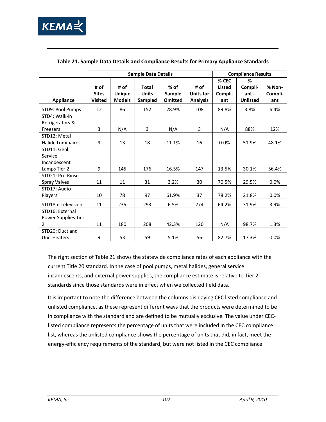

|                                          | <b>Sample Data Details</b>             |                                        |                                         |                                    |                                      | <b>Compliance Results</b>                |                                            |                          |
|------------------------------------------|----------------------------------------|----------------------------------------|-----------------------------------------|------------------------------------|--------------------------------------|------------------------------------------|--------------------------------------------|--------------------------|
| <b>Appliance</b>                         | # of<br><b>Sites</b><br><b>Visited</b> | # of<br><b>Unique</b><br><b>Models</b> | <b>Total</b><br><b>Units</b><br>Sampled | $%$ of<br>Sample<br><b>Omitted</b> | # of<br>Units for<br><b>Analysis</b> | % CEC<br><b>Listed</b><br>Compli-<br>ant | ℅<br>Compli-<br>$ant -$<br><b>Unlisted</b> | % Non-<br>Compli-<br>ant |
| STD9: Pool Pumps                         | 12                                     | 86                                     | 152                                     | 28.9%                              | 108                                  | 89.8%                                    | 3.8%                                       | 6.4%                     |
| STD4: Walk-in<br>Refrigerators &         |                                        |                                        |                                         |                                    |                                      |                                          |                                            |                          |
| Freezers                                 | 3                                      | N/A                                    | 3                                       | N/A                                | 3                                    | N/A                                      | 88%                                        | 12%                      |
| STD12: Metal<br><b>Halide Luminaires</b> | 9                                      | 13                                     | 18                                      | 11.1%                              | 16                                   | 0.0%                                     | 51.9%                                      | 48.1%                    |
| STD11: Genl.                             |                                        |                                        |                                         |                                    |                                      |                                          |                                            |                          |
| Service                                  |                                        |                                        |                                         |                                    |                                      |                                          |                                            |                          |
| Incandescent                             |                                        |                                        |                                         |                                    |                                      |                                          |                                            |                          |
| Lamps Tier 2                             | 9                                      | 145                                    | 176                                     | 16.5%                              | 147                                  | 13.5%                                    | 30.1%                                      | 56.4%                    |
| STD21: Pre-Rinse<br>Spray Valves         | 11                                     | 11                                     | 31                                      | 3.2%                               | 30                                   | 70.5%                                    | 29.5%                                      | $0.0\%$                  |
| STD17: Audio                             |                                        |                                        |                                         |                                    |                                      |                                          |                                            |                          |
| Players                                  | 10                                     | 78                                     | 97                                      | 61.9%                              | 37                                   | 78.2%                                    | 21.8%                                      | 0.0%                     |
| STD18a: Televisions                      | 11                                     | 235                                    | 293                                     | 6.5%                               | 274                                  | 64.2%                                    | 31.9%                                      | 3.9%                     |
| STD16: External                          |                                        |                                        |                                         |                                    |                                      |                                          |                                            |                          |
| Power Supplies Tier                      |                                        |                                        |                                         |                                    |                                      |                                          |                                            |                          |
| 2                                        | 11                                     | 180                                    | 208                                     | 42.3%                              | 120                                  | N/A                                      | 98.7%                                      | 1.3%                     |
| STD20: Duct and<br>Unit Heaters          | 9                                      | 53                                     | 59                                      | 5.1%                               | 56                                   | 82.7%                                    | 17.3%                                      | 0.0%                     |

#### <span id="page-115-0"></span>**Table 21. Sample Data Details and Compliance Results for Primary Appliance Standards**

The right section of [Table 21](#page-115-0) shows the statewide compliance rates of each appliance with the current Title 20 standard. In the case of pool pumps, metal halides, general service incandescents, and external power supplies, the compliance estimate is relative to Tier 2 standards since those standards were in effect when we collected field data.

It is important to note the difference between the columns displaying CEC listed compliance and unlisted compliance, as these represent different ways that the products were determined to be in compliance with the standard and are defined to be mutually exclusive. The value under CEClisted compliance represents the percentage of units that were included in the CEC compliance list, whereas the unlisted compliance shows the percentage of units that did, in fact, meet the energy-efficiency requirements of the standard, but were not listed in the CEC compliance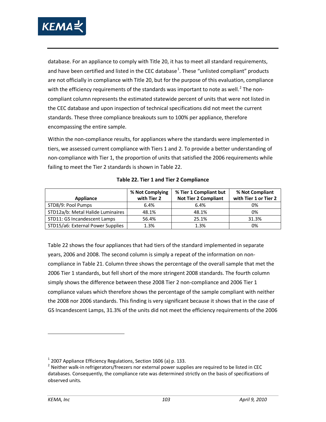

database. For an appliance to comply with Title 20, it has to meet all standard requirements, and have been certified and listed in the CEC database<sup>[1](#page-116-1)</sup>. These "unlisted compliant" products are not officially in compliance with Title 20, but for the purpose of this evaluation, compliance with the efficiency requirements of the standards was important to note as well.<sup>[2](#page-116-2)</sup> The noncompliant column represents the estimated statewide percent of units that were not listed in the CEC database and upon inspection of technical specifications did not meet the current standards. These three compliance breakouts sum to 100% per appliance, therefore encompassing the entire sample.

Within the non-compliance results, for appliances where the standards were implemented in tiers, we assessed current compliance with Tiers 1 and 2. To provide a better understanding of non-compliance with Tier 1, the proportion of units that satisfied the 2006 requirements while failing to meet the Tier 2 standards is shown in [Table 22.](#page-116-0)

<span id="page-116-0"></span>

| Appliance                         | % Not Complying<br>with Tier 2 | % Tier 1 Compliant but<br><b>Not Tier 2 Compliant</b> | % Not Compliant<br>with Tier 1 or Tier 2 |
|-----------------------------------|--------------------------------|-------------------------------------------------------|------------------------------------------|
| STD8/9: Pool Pumps                | 6.4%                           | 6.4%                                                  | 0%                                       |
| STD12a/b: Metal Halide Luminaires | 48.1%                          | 48.1%                                                 | 0%                                       |
| STD11: GS Incandescent Lamps      | 56.4%                          | 25.1%                                                 | 31.3%                                    |
| STD15/a6: External Power Supplies | 1.3%                           | 1.3%                                                  | 0%                                       |

**Table 22. Tier 1 and Tier 2 Compliance** 

[Table 22](#page-116-0) shows the four appliances that had tiers of the standard implemented in separate years, 2006 and 2008. The second column is simply a repeat of the information on noncompliance i[n Table 21.](#page-115-0) Column three shows the percentage of the overall sample that met the 2006 Tier 1 standards, but fell short of the more stringent 2008 standards. The fourth column simply shows the difference between these 2008 Tier 2 non-compliance and 2006 Tier 1 compliance values which therefore shows the percentage of the sample compliant with neither the 2008 nor 2006 standards. This finding is very significant because it shows that in the case of GS Incandescent Lamps, 31.3% of the units did not meet the efficiency requirements of the 2006

<span id="page-116-1"></span> $1$  2007 Appliance Efficiency Regulations, Section 1606 (a) p. 133.

<span id="page-116-2"></span> $2$  Neither walk-in refrigerators/freezers nor external power supplies are required to be listed in CEC databases. Consequently, the compliance rate was determined strictly on the basis of specifications of observed units.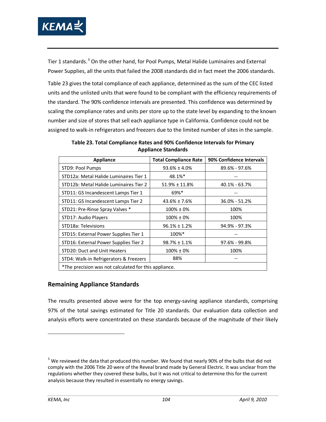

Tier 1 standards.<sup>[3](#page-117-1)</sup> On the other hand, for Pool Pumps, Metal Halide Luminaires and External Power Supplies, all the units that failed the 2008 standards did in fact meet the 2006 standards.

[Table 23](#page-117-0) gives the total compliance of each appliance, determined as the sum of the CEC listed units and the unlisted units that were found to be compliant with the efficiency requirements of the standard. The 90% confidence intervals are presented. This confidence was determined by scaling the compliance rates and units per store up to the state level by expanding to the known number and size of stores that sell each appliance type in California. Confidence could not be assigned to walk-in refrigerators and freezers due to the limited number of sites in the sample.

<span id="page-117-0"></span>

| <b>Appliance</b>                                      | <b>Total Compliance Rate</b> | 90% Confidence Intervals |
|-------------------------------------------------------|------------------------------|--------------------------|
| STD9: Pool Pumps                                      | $93.6\% \pm 4.0\%$           | 89.6% - 97.6%            |
| STD12a: Metal Halide Luminaires Tier 1                | 48.1%*                       |                          |
| STD12b: Metal Halide Luminaires Tier 2                | $51.9\% \pm 11.8\%$          | $40.1\% - 63.7\%$        |
| STD11: GS Incandescent Lamps Tier 1                   | $69\%$ <sup>*</sup>          |                          |
| STD11: GS Incandescent Lamps Tier 2                   | $43.6\% \pm 7.6\%$           | 36.0% - 51.2%            |
| STD21: Pre-Rinse Spray Valves *                       | $100\% \pm 0\%$              | 100%                     |
| STD17: Audio Players                                  | $100\% \pm 0\%$              | 100%                     |
| STD18a: Televisions                                   | $96.1\% \pm 1.2\%$           | 94.9% - 97.3%            |
| STD15: External Power Supplies Tier 1                 | 100%*                        |                          |
| STD16: External Power Supplies Tier 2                 | $98.7\% \pm 1.1\%$           | 97.6% - 99.8%            |
| STD20: Duct and Unit Heaters                          | $100\% \pm 0\%$              | 100%                     |
| STD4: Walk-in Refrigerators & Freezers                | 88%                          |                          |
| *The precision was not calculated for this appliance. |                              |                          |

**Table 23. Total Compliance Rates and 90% Confidence Intervals for Primary Appliance Standards** 

## **Remaining Appliance Standards**

The results presented above were for the top energy-saving appliance standards, comprising 97% of the total savings estimated for Title 20 standards. Our evaluation data collection and analysis efforts were concentrated on these standards because of the magnitude of their likely

<span id="page-117-1"></span> $3$  We reviewed the data that produced this number. We found that nearly 90% of the bulbs that did not comply with the 2006 Title 20 were of the Reveal brand made by General Electric. It was unclear from the regulations whether they covered these bulbs, but it was not critical to determine this for the current analysis because they resulted in essentially no energy savings.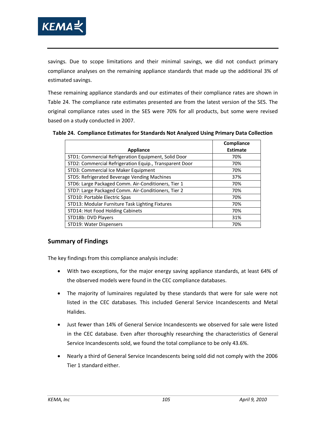

savings. Due to scope limitations and their minimal savings, we did not conduct primary compliance analyses on the remaining appliance standards that made up the additional 3% of estimated savings.

These remaining appliance standards and our estimates of their compliance rates are shown in [Table 24.](#page-118-0) The compliance rate estimates presented are from the latest version of the SES. The original compliance rates used in the SES were 70% for all products, but some were revised based on a study conducted in 2007.

|                                                         | Compliance      |
|---------------------------------------------------------|-----------------|
| <b>Appliance</b>                                        | <b>Estimate</b> |
| STD1: Commercial Refrigeration Equipment, Solid Door    | 70%             |
| STD2: Commercial Refrigeration Equip., Transparent Door | 70%             |
| STD3: Commercial Ice Maker Equipment                    | 70%             |
| STD5: Refrigerated Beverage Vending Machines            | 37%             |
| STD6: Large Packaged Comm. Air-Conditioners, Tier 1     | 70%             |
| STD7: Large Packaged Comm. Air-Conditioners, Tier 2     | 70%             |
| STD10: Portable Electric Spas                           | 70%             |
| STD13: Modular Furniture Task Lighting Fixtures         | 70%             |
| STD14: Hot Food Holding Cabinets                        | 70%             |
| STD18b: DVD Players                                     | 31%             |
| STD19: Water Dispensers                                 | 70%             |

<span id="page-118-0"></span>**Table 24. Compliance Estimates for Standards Not Analyzed Using Primary Data Collection**

#### **Summary of Findings**

The key findings from this compliance analysis include:

- With two exceptions, for the major energy saving appliance standards, at least 64% of the observed models were found in the CEC compliance databases.
- The majority of luminaires regulated by these standards that were for sale were not listed in the CEC databases. This included General Service Incandescents and Metal Halides.
- Just fewer than 14% of General Service Incandescents we observed for sale were listed in the CEC database. Even after thoroughly researching the characteristics of General Service Incandescents sold, we found the total compliance to be only 43.6%.
- Nearly a third of General Service Incandescents being sold did not comply with the 2006 Tier 1 standard either.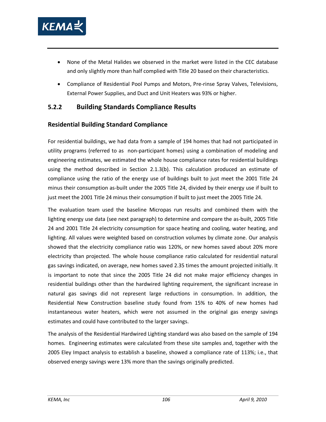

- None of the Metal Halides we observed in the market were listed in the CEC database and only slightly more than half complied with Title 20 based on their characteristics.
- Compliance of Residential Pool Pumps and Motors, Pre-rinse Spray Valves, Televisions, External Power Supplies, and Duct and Unit Heaters was 93% or higher.

### **5.2.2 Building Standards Compliance Results**

#### **Residential Building Standard Compliance**

For residential buildings, we had data from a sample of 194 homes that had not participated in utility programs (referred to as non-participant homes) using a combination of modeling and engineering estimates, we estimated the whole house compliance rates for residential buildings using the method described in Section [2.1.3\(b\).](#page-44-0) This calculation produced an estimate of compliance using the ratio of the energy use of buildings built to just meet the 2001 Title 24 minus their consumption as-built under the 2005 Title 24, divided by their energy use if built to just meet the 2001 Title 24 minus their consumption if built to just meet the 2005 Title 24.

The evaluation team used the baseline Micropas run results and combined them with the lighting energy use data (see next paragraph) to determine and compare the as-built, 2005 Title 24 and 2001 Title 24 electricity consumption for space heating and cooling, water heating, and lighting. All values were weighted based on construction volumes by climate zone. Our analysis showed that the electricity compliance ratio was 120%, or new homes saved about 20% more electricity than projected. The whole house compliance ratio calculated for residential natural gas savings indicated, on average, new homes saved 2.35 times the amount projected initially. It is important to note that since the 2005 Title 24 did not make major efficiency changes in residential buildings other than the hardwired lighting requirement, the significant increase in natural gas savings did not represent large reductions in consumption. In addition, the Residential New Construction baseline study found from 15% to 40% of new homes had instantaneous water heaters, which were not assumed in the original gas energy savings estimates and could have contributed to the larger savings.

The analysis of the Residential Hardwired Lighting standard was also based on the sample of 194 homes. Engineering estimates were calculated from these site samples and, together with the 2005 Eley Impact analysis to establish a baseline, showed a compliance rate of 113%; i.e., that observed energy savings were 13% more than the savings originally predicted.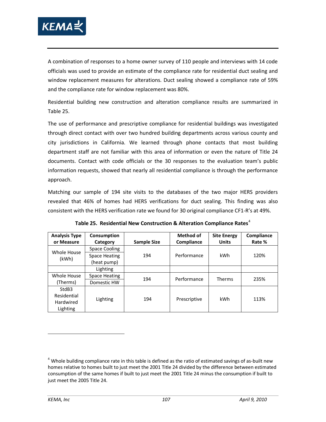

A combination of responses to a home owner survey of 110 people and interviews with 14 code officials was used to provide an estimate of the compliance rate for residential duct sealing and window replacement measures for alterations. Duct sealing showed a compliance rate of 59% and the compliance rate for window replacement was 80%.

Residential building new construction and alteration compliance results are summarized in [Table 25.](#page-120-0)

The use of performance and prescriptive compliance for residential buildings was investigated through direct contact with over two hundred building departments across various county and city jurisdictions in California. We learned through phone contacts that most building department staff are not familiar with this area of information or even the nature of Title 24 documents. Contact with code officials or the 30 responses to the evaluation team's public information requests, showed that nearly all residential compliance is through the performance approach.

Matching our sample of 194 site visits to the databases of the two major HERS providers revealed that 46% of homes had HERS verifications for duct sealing. This finding was also consistent with the HERS verification rate we found for 30 original compliance CF1-R's at 49%.

<span id="page-120-0"></span>

| <b>Analysis Type</b> | Consumption          |                    | Method of    | <b>Site Energy</b> | Compliance |
|----------------------|----------------------|--------------------|--------------|--------------------|------------|
| or Measure           | Category             | <b>Sample Size</b> | Compliance   | <b>Units</b>       | Rate %     |
| <b>Whole House</b>   | Space Cooling        |                    |              |                    |            |
|                      | <b>Space Heating</b> | 194                | Performance  | kWh                | 120%       |
| (kWh)                | (heat pump)          |                    |              |                    |            |
|                      | Lighting             |                    |              |                    |            |
| Whole House          | Space Heating        | 194                | Performance  | <b>Therms</b>      | 235%       |
| (Therms)             | Domestic HW          |                    |              |                    |            |
| StdB3                |                      |                    |              |                    |            |
| Residential          | Lighting             | 194                | Prescriptive | kWh                | 113%       |
| Hardwired            |                      |                    |              |                    |            |
| Lighting             |                      |                    |              |                    |            |

**Table 25. Residential New Construction & Alteration Compliance Rates**[4](#page-120-1)

<span id="page-120-1"></span> $4$  Whole building compliance rate in this table is defined as the ratio of estimated savings of as-built new homes relative to homes built to just meet the 2001 Title 24 divided by the difference between estimated consumption of the same homes if built to just meet the 2001 Title 24 minus the consumption if built to just meet the 2005 Title 24.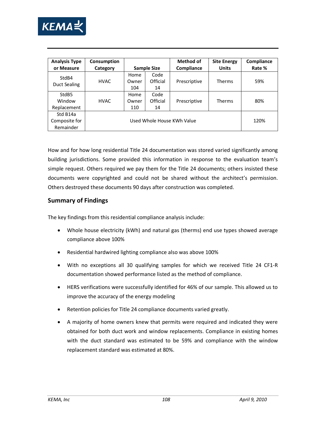

| <b>Analysis Type</b><br>or Measure         | Consumption<br>Category |                      | <b>Sample Size</b>         | <b>Method of</b><br>Compliance | <b>Site Energy</b><br><b>Units</b> | Compliance<br>Rate % |
|--------------------------------------------|-------------------------|----------------------|----------------------------|--------------------------------|------------------------------------|----------------------|
| StdB4<br>Duct Sealing                      | <b>HVAC</b>             | Home<br>Owner<br>104 | Code<br>Official<br>14     | Prescriptive                   | Therms                             | 59%                  |
| StdB <sub>5</sub><br>Window<br>Replacement | <b>HVAC</b>             | Home<br>Owner<br>110 | Code<br>Official<br>14     | Prescriptive                   | Therms                             | 80%                  |
| Std B14a<br>Composite for<br>Remainder     |                         |                      | Used Whole House KWh Value |                                |                                    | 120%                 |

How and for how long residential Title 24 documentation was stored varied significantly among building jurisdictions. Some provided this information in response to the evaluation team's simple request. Others required we pay them for the Title 24 documents; others insisted these documents were copyrighted and could not be shared without the architect's permission. Others destroyed these documents 90 days after construction was completed.

#### **Summary of Findings**

The key findings from this residential compliance analysis include:

- Whole house electricity (kWh) and natural gas (therms) end use types showed average compliance above 100%
- Residential hardwired lighting compliance also was above 100%
- With no exceptions all 30 qualifying samples for which we received Title 24 CF1-R documentation showed performance listed as the method of compliance.
- HERS verifications were successfully identified for 46% of our sample. This allowed us to improve the accuracy of the energy modeling
- Retention policies for Title 24 compliance documents varied greatly.
- A majority of home owners knew that permits were required and indicated they were obtained for both duct work and window replacements. Compliance in existing homes with the duct standard was estimated to be 59% and compliance with the window replacement standard was estimated at 80%.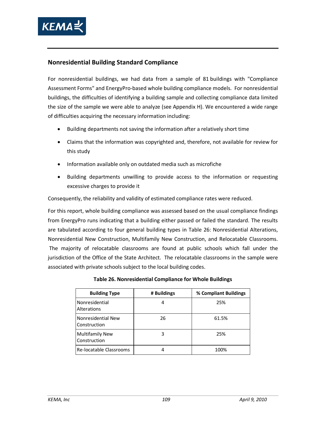

#### **Nonresidential Building Standard Compliance**

For nonresidential buildings, we had data from a sample of 81 buildings with "Compliance Assessment Forms" and EnergyPro-based whole building compliance models. For nonresidential buildings, the difficulties of identifying a building sample and collecting compliance data limited the size of the sample we were able to analyze (see Appendix H). We encountered a wide range of difficulties acquiring the necessary information including:

- Building departments not saving the information after a relatively short time
- Claims that the information was copyrighted and, therefore, not available for review for this study
- Information available only on outdated media such as microfiche
- Building departments unwilling to provide access to the information or requesting excessive charges to provide it

Consequently, the reliability and validity of estimated compliance rates were reduced.

For this report, whole building compliance was assessed based on the usual compliance findings from EnergyPro runs indicating that a building either passed or failed the standard. The results are tabulated according to four general building types in [Table 26:](#page-122-0) Nonresidential Alterations, Nonresidential New Construction, Multifamily New Construction, and Relocatable Classrooms. The majority of relocatable classrooms are found at public schools which fall under the jurisdiction of the Office of the State Architect. The relocatable classrooms in the sample were associated with private schools subject to the local building codes.

<span id="page-122-0"></span>

| <b>Building Type</b>                   | # Buildings | % Compliant Buildings |
|----------------------------------------|-------------|-----------------------|
| Nonresidential<br>Alterations          | 4           | 25%                   |
| Nonresidential New<br>Construction     | 26          | 61.5%                 |
| <b>Multifamily New</b><br>Construction | 3           | 25%                   |
| Re-locatable Classrooms                |             | 100%                  |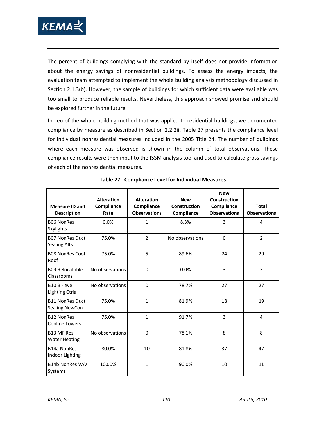

The percent of buildings complying with the standard by itself does not provide information about the energy savings of nonresidential buildings. To assess the energy impacts, the evaluation team attempted to implement the whole building analysis methodology discussed in Section [2.1.3\(b\).](#page-44-0) However, the sample of buildings for which sufficient data were available was too small to produce reliable results. Nevertheless, this approach showed promise and should be explored further in the future.

In lieu of the whole building method that was applied to residential buildings, we documented compliance by measure as described in Section [2.2.2ii.](#page-52-0) [Table 27](#page-123-0) presents the compliance level for individual nonresidential measures included in the 2005 Title 24. The number of buildings where each measure was observed is shown in the column of total observations. These compliance results were then input to the ISSM analysis tool and used to calculate gross savings of each of the nonresidential measures.

<span id="page-123-0"></span>

| <b>Measure ID and</b><br><b>Description</b>   | <b>Alteration</b><br>Compliance<br>Rate | <b>Alteration</b><br>Compliance<br><b>Observations</b> | <b>New</b><br>Construction<br>Compliance | <b>New</b><br>Construction<br>Compliance<br><b>Observations</b> | <b>Total</b><br><b>Observations</b> |
|-----------------------------------------------|-----------------------------------------|--------------------------------------------------------|------------------------------------------|-----------------------------------------------------------------|-------------------------------------|
| <b>B06 NonRes</b><br>Skylights                | 0.0%                                    | $\mathbf{1}$                                           | 8.3%                                     | 3                                                               | 4                                   |
| <b>B07 NonRes Duct</b><br><b>Sealing Alts</b> | 75.0%                                   | $\overline{2}$                                         | No observations                          | $\Omega$                                                        | $\overline{2}$                      |
| <b>B08 NonRes Cool</b><br>Roof                | 75.0%                                   | 5                                                      | 89.6%                                    | 24                                                              | 29                                  |
| <b>B09 Relocatable</b><br>Classrooms          | No observations                         | $\Omega$                                               | 0.0%                                     | 3                                                               | 3                                   |
| <b>B10 Bi-level</b><br><b>Lighting Ctrls</b>  | No observations                         | $\Omega$                                               | 78.7%                                    | 27                                                              | 27                                  |
| <b>B11 NonRes Duct</b><br>Sealing NewCon      | 75.0%                                   | $\mathbf{1}$                                           | 81.9%                                    | 18                                                              | 19                                  |
| <b>B12 NonRes</b><br><b>Cooling Towers</b>    | 75.0%                                   | $\mathbf 1$                                            | 91.7%                                    | 3                                                               | 4                                   |
| <b>B13 MF Res</b><br><b>Water Heating</b>     | No observations                         | $\mathbf 0$                                            | 78.1%                                    | 8                                                               | 8                                   |
| <b>B14a NonRes</b><br>Indoor Lighting         | 80.0%                                   | 10                                                     | 81.8%                                    | 37                                                              | 47                                  |
| <b>B14b NonRes VAV</b><br>Systems             | 100.0%                                  | $\mathbf{1}$                                           | 90.0%                                    | 10                                                              | 11                                  |

**Table 27. Compliance Level for Individual Measures**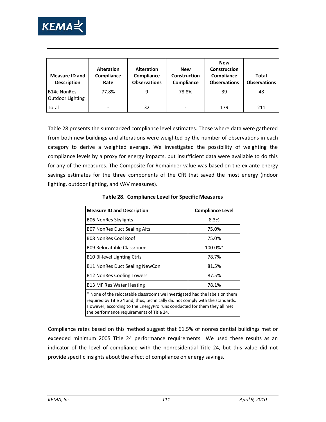

| <b>Measure ID and</b><br><b>Description</b> | <b>Alteration</b><br>Compliance<br>Rate | <b>Alteration</b><br>Compliance<br><b>Observations</b> | <b>New</b><br>Construction<br>Compliance | <b>New</b><br>Construction<br>Compliance<br><b>Observations</b> | <b>Total</b><br><b>Observations</b> |
|---------------------------------------------|-----------------------------------------|--------------------------------------------------------|------------------------------------------|-----------------------------------------------------------------|-------------------------------------|
| B14c NonRes<br>Outdoor Lighting             | 77.8%                                   | 9                                                      | 78.8%                                    | 39                                                              | 48                                  |
| Total                                       |                                         | 32                                                     |                                          | 179                                                             | 211                                 |

[Table 28](#page-124-0) presents the summarized compliance level estimates. Those where data were gathered from both new buildings and alterations were weighted by the number of observations in each category to derive a weighted average. We investigated the possibility of weighting the compliance levels by a proxy for energy impacts, but insufficient data were available to do this for any of the measures. The Composite for Remainder value was based on the ex ante energy savings estimates for the three components of the CfR that saved the most energy (indoor lighting, outdoor lighting, and VAV measures).

<span id="page-124-0"></span>

| <b>Measure ID and Description</b>                                                                                                                                                                                                                                                      | <b>Compliance Level</b> |  |  |  |  |  |
|----------------------------------------------------------------------------------------------------------------------------------------------------------------------------------------------------------------------------------------------------------------------------------------|-------------------------|--|--|--|--|--|
| <b>B06 NonRes Skylights</b>                                                                                                                                                                                                                                                            | 8.3%                    |  |  |  |  |  |
| <b>B07 NonRes Duct Sealing Alts</b>                                                                                                                                                                                                                                                    | 75.0%                   |  |  |  |  |  |
| <b>B08 NonRes Cool Roof</b>                                                                                                                                                                                                                                                            | 75.0%                   |  |  |  |  |  |
| <b>B09 Relocatable Classrooms</b>                                                                                                                                                                                                                                                      | 100.0%*                 |  |  |  |  |  |
| B10 Bi-level Lighting Ctrls                                                                                                                                                                                                                                                            | 78.7%                   |  |  |  |  |  |
| <b>B11 NonRes Duct Sealing NewCon</b>                                                                                                                                                                                                                                                  | 81.5%                   |  |  |  |  |  |
| <b>B12 NonRes Cooling Towers</b>                                                                                                                                                                                                                                                       | 87.5%                   |  |  |  |  |  |
| B13 MF Res Water Heating                                                                                                                                                                                                                                                               | 78.1%                   |  |  |  |  |  |
| * None of the relocatable classrooms we investigated had the labels on them<br>required by Title 24 and, thus, technically did not comply with the standards.<br>However, according to the EnergyPro runs conducted for them they all met<br>the performance requirements of Title 24. |                         |  |  |  |  |  |

**Table 28. Compliance Level for Specific Measures**

Compliance rates based on this method suggest that 61.5% of nonresidential buildings met or exceeded minimum 2005 Title 24 performance requirements. We used these results as an indicator of the level of compliance with the nonresidential Title 24, but this value did not provide specific insights about the effect of compliance on energy savings.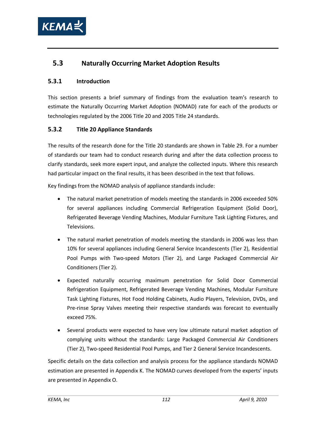

## **5.3 Naturally Occurring Market Adoption Results**

#### **5.3.1 Introduction**

This section presents a brief summary of findings from the evaluation team's research to estimate the Naturally Occurring Market Adoption (NOMAD) rate for each of the products or technologies regulated by the 2006 Title 20 and 2005 Title 24 standards.

#### **5.3.2 Title 20 Appliance Standards**

The results of the research done for the Title 20 standards are shown in [Table 29.](#page-126-0) For a number of standards our team had to conduct research during and after the data collection process to clarify standards, seek more expert input, and analyze the collected inputs. Where this research had particular impact on the final results, it has been described in the text that follows.

Key findings from the NOMAD analysis of appliance standards include:

- The natural market penetration of models meeting the standards in 2006 exceeded 50% for several appliances including Commercial Refrigeration Equipment (Solid Door), Refrigerated Beverage Vending Machines, Modular Furniture Task Lighting Fixtures, and Televisions.
- The natural market penetration of models meeting the standards in 2006 was less than 10% for several appliances including General Service Incandescents (Tier 2), Residential Pool Pumps with Two-speed Motors (Tier 2), and Large Packaged Commercial Air Conditioners (Tier 2).
- Expected naturally occurring maximum penetration for Solid Door Commercial Refrigeration Equipment, Refrigerated Beverage Vending Machines, Modular Furniture Task Lighting Fixtures, Hot Food Holding Cabinets, Audio Players, Television, DVDs, and Pre-rinse Spray Valves meeting their respective standards was forecast to eventually exceed 75%.
- Several products were expected to have very low ultimate natural market adoption of complying units without the standards: Large Packaged Commercial Air Conditioners (Tier 2), Two-speed Residential Pool Pumps, and Tier 2 General Service Incandescents.

Specific details on the data collection and analysis process for the appliance standards NOMAD estimation are presented in Appendix K. The NOMAD curves developed from the experts' inputs are presented in Appendix O.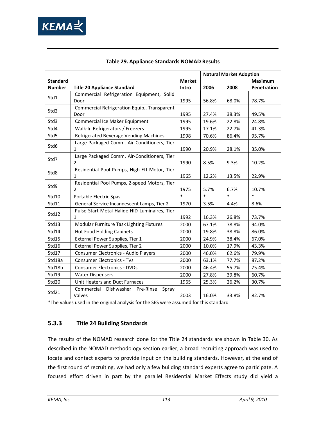

<span id="page-126-0"></span>

|                 |                                                                                       |               | <b>Natural Market Adoption</b> |        |                |  |
|-----------------|---------------------------------------------------------------------------------------|---------------|--------------------------------|--------|----------------|--|
| <b>Standard</b> |                                                                                       | <b>Market</b> |                                |        | <b>Maximum</b> |  |
| <b>Number</b>   | <b>Title 20 Appliance Standard</b>                                                    | Intro         | 2006                           | 2008   | Penetration    |  |
| Std1            | Commercial Refrigeration Equipment, Solid                                             |               |                                |        |                |  |
|                 | Door                                                                                  | 1995          | 56.8%                          | 68.0%  | 78.7%          |  |
| Std2            | Commercial Refrigeration Equip., Transparent<br>Door                                  | 1995          | 27.4%                          | 38.3%  | 49.5%          |  |
| Std3            | Commercial Ice Maker Equipment                                                        | 1995          | 19.6%                          | 22.8%  | 24.8%          |  |
| Std4            | Walk-In Refrigerators / Freezers                                                      | 1995          | 17.1%                          | 22.7%  | 41.3%          |  |
| Std5            | Refrigerated Beverage Vending Machines                                                | 1998          | 70.6%                          | 86.4%  | 95.7%          |  |
| Std6            | Large Packaged Comm. Air-Conditioners, Tier<br>1                                      | 1990          | 20.9%                          | 28.1%  | 35.0%          |  |
| Std7            | Large Packaged Comm. Air-Conditioners, Tier<br>2                                      | 1990          | 8.5%                           | 9.3%   | 10.2%          |  |
| Std8            | Residential Pool Pumps, High Eff Motor, Tier<br>1                                     | 1965          | 12.2%                          | 13.5%  | 22.9%          |  |
| Std9            | Residential Pool Pumps, 2-speed Motors, Tier<br>$\overline{2}$                        | 1975          | 5.7%                           | 6.7%   | 10.7%          |  |
| Std10           | Portable Electric Spas                                                                | $\ast$        | $\ast$                         | $\ast$ | $\ast$         |  |
| Std11           | General Service Incandescent Lamps, Tier 2                                            | 1970          | 3.5%                           | 4.4%   | 8.6%           |  |
| Std12           | Pulse Start Metal Halide HID Luminaires, Tier<br>1                                    | 1992          | 16.3%                          | 26.8%  | 73.7%          |  |
| Std13           | Modular Furniture Task Lighting Fixtures                                              | 2000          | 67.1%                          | 78.8%  | 94.0%          |  |
| Std14           | <b>Hot Food Holding Cabinets</b>                                                      | 2000          | 19.8%                          | 38.8%  | 86.0%          |  |
| Std15           | External Power Supplies, Tier 1                                                       | 2000          | 24.9%                          | 38.4%  | 67.0%          |  |
| Std16           | External Power Supplies, Tier 2                                                       | 2000          | 10.0%                          | 17.9%  | 43.3%          |  |
| Std17           | Consumer Electronics - Audio Players                                                  | 2000          | 46.0%                          | 62.6%  | 79.9%          |  |
| Std18a          | <b>Consumer Electronics - TVs</b>                                                     | 2000          | 63.1%                          | 77.7%  | 87.2%          |  |
| Std18b          | <b>Consumer Electronics - DVDs</b>                                                    | 2000          | 46.4%                          | 55.7%  | 75.4%          |  |
| Std19           | <b>Water Dispensers</b>                                                               | 2000          | 27.8%                          | 39.8%  | 60.7%          |  |
| Std20           | Unit Heaters and Duct Furnaces                                                        | 1965          | 25.3%                          | 26.2%  | 30.7%          |  |
| Std21           | Commercial<br>Dishwasher Pre-Rinse<br>Spray<br>Valves                                 | 2003          | 16.0%                          | 33.8%  | 82.7%          |  |
|                 | *The values used in the original analysis for the SES were assumed for this standard. |               |                                |        |                |  |

### **Table 29. Appliance Standards NOMAD Results**

### **5.3.3 Title 24 Building Standards**

The results of the NOMAD research done for the Title 24 standards are shown in [Table 30.](#page-128-0) As described in the NOMAD methodology section earlier, a broad recruiting approach was used to locate and contact experts to provide input on the building standards. However, at the end of the first round of recruiting, we had only a few building standard experts agree to participate. A focused effort driven in part by the parallel Residential Market Effects study did yield a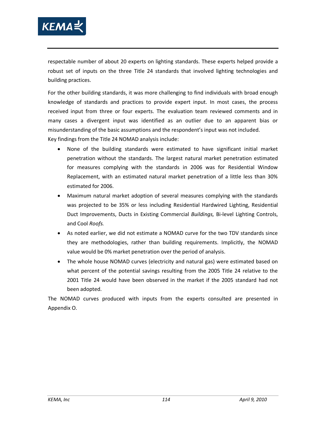

respectable number of about 20 experts on lighting standards. These experts helped provide a robust set of inputs on the three Title 24 standards that involved lighting technologies and building practices.

For the other building standards, it was more challenging to find individuals with broad enough knowledge of standards and practices to provide expert input. In most cases, the process received input from three or four experts. The evaluation team reviewed comments and in many cases a divergent input was identified as an outlier due to an apparent bias or misunderstanding of the basic assumptions and the respondent's input was not included. Key findings from the Title 24 NOMAD analysis include:

- None of the building standards were estimated to have significant initial market penetration without the standards. The largest natural market penetration estimated for measures complying with the standards in 2006 was for Residential Window Replacement, with an estimated natural market penetration of a little less than 30% estimated for 2006.
- Maximum natural market adoption of several measures complying with the standards was projected to be 35% or less including Residential Hardwired Lighting, Residential Duct Improvements, Ducts in Existing Commercial *Buildings,* Bi-level Lighting Controls, and Cool *Roofs.*
- As noted earlier, we did not estimate a NOMAD curve for the two TDV standards since they are methodologies, rather than building requirements. Implicitly, the NOMAD value would be 0% market penetration over the period of analysis.
- The whole house NOMAD curves (electricity and natural gas) were estimated based on what percent of the potential savings resulting from the 2005 Title 24 relative to the 2001 Title 24 would have been observed in the market if the 2005 standard had not been adopted.

The NOMAD curves produced with inputs from the experts consulted are presented in Appendix O.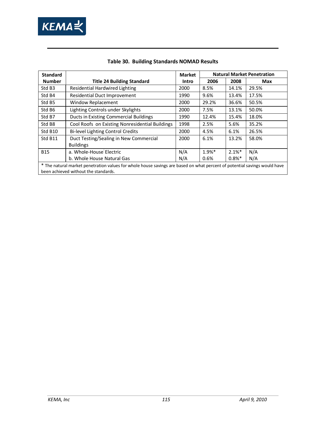

<span id="page-128-0"></span>

| <b>Standard</b>    | <b>Natural Market Penetration</b><br><b>Market</b>                                                                        |       |          |          |       |  |  |  |  |
|--------------------|---------------------------------------------------------------------------------------------------------------------------|-------|----------|----------|-------|--|--|--|--|
| <b>Number</b>      | <b>Title 24 Building Standard</b>                                                                                         | Intro | 2006     | 2008     | Max   |  |  |  |  |
| Std B <sub>3</sub> | Residential Hardwired Lighting                                                                                            | 2000  | 8.5%     | 14.1%    | 29.5% |  |  |  |  |
| Std B4             | Residential Duct Improvement                                                                                              | 1990  | 9.6%     | 13.4%    | 17.5% |  |  |  |  |
| Std B5             | Window Replacement                                                                                                        | 2000  | 29.2%    | 36.6%    | 50.5% |  |  |  |  |
| Std B6             | Lighting Controls under Skylights                                                                                         | 2000  | 7.5%     | 13.1%    | 50.0% |  |  |  |  |
| Std B7             | <b>Ducts in Existing Commercial Buildings</b>                                                                             | 1990  | 12.4%    | 15.4%    | 18.0% |  |  |  |  |
| Std B8             | Cool Roofs on Existing Nonresidential Buildings                                                                           | 1998  | 2.5%     | 5.6%     | 35.2% |  |  |  |  |
| Std B10            | <b>Bi-level Lighting Control Credits</b>                                                                                  | 2000  | 4.5%     | 6.1%     | 26.5% |  |  |  |  |
| Std B11            | Duct Testing/Sealing in New Commercial                                                                                    | 2000  | 6.1%     | 13.2%    | 58.0% |  |  |  |  |
|                    | <b>Buildings</b>                                                                                                          |       |          |          |       |  |  |  |  |
| <b>B15</b>         | a. Whole-House Electric                                                                                                   | N/A   | $1.9%$ * | $2.1%$ * | N/A   |  |  |  |  |
|                    | b. Whole House Natural Gas                                                                                                | N/A   | 0.6%     | $0.8%$ * | N/A   |  |  |  |  |
|                    | * The natural market penetration values for whole house savings are based on what percent of potential savings would have |       |          |          |       |  |  |  |  |
|                    | been achieved without the standards.                                                                                      |       |          |          |       |  |  |  |  |

### **Table 30. Building Standards NOMAD Results**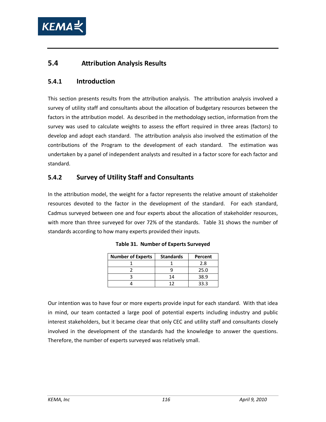

## **5.4 Attribution Analysis Results**

### **5.4.1 Introduction**

This section presents results from the attribution analysis. The attribution analysis involved a survey of utility staff and consultants about the allocation of budgetary resources between the factors in the attribution model. As described in the methodology section, information from the survey was used to calculate weights to assess the effort required in three areas (factors) to develop and adopt each standard. The attribution analysis also involved the estimation of the contributions of the Program to the development of each standard. The estimation was undertaken by a panel of independent analysts and resulted in a factor score for each factor and standard.

## **5.4.2 Survey of Utility Staff and Consultants**

<span id="page-129-0"></span>In the attribution model, the weight for a factor represents the relative amount of stakeholder resources devoted to the factor in the development of the standard. For each standard, Cadmus surveyed between one and four experts about the allocation of stakeholder resources, with more than three surveyed for over 72% of the standards. [Table 31](#page-129-0) shows the number of standards according to how many experts provided their inputs.

| <b>Number of Experts</b> | <b>Standards</b> | Percent |
|--------------------------|------------------|---------|
|                          |                  | 2.8     |
|                          |                  | 25.0    |
|                          | 14               | 38.9    |
|                          |                  | २२ २    |

|  |  | Table 31. Number of Experts Surveyed |  |
|--|--|--------------------------------------|--|
|--|--|--------------------------------------|--|

Our intention was to have four or more experts provide input for each standard. With that idea in mind, our team contacted a large pool of potential experts including industry and public interest stakeholders, but it became clear that only CEC and utility staff and consultants closely involved in the development of the standards had the knowledge to answer the questions. Therefore, the number of experts surveyed was relatively small.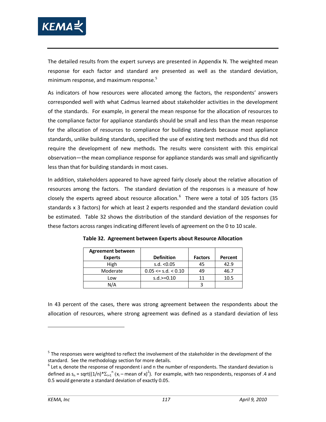

The detailed results from the expert surveys are presented in Appendix N. The weighted mean response for each factor and standard are presented as well as the standard deviation, minimum response, and maximum response.<sup>[5](#page-130-1)</sup>

As indicators of how resources were allocated among the factors, the respondents' answers corresponded well with what Cadmus learned about stakeholder activities in the development of the standards. For example, in general the mean response for the allocation of resources to the compliance factor for appliance standards should be small and less than the mean response for the allocation of resources to compliance for building standards because most appliance standards, unlike building standards, specified the use of existing test methods and thus did not require the development of new methods. The results were consistent with this empirical observation—the mean compliance response for appliance standards was small and significantly less than that for building standards in most cases.

In addition, stakeholders appeared to have agreed fairly closely about the relative allocation of resources among the factors. The standard deviation of the responses is a measure of how closely the experts agreed about resource allocation.<sup>[6](#page-130-2)</sup> There were a total of 105 factors (35 be estimated. Table 32 shows the distribution of the standard deviation of the responses for standards x 3 factors) for which at least 2 experts responded and the standard deviation could these factors across ranges indicating different levels of agreement on the 0 to 10 scale.

| <b>Agreement between</b> |                            |                |         |
|--------------------------|----------------------------|----------------|---------|
| <b>Experts</b>           | <b>Definition</b>          | <b>Factors</b> | Percent |
| High                     | s.d. $< 0.05$              | 45             | 42.9    |
| Moderate                 | $0.05 \leq s.d. \leq 0.10$ | 49             | 46.7    |
| Low                      | $s.d. >= 0.10$             | 11             | 10.5    |
| N/A                      |                            |                |         |

<span id="page-130-0"></span>**Table 32. Agreement between Experts about Resource Allocation**

In 43 percent of the cases, there was strong agreement between the respondents about the allocation of resources, where strong agreement was defined as a standard deviation of less

<span id="page-130-1"></span> $5$  The responses were weighted to reflect the involvement of the stakeholder in the development of the standard. See the methodology section for more details.

<span id="page-130-2"></span> $6$  Let  $x_i$  denote the response of respondent i and n the number of respondents. The standard deviation is defined as  $s_n$  = sqrt((1/n)\* $\Sigma_{i=1}$ <sup>n</sup> (x<sub>i</sub> – mean of x)<sup>2</sup>). For example, with two respondents, responses of .4 and 0.5 would generate a standard deviation of exactly 0.05.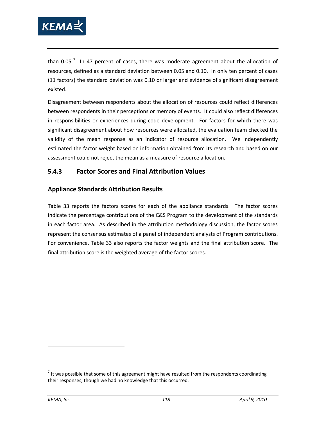

than 0.05. $^7$  $^7$  In 47 percent of cases, there was moderate agreement about the allocation of resources, defined as a standard deviation between 0.05 and 0.10. In only ten percent of cases (11 factors) the standard deviation was 0.10 or larger and evidence of significant disagreement existed.

Disagreement between respondents about the allocation of resources could reflect differences between respondents in their perceptions or memory of events. It could also reflect differences in responsibilities or experiences during code development. For factors for which there was significant disagreement about how resources were allocated, the evaluation team checked the validity of the mean response as an indicator of resource allocation. We independently estimated the factor weight based on information obtained from its research and based on our assessment could not reject the mean as a measure of resource allocation.

## **5.4.3 Factor Scores and Final Attribution Values**

### **Appliance Standards Attribution Results**

[Table 33](#page-132-0) reports the factors scores for each of the appliance standards. The factor scores indicate the percentage contributions of the C&S Program to the development of the standards in each factor area. As described in the attribution methodology discussion, the factor scores represent the consensus estimates of a panel of independent analysts of Program contributions. For convenience, [Table 33](#page-132-0) also reports the factor weights and the final attribution score. The final attribution score is the weighted average of the factor scores.

<span id="page-131-0"></span> $<sup>7</sup>$  It was possible that some of this agreement might have resulted from the respondents coordinating</sup> their responses, though we had no knowledge that this occurred.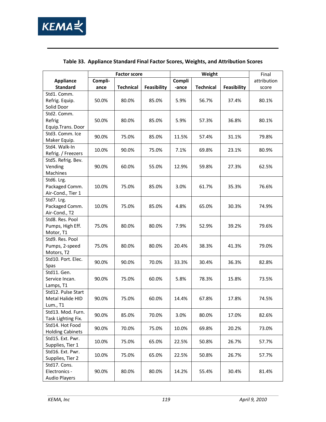

<span id="page-132-0"></span>

|                                         |         | <b>Factor score</b> |                    | Weight |                  |             | Final       |
|-----------------------------------------|---------|---------------------|--------------------|--------|------------------|-------------|-------------|
| <b>Appliance</b>                        | Compli- |                     |                    | Compli |                  |             | attribution |
| <b>Standard</b>                         | ance    | <b>Technical</b>    | <b>Feasibility</b> | -ance  | <b>Technical</b> | Feasibility | score       |
| Std1. Comm.                             |         |                     |                    |        |                  |             |             |
| Refrig. Equip.                          | 50.0%   | 80.0%               | 85.0%              | 5.9%   | 56.7%            | 37.4%       | 80.1%       |
| Solid Door                              |         |                     |                    |        |                  |             |             |
| Std2. Comm.                             |         |                     |                    |        |                  |             |             |
| Refrig                                  | 50.0%   | 80.0%               | 85.0%              | 5.9%   | 57.3%            | 36.8%       | 80.1%       |
| Equip.Trans. Door                       |         |                     |                    |        |                  |             |             |
| Std3. Comm. Ice                         | 90.0%   | 75.0%               | 85.0%              | 11.5%  | 57.4%            | 31.1%       | 79.8%       |
| Maker Equip.                            |         |                     |                    |        |                  |             |             |
| Std4. Walk-In                           | 10.0%   | 90.0%               | 75.0%              | 7.1%   | 69.8%            | 23.1%       | 80.9%       |
| Refrig. / Freezers                      |         |                     |                    |        |                  |             |             |
| Std5. Refrig. Bev.                      |         |                     |                    |        |                  |             |             |
| Vending                                 | 90.0%   | 60.0%               | 55.0%              | 12.9%  | 59.8%            | 27.3%       | 62.5%       |
| Machines                                |         |                     |                    |        |                  |             |             |
| Std6. Lrg.                              |         |                     |                    |        |                  |             |             |
| Packaged Comm.                          | 10.0%   | 75.0%               | 85.0%              | 3.0%   | 61.7%            | 35.3%       | 76.6%       |
| Air-Cond., Tier 1                       |         |                     |                    |        |                  |             |             |
| Std7. Lrg.                              |         |                     |                    |        |                  |             |             |
| Packaged Comm.                          | 10.0%   | 75.0%               | 85.0%              | 4.8%   | 65.0%            | 30.3%       | 74.9%       |
| Air-Cond., T2                           |         |                     |                    |        |                  |             |             |
| Std8. Res. Pool                         |         |                     |                    |        |                  |             |             |
| Pumps, High Eff.                        | 75.0%   | 80.0%               | 80.0%              | 7.9%   | 52.9%            | 39.2%       | 79.6%       |
| Motor, T1                               |         |                     |                    |        |                  |             |             |
| Std9. Res. Pool                         |         |                     |                    |        |                  |             |             |
| Pumps, 2-speed                          | 75.0%   | 80.0%               | 80.0%              | 20.4%  | 38.3%            | 41.3%       | 79.0%       |
| Motors, T2                              |         |                     |                    |        |                  |             |             |
| Std10. Port. Elec.                      | 90.0%   | 90.0%               | 70.0%              | 33.3%  | 30.4%            | 36.3%       | 82.8%       |
| Spas                                    |         |                     |                    |        |                  |             |             |
| Std11. Gen.                             |         |                     |                    |        |                  |             |             |
| Service Incan.                          | 90.0%   | 75.0%               | 60.0%              | 5.8%   | 78.3%            | 15.8%       | 73.5%       |
| Lamps, T1                               |         |                     |                    |        |                  |             |             |
| Std12. Pulse Start                      |         |                     |                    | 14.4%  |                  |             |             |
| Metal Halide HID                        | 90.0%   | 75.0%               | 60.0%              |        | 67.8%            | 17.8%       | 74.5%       |
| Lum., T1                                |         |                     |                    |        |                  |             |             |
| Std13. Mod. Furn.<br>Task Lighting Fix. | 90.0%   | 85.0%               | 70.0%              | 3.0%   | 80.0%            | 17.0%       | 82.6%       |
| Std14. Hot Food                         |         |                     |                    |        |                  |             |             |
| <b>Holding Cabinets</b>                 | 90.0%   | 70.0%               | 75.0%              | 10.0%  | 69.8%            | 20.2%       | 73.0%       |
| Std15. Ext. Pwr.                        |         |                     |                    |        |                  |             |             |
| Supplies, Tier 1                        | 10.0%   | 75.0%               | 65.0%              | 22.5%  | 50.8%            | 26.7%       | 57.7%       |
| Std16. Ext. Pwr.                        |         |                     |                    |        |                  |             |             |
| Supplies, Tier 2                        | 10.0%   | 75.0%               | 65.0%              | 22.5%  | 50.8%            | 26.7%       | 57.7%       |
| Std17. Cons.                            |         |                     |                    |        |                  |             |             |
| Electronics -                           | 90.0%   | 80.0%               | 80.0%              | 14.2%  | 55.4%            | 30.4%       | 81.4%       |
| <b>Audio Players</b>                    |         |                     |                    |        |                  |             |             |

### **Table 33. Appliance Standard Final Factor Scores, Weights, and Attribution Scores**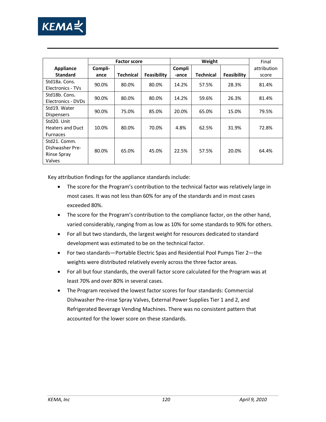

|                         | Weight<br><b>Factor score</b> |           |             |        |           | Final       |             |
|-------------------------|-------------------------------|-----------|-------------|--------|-----------|-------------|-------------|
| <b>Appliance</b>        | Compli-                       |           |             | Compli |           |             | attribution |
| <b>Standard</b>         | ance                          | Technical | Feasibility | -ance  | Technical | Feasibility | score       |
| Std18a. Cons.           | 90.0%                         | 80.0%     | 80.0%       | 14.2%  | 57.5%     | 28.3%       | 81.4%       |
| Electronics - TVs       |                               |           |             |        |           |             |             |
| Std18b. Cons.           | 90.0%                         | 80.0%     | 80.0%       | 14.2%  | 59.6%     | 26.3%       | 81.4%       |
| Electronics - DVDs      |                               |           |             |        |           |             |             |
| Std19. Water            | 90.0%                         | 75.0%     | 85.0%       | 20.0%  | 65.0%     | 15.0%       | 79.5%       |
| <b>Dispensers</b>       |                               |           |             |        |           |             |             |
| Std20. Unit             |                               |           |             |        |           |             |             |
| <b>Heaters and Duct</b> | 10.0%                         | 80.0%     | 70.0%       | 4.8%   | 62.5%     | 31.9%       | 72.8%       |
| <b>Furnaces</b>         |                               |           |             |        |           |             |             |
| Std21. Comm.            |                               |           |             |        |           |             |             |
| Dishwasher Pre-         | 80.0%                         | 65.0%     | 45.0%       | 22.5%  | 57.5%     | 20.0%       | 64.4%       |
| Rinse Spray             |                               |           |             |        |           |             |             |
| Valves                  |                               |           |             |        |           |             |             |

Key attribution findings for the appliance standards include:

- The score for the Program's contribution to the technical factor was relatively large in most cases. It was not less than 60% for any of the standards and in most cases exceeded 80%.
- The score for the Program's contribution to the compliance factor, on the other hand, varied considerably, ranging from as low as 10% for some standards to 90% for others.
- For all but two standards, the largest weight for resources dedicated to standard development was estimated to be on the technical factor.
- For two standards—Portable Electric Spas and Residential Pool Pumps Tier 2—the weights were distributed relatively evenly across the three factor areas.
- For all but four standards, the overall factor score calculated for the Program was at least 70% and over 80% in several cases.
- The Program received the lowest factor scores for four standards: Commercial Dishwasher Pre-rinse Spray Valves, External Power Supplies Tier 1 and 2, and Refrigerated Beverage Vending Machines. There was no consistent pattern that accounted for the lower score on these standards.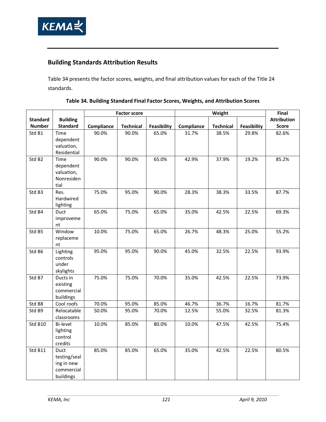

## **Building Standards Attribution Results**

<span id="page-134-0"></span>[Table 34](#page-134-0) presents the factor scores, weights, and final attribution values for each of the Title 24 standards.

|                    |                                                                      |            | <b>Factor score</b> |             | Weight     |                  |             | Final              |
|--------------------|----------------------------------------------------------------------|------------|---------------------|-------------|------------|------------------|-------------|--------------------|
| <b>Standard</b>    | <b>Building</b>                                                      |            |                     |             |            |                  |             | <b>Attribution</b> |
| <b>Number</b>      | <b>Standard</b>                                                      | Compliance | <b>Technical</b>    | Feasibility | Compliance | <b>Technical</b> | Feasibility | <b>Score</b>       |
| Std B1             | Time<br>dependent<br>valuation,<br>Residential                       | 90.0%      | 90.0%               | 65.0%       | 31.7%      | 38.5%            | 29.8%       | 82.6%              |
| Std B <sub>2</sub> | Time<br>dependent<br>valuation,<br>Nonresiden<br>tial                | 90.0%      | 90.0%               | 65.0%       | 42.9%      | 37.9%            | 19.2%       | 85.2%              |
| Std B3             | Res.<br>Hardwired<br>lighting                                        | 75.0%      | 95.0%               | 90.0%       | 28.3%      | 38.3%            | 33.5%       | 87.7%              |
| Std B4             | Duct<br>improveme<br>nt                                              | 65.0%      | 75.0%               | 65.0%       | 35.0%      | 42.5%            | 22.5%       | 69.3%              |
| Std B5             | Window<br>replaceme<br>nt                                            | 10.0%      | 75.0%               | 65.0%       | 26.7%      | 48.3%            | 25.0%       | 55.2%              |
| Std B6             | Lighting<br>controls<br>under<br>skylights                           | 95.0%      | 95.0%               | 90.0%       | 45.0%      | 32.5%            | 22.5%       | 93.9%              |
| Std B7             | Ducts in<br>existing<br>commercial<br>buildings                      | 75.0%      | 75.0%               | 70.0%       | 35.0%      | 42.5%            | 22.5%       | 73.9%              |
| Std B8             | Cool roofs                                                           | 70.0%      | 95.0%               | 85.0%       | 46.7%      | 36.7%            | 16.7%       | 81.7%              |
| Std B9             | Relocatable<br>classrooms                                            | 50.0%      | 95.0%               | 70.0%       | 12.5%      | 55.0%            | 32.5%       | 81.3%              |
| Std B10            | Bi-level<br>lighting<br>control<br>credits                           | 10.0%      | 85.0%               | 80.0%       | 10.0%      | 47.5%            | 42.5%       | 75.4%              |
| Std B11            | <b>Duct</b><br>testing/seal<br>ing in new<br>commercial<br>buildings | 85.0%      | 85.0%               | 65.0%       | 35.0%      | 42.5%            | 22.5%       | 80.5%              |

## **Table 34. Building Standard Final Factor Scores, Weights, and Attribution Scores**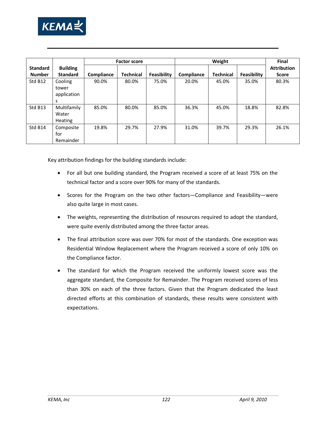

|                 |                 | Weight<br><b>Factor score</b> |           |             | Final      |                  |             |                    |
|-----------------|-----------------|-------------------------------|-----------|-------------|------------|------------------|-------------|--------------------|
| <b>Standard</b> | <b>Building</b> |                               |           |             |            |                  |             | <b>Attribution</b> |
| <b>Number</b>   | <b>Standard</b> | Compliance                    | Technical | Feasibility | Compliance | <b>Technical</b> | Feasibility | <b>Score</b>       |
| Std B12         | Cooling         | 90.0%                         | 80.0%     | 75.0%       | 20.0%      | 45.0%            | 35.0%       | 80.3%              |
|                 | tower           |                               |           |             |            |                  |             |                    |
|                 | application     |                               |           |             |            |                  |             |                    |
|                 | S               |                               |           |             |            |                  |             |                    |
| Std B13         | Multifamily     | 85.0%                         | 80.0%     | 85.0%       | 36.3%      | 45.0%            | 18.8%       | 82.8%              |
|                 | Water           |                               |           |             |            |                  |             |                    |
|                 | <b>Heating</b>  |                               |           |             |            |                  |             |                    |
| Std B14         | Composite       | 19.8%                         | 29.7%     | 27.9%       | 31.0%      | 39.7%            | 29.3%       | 26.1%              |
|                 | for             |                               |           |             |            |                  |             |                    |
|                 | Remainder       |                               |           |             |            |                  |             |                    |

Key attribution findings for the building standards include:

- For all but one building standard, the Program received a score of at least 75% on the technical factor and a score over 90% for many of the standards.
- Scores for the Program on the two other factors—Compliance and Feasibility—were also quite large in most cases.
- The weights, representing the distribution of resources required to adopt the standard, were quite evenly distributed among the three factor areas.
- The final attribution score was over 70% for most of the standards. One exception was Residential Window Replacement where the Program received a score of only 10% on the Compliance factor.
- The standard for which the Program received the uniformly lowest score was the aggregate standard, the Composite for Remainder. The Program received scores of less than 30% on each of the three factors. Given that the Program dedicated the least directed efforts at this combination of standards, these results were consistent with expectations.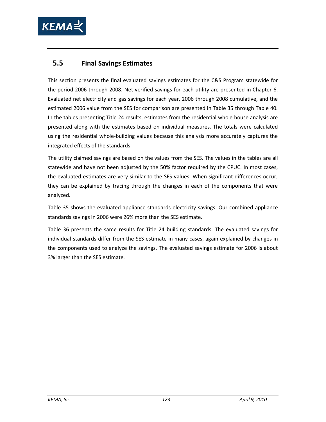

## **5.5 Final Savings Estimates**

This section presents the final evaluated savings estimates for the C&S Program statewide for the period 2006 through 2008. Net verified savings for each utility are presented in Chapter [6.](#page-146-0) Evaluated net electricity and gas savings for each year, 2006 through 2008 cumulative, and the estimated 2006 value from the SES for comparison are presented in [Table 35](#page-137-0) through [Table 40.](#page-142-0) In the tables presenting Title 24 results, estimates from the residential whole house analysis are presented along with the estimates based on individual measures. The totals were calculated using the residential whole-building values because this analysis more accurately captures the integrated effects of the standards.

The utility claimed savings are based on the values from the SES. The values in the tables are all statewide and have not been adjusted by the 50% factor required by the CPUC. In most cases, the evaluated estimates are very similar to the SES values. When significant differences occur, they can be explained by tracing through the changes in each of the components that were analyzed.

[Table 35](#page-137-0) shows the evaluated appliance standards electricity savings. Our combined appliance standards savings in 2006 were 26% more than the SES estimate.

[Table 36](#page-138-0) presents the same results for Title 24 building standards. The evaluated savings for individual standards differ from the SES estimate in many cases, again explained by changes in the components used to analyze the savings. The evaluated savings estimate for 2006 is about 3% larger than the SES estimate*.*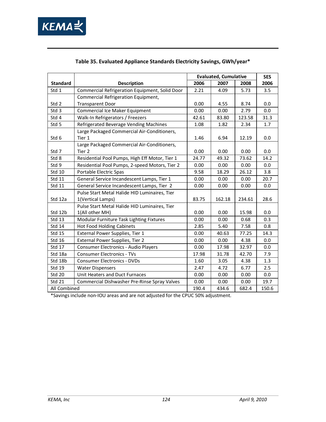

<span id="page-137-0"></span>

|                 |                                                       | <b>Evaluated, Cumulative</b> |        |        | <b>SES</b> |
|-----------------|-------------------------------------------------------|------------------------------|--------|--------|------------|
| <b>Standard</b> | <b>Description</b>                                    | 2006                         | 2007   | 2008   | 2006       |
| Std 1           | Commercial Refrigeration Equipment, Solid Door        | 2.21                         | 4.09   | 5.73   | 3.5        |
|                 | Commercial Refrigeration Equipment,                   |                              |        |        |            |
| Std 2           | <b>Transparent Door</b>                               | 0.00                         | 4.55   | 8.74   | 0.0        |
| Std 3           | Commercial Ice Maker Equipment                        | 0.00                         | 0.00   | 2.79   | 0.0        |
| Std 4           | Walk-In Refrigerators / Freezers                      | 42.61                        | 83.80  | 123.58 | 31.3       |
| Std 5           | Refrigerated Beverage Vending Machines                | 1.08                         | 1.82   | 2.34   | 1.7        |
| Std 6           | Large Packaged Commercial Air-Conditioners,<br>Tier 1 | 1.46                         | 6.94   | 12.19  | 0.0        |
|                 | Large Packaged Commercial Air-Conditioners,           |                              |        |        |            |
| Std 7           | Tier 2                                                | 0.00                         | 0.00   | 0.00   | 0.0        |
| Std 8           | Residential Pool Pumps, High Eff Motor, Tier 1        | 24.77                        | 49.32  | 73.62  | 14.2       |
| Std 9           | Residential Pool Pumps, 2-speed Motors, Tier 2        | 0.00                         | 0.00   | 0.00   | 0.0        |
| Std 10          | Portable Electric Spas                                | 9.58                         | 18.29  | 26.12  | 3.8        |
| Std 11          | General Service Incandescent Lamps, Tier 1            | 0.00                         | 0.00   | 0.00   | 20.7       |
| Std 11          | General Service Incandescent Lamps, Tier 2            | 0.00                         | 0.00   | 0.00   | 0.0        |
|                 | Pulse Start Metal Halide HID Luminaires, Tier         |                              |        |        |            |
| Std 12a         | 1(Vertical Lamps)                                     | 83.75                        | 162.18 | 234.61 | 28.6       |
|                 | Pulse Start Metal Halide HID Luminaires, Tier         |                              |        |        |            |
| Std 12b         | 1(All other MH)                                       | 0.00                         | 0.00   | 15.98  | 0.0        |
| Std 13          | Modular Furniture Task Lighting Fixtures              | 0.00                         | 0.00   | 0.68   | 0.3        |
| Std 14          | <b>Hot Food Holding Cabinets</b>                      | 2.85                         | 5.40   | 7.58   | 0.8        |
| Std 15          | External Power Supplies, Tier 1                       | 0.00                         | 40.63  | 77.25  | 14.3       |
| Std 16          | External Power Supplies, Tier 2                       | 0.00                         | 0.00   | 4.38   | 0.0        |
| Std 17          | Consumer Electronics - Audio Players                  | 0.00                         | 17.98  | 32.97  | 0.0        |
| Std 18a         | <b>Consumer Electronics - TVs</b>                     | 17.98                        | 31.78  | 42.70  | 7.9        |
| Std 18b         | <b>Consumer Electronics - DVDs</b>                    | 1.60                         | 3.05   | 4.38   | 1.3        |
| Std 19          | <b>Water Dispensers</b>                               | 2.47                         | 4.72   | 6.77   | 2.5        |
| <b>Std 20</b>   | Unit Heaters and Duct Furnaces                        | 0.00                         | 0.00   | 0.00   | 0.0        |
| Std 21          | Commercial Dishwasher Pre-Rinse Spray Valves          | 0.00                         | 0.00   | 0.00   | 19.7       |
| All Combined    |                                                       | 190.4                        | 434.6  | 682.4  | 150.6      |

## **Table 35. Evaluated Appliance Standards Electricity Savings, GWh/year\***

\*Savings include non-IOU areas and are not adjusted for the CPUC 50% adjustment.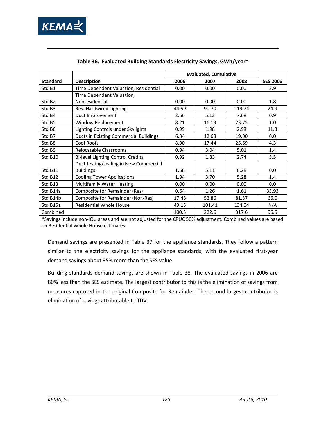

<span id="page-138-0"></span>

|                    |                                               | <b>Evaluated, Cumulative</b> |        |        |                 |
|--------------------|-----------------------------------------------|------------------------------|--------|--------|-----------------|
| <b>Standard</b>    | <b>Description</b>                            | 2006                         | 2007   | 2008   | <b>SES 2006</b> |
| Std B1             | Time Dependent Valuation, Residential         | 0.00                         | 0.00   | 0.00   | 2.9             |
|                    | Time Dependent Valuation,                     |                              |        |        |                 |
| Std B <sub>2</sub> | Nonresidential                                | 0.00                         | 0.00   | 0.00   | 1.8             |
| Std B3             | Res. Hardwired Lighting                       | 44.59                        | 90.70  | 119.74 | 24.9            |
| Std B4             | Duct Improvement                              | 2.56                         | 5.12   | 7.68   | 0.9             |
| Std B5             | Window Replacement                            | 8.21                         | 16.13  | 23.75  | 1.0             |
| Std B6             | Lighting Controls under Skylights             | 0.99                         | 1.98   | 2.98   | 11.3            |
| Std B7             | <b>Ducts in Existing Commercial Buildings</b> | 6.34                         | 12.68  | 19.00  | 0.0             |
| Std B8             | Cool Roofs                                    | 8.90                         | 17.44  | 25.69  | 4.3             |
| Std B9             | Relocatable Classrooms                        | 0.94                         | 3.04   | 5.01   | 1.4             |
| Std B10            | Bi-level Lighting Control Credits             | 0.92                         | 1.83   | 2.74   | 5.5             |
|                    | Duct testing/sealing in New Commercial        |                              |        |        |                 |
| Std B11            | <b>Buildings</b>                              | 1.58                         | 5.11   | 8.28   | 0.0             |
| Std B12            | <b>Cooling Tower Applications</b>             | 1.94                         | 3.70   | 5.28   | 1.4             |
| Std B13            | <b>Multifamily Water Heating</b>              | 0.00                         | 0.00   | 0.00   | 0.0             |
| Std B14a           | Composite for Remainder (Res)                 | 0.64                         | 1.26   | 1.61   | 33.93           |
| Std B14b           | Composite for Remainder (Non-Res)             | 17.48                        | 52.86  | 81.87  | 66.0            |
| Std B15a           | <b>Residential Whole House</b>                | 49.15                        | 101.41 | 134.04 | N/A             |
| Combined           |                                               | 100.3                        | 222.6  | 317.6  | 96.5            |

|  |  |  | Table 36. Evaluated Building Standards Electricity Savings, GWh/year* |
|--|--|--|-----------------------------------------------------------------------|
|  |  |  |                                                                       |

\*Savings include non-IOU areas and are not adjusted for the CPUC 50% adjustment. Combined values are based on Residential Whole House estimates.

Demand savings are presented in [Table 37](#page-139-0) for the appliance standards. They follow a pattern similar to the electricity savings for the appliance standards, with the evaluated first-year demand savings about 35% more than the SES value.

Building standards demand savings are shown in [Table 38.](#page-140-0) The evaluated savings in 2006 are 80% less than the SES estimate*.* The largest contributor to this is the elimination of savings from measures captured in the original Composite for Remainder. The second largest contributor is elimination of savings attributable to TDV.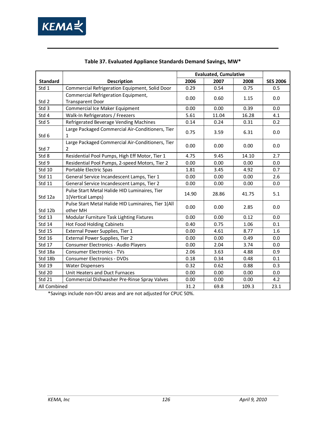

<span id="page-139-0"></span>

|                 |                                                                    | <b>Evaluated, Cumulative</b> |       |       |                 |
|-----------------|--------------------------------------------------------------------|------------------------------|-------|-------|-----------------|
| <b>Standard</b> | <b>Description</b>                                                 | 2006                         | 2007  | 2008  | <b>SES 2006</b> |
| Std 1           | Commercial Refrigeration Equipment, Solid Door                     | 0.29                         | 0.54  | 0.75  | 0.5             |
|                 | Commercial Refrigeration Equipment,                                | 0.00                         | 0.60  | 1.15  | 0.0             |
| Std 2           | <b>Transparent Door</b>                                            |                              |       |       |                 |
| Std 3           | Commercial Ice Maker Equipment                                     | 0.00                         | 0.00  | 0.39  | 0.0             |
| Std 4           | Walk-In Refrigerators / Freezers                                   | 5.61                         | 11.04 | 16.28 | 4.1             |
| Std 5           | Refrigerated Beverage Vending Machines                             | 0.14                         | 0.24  | 0.31  | 0.2             |
| Std 6           | Large Packaged Commercial Air-Conditioners, Tier<br>$\mathbf{1}$   | 0.75                         | 3.59  | 6.31  | 0.0             |
| Std 7           | Large Packaged Commercial Air-Conditioners, Tier<br>2              | 0.00                         | 0.00  | 0.00  | 0.0             |
| Std 8           | Residential Pool Pumps, High Eff Motor, Tier 1                     | 4.75                         | 9.45  | 14.10 | 2.7             |
| Std 9           | Residential Pool Pumps, 2-speed Motors, Tier 2                     | 0.00                         | 0.00  | 0.00  | 0.0             |
| <b>Std 10</b>   | Portable Electric Spas                                             | 1.81                         | 3.45  | 4.92  | 0.7             |
| Std 11          | General Service Incandescent Lamps, Tier 1                         | 0.00                         | 0.00  | 0.00  | 2.6             |
| Std 11          | General Service Incandescent Lamps, Tier 2                         | 0.00                         | 0.00  | 0.00  | 0.0             |
| Std 12a         | Pulse Start Metal Halide HID Luminaires, Tier<br>1(Vertical Lamps) | 14.90                        | 28.86 | 41.75 | 5.1             |
| Std 12b         | Pulse Start Metal Halide HID Luminaires, Tier 1(All<br>other MH    | 0.00                         | 0.00  | 2.85  | 0.0             |
| Std 13          | Modular Furniture Task Lighting Fixtures                           | 0.00                         | 0.00  | 0.12  | 0.0             |
| <b>Std 14</b>   | <b>Hot Food Holding Cabinets</b>                                   | 0.40                         | 0.75  | 1.06  | 0.1             |
| <b>Std 15</b>   | External Power Supplies, Tier 1                                    | 0.00                         | 4.61  | 8.77  | 1.6             |
| Std 16          | External Power Supplies, Tier 2                                    | 0.00                         | 0.00  | 0.49  | 0.0             |
| Std 17          | Consumer Electronics - Audio Players                               | 0.00                         | 2.04  | 3.74  | 0.0             |
| Std 18a         | <b>Consumer Electronics - TVs</b>                                  | 2.06                         | 3.63  | 4.88  | 0.9             |
| Std 18b         | <b>Consumer Electronics - DVDs</b>                                 | 0.18                         | 0.34  | 0.48  | 0.1             |
| <b>Std 19</b>   | <b>Water Dispensers</b>                                            | 0.32                         | 0.62  | 0.88  | 0.3             |
| Std 20          | Unit Heaters and Duct Furnaces                                     | 0.00                         | 0.00  | 0.00  | 0.0             |
| Std 21          | Commercial Dishwasher Pre-Rinse Spray Valves                       | 0.00                         | 0.00  | 0.00  | 4.2             |
| All Combined    |                                                                    | 31.2                         | 69.8  | 109.3 | 23.1            |

### **Table 37. Evaluated Appliance Standards Demand Savings, MW\***

\*Savings include non-IOU areas and are not adjusted for CPUC 50%.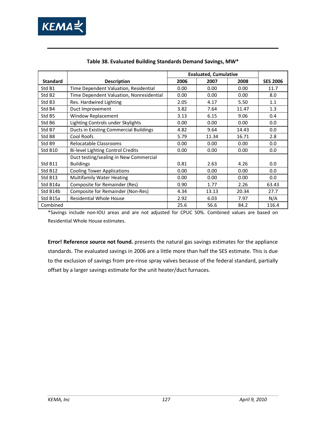

<span id="page-140-0"></span>

|                    |                                               | <b>Evaluated, Cumulative</b> |       |       |                 |
|--------------------|-----------------------------------------------|------------------------------|-------|-------|-----------------|
| <b>Standard</b>    | <b>Description</b>                            | 2006                         | 2007  | 2008  | <b>SES 2006</b> |
| Std B1             | Time Dependent Valuation, Residential         | 0.00                         | 0.00  | 0.00  | 11.7            |
| Std B <sub>2</sub> | Time Dependent Valuation, Nonresidential      | 0.00                         | 0.00  | 0.00  | 8.0             |
| Std B3             | Res. Hardwired Lighting                       | 2.05                         | 4.17  | 5.50  | 1.1             |
| Std B4             | Duct Improvement                              | 3.82                         | 7.64  | 11.47 | 1.3             |
| Std B5             | Window Replacement                            | 3.13                         | 6.15  | 9.06  | 0.4             |
| Std B6             | Lighting Controls under Skylights             | 0.00                         | 0.00  | 0.00  | 0.0             |
| Std B7             | <b>Ducts in Existing Commercial Buildings</b> | 4.82                         | 9.64  | 14.43 | 0.0             |
| Std B8             | Cool Roofs                                    | 5.79                         | 11.34 | 16.71 | 2.8             |
| Std B9             | Relocatable Classrooms                        | 0.00                         | 0.00  | 0.00  | 0.0             |
| Std B10            | <b>Bi-level Lighting Control Credits</b>      | 0.00                         | 0.00  | 0.00  | 0.0             |
|                    | Duct testing/sealing in New Commercial        |                              |       |       |                 |
| Std B11            | <b>Buildings</b>                              | 0.81                         | 2.63  | 4.26  | 0.0             |
| Std B12            | <b>Cooling Tower Applications</b>             | 0.00                         | 0.00  | 0.00  | 0.0             |
| Std B13            | <b>Multifamily Water Heating</b>              | 0.00                         | 0.00  | 0.00  | 0.0             |
| Std B14a           | Composite for Remainder (Res)                 | 0.90                         | 1.77  | 2.26  | 63.43           |
| Std B14b           | Composite for Remainder (Non-Res)             | 4.34                         | 13.13 | 20.34 | 27.7            |
| Std B15a           | <b>Residential Whole House</b>                | 2.92                         | 6.03  | 7.97  | N/A             |
| Combined           |                                               | 25.6                         | 56.6  | 84.2  | 116.4           |

#### **Table 38. Evaluated Building Standards Demand Savings, MW\***

\*Savings include non-IOU areas and are not adjusted for CPUC 50%. Combined values are based on Residential Whole House estimates.

**Error! Reference source not found.** presents the natural gas savings estimates for the appliance standards. The evaluated savings in 2006 are a little more than half the SES estimate. This is due to the exclusion of savings from pre-rinse spray valves because of the federal standard, partially offset by a larger savings estimate for the unit heater/duct furnaces.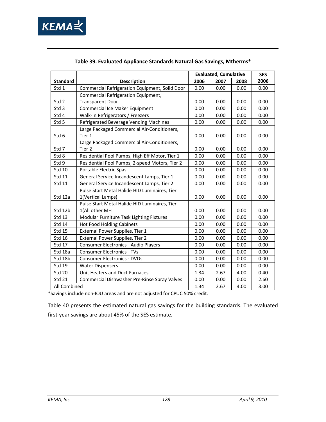

|                 |                                                       | <b>Evaluated, Cumulative</b> |      |      | <b>SES</b> |
|-----------------|-------------------------------------------------------|------------------------------|------|------|------------|
| <b>Standard</b> | <b>Description</b>                                    | 2006                         | 2007 | 2008 | 2006       |
| Std 1           | Commercial Refrigeration Equipment, Solid Door        | 0.00                         | 0.00 | 0.00 | 0.00       |
|                 | Commercial Refrigeration Equipment,                   |                              |      |      |            |
| Std 2           | <b>Transparent Door</b>                               | 0.00                         | 0.00 | 0.00 | 0.00       |
| Std 3           | Commercial Ice Maker Equipment                        | 0.00                         | 0.00 | 0.00 | 0.00       |
| Std 4           | Walk-In Refrigerators / Freezers                      | 0.00                         | 0.00 | 0.00 | 0.00       |
| Std 5           | Refrigerated Beverage Vending Machines                | 0.00                         | 0.00 | 0.00 | 0.00       |
| Std 6           | Large Packaged Commercial Air-Conditioners,<br>Tier 1 | 0.00                         | 0.00 | 0.00 | 0.00       |
|                 | Large Packaged Commercial Air-Conditioners,           |                              |      |      |            |
| Std 7           | Tier 2                                                | 0.00                         | 0.00 | 0.00 | 0.00       |
| Std 8           | Residential Pool Pumps, High Eff Motor, Tier 1        | 0.00                         | 0.00 | 0.00 | 0.00       |
| Std 9           | Residential Pool Pumps, 2-speed Motors, Tier 2        | 0.00                         | 0.00 | 0.00 | 0.00       |
| Std 10          | Portable Electric Spas                                | 0.00                         | 0.00 | 0.00 | 0.00       |
| Std 11          | General Service Incandescent Lamps, Tier 1            | 0.00                         | 0.00 | 0.00 | 0.00       |
| Std 11          | General Service Incandescent Lamps, Tier 2            | 0.00                         | 0.00 | 0.00 | 0.00       |
|                 | Pulse Start Metal Halide HID Luminaires, Tier         |                              |      |      |            |
| Std 12a         | 1(Vertical Lamps)                                     | 0.00                         | 0.00 | 0.00 | 0.00       |
|                 | Pulse Start Metal Halide HID Luminaires, Tier         |                              |      |      |            |
| Std 12b         | 1(All other MH                                        | 0.00                         | 0.00 | 0.00 | 0.00       |
| Std 13          | Modular Furniture Task Lighting Fixtures              | 0.00                         | 0.00 | 0.00 | 0.00       |
| Std 14          | <b>Hot Food Holding Cabinets</b>                      | 0.00                         | 0.00 | 0.00 | 0.00       |
| <b>Std 15</b>   | External Power Supplies, Tier 1                       | 0.00                         | 0.00 | 0.00 | 0.00       |
| Std 16          | External Power Supplies, Tier 2                       | 0.00                         | 0.00 | 0.00 | 0.00       |
| Std 17          | Consumer Electronics - Audio Players                  | 0.00                         | 0.00 | 0.00 | 0.00       |
| Std 18a         | <b>Consumer Electronics - TVs</b>                     | 0.00                         | 0.00 | 0.00 | 0.00       |
| Std 18b         | <b>Consumer Electronics - DVDs</b>                    | 0.00                         | 0.00 | 0.00 | 0.00       |
| Std 19          | <b>Water Dispensers</b>                               | 0.00                         | 0.00 | 0.00 | 0.00       |
| Std 20          | Unit Heaters and Duct Furnaces                        | 1.34                         | 2.67 | 4.00 | 0.40       |
| <b>Std 21</b>   | Commercial Dishwasher Pre-Rinse Spray Valves          | 0.00                         | 0.00 | 0.00 | 2.60       |
| All Combined    |                                                       | 1.34                         | 2.67 | 4.00 | 3.00       |

#### **Table 39. Evaluated Appliance Standards Natural Gas Savings, Mtherms\***

\*Savings include non-IOU areas and are not adjusted for CPUC 50% credit.

[Table 40](#page-142-0) presents the estimated natural gas savings for the building standards. The evaluated first-year savings are about 45% of the SES estimate*.*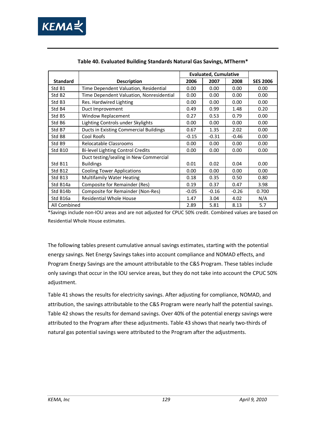

<span id="page-142-0"></span>

|                     |                                          | <b>Evaluated, Cumulative</b> |         |         |                 |
|---------------------|------------------------------------------|------------------------------|---------|---------|-----------------|
| <b>Standard</b>     | <b>Description</b>                       | 2006                         | 2007    | 2008    | <b>SES 2006</b> |
| Std B1              | Time Dependent Valuation, Residential    | 0.00                         | 0.00    | 0.00    | 0.00            |
| Std B <sub>2</sub>  | Time Dependent Valuation, Nonresidential | 0.00                         | 0.00    | 0.00    | 0.00            |
| Std B <sub>3</sub>  | Res. Hardwired Lighting                  | 0.00                         | 0.00    | 0.00    | 0.00            |
| Std B4              | Duct Improvement                         | 0.49                         | 0.99    | 1.48    | 0.20            |
| Std B5              | Window Replacement                       | 0.27                         | 0.53    | 0.79    | 0.00            |
| Std B6              | Lighting Controls under Skylights        | 0.00                         | 0.00    | 0.00    | 0.00            |
| Std B7              | Ducts in Existing Commercial Buildings   | 0.67                         | 1.35    | 2.02    | 0.00            |
| Std B8              | Cool Roofs                               | $-0.15$                      | $-0.31$ | $-0.46$ | 0.00            |
| Std B9              | Relocatable Classrooms                   | 0.00                         | 0.00    | 0.00    | 0.00            |
| Std B <sub>10</sub> | Bi-level Lighting Control Credits        | 0.00                         | 0.00    | 0.00    | 0.00            |
|                     | Duct testing/sealing in New Commercial   |                              |         |         |                 |
| Std B11             | <b>Buildings</b>                         | 0.01                         | 0.02    | 0.04    | 0.00            |
| Std B12             | <b>Cooling Tower Applications</b>        | 0.00                         | 0.00    | 0.00    | 0.00            |
| Std B13             | <b>Multifamily Water Heating</b>         | 0.18                         | 0.35    | 0.50    | 0.80            |
| Std B14a            | Composite for Remainder (Res)            | 0.19                         | 0.37    | 0.47    | 3.98            |
| Std B14b            | Composite for Remainder (Non-Res)        | $-0.05$                      | $-0.16$ | $-0.26$ | 0.700           |
| Std B16a            | Residential Whole House                  | 1.47                         | 3.04    | 4.02    | N/A             |
| All Combined        |                                          | 2.89                         | 5.81    | 8.13    | 5.7             |

#### **Table 40. Evaluated Building Standards Natural Gas Savings, MTherm\***

\*Savings include non-IOU areas and are not adjusted for CPUC 50% credit. Combined values are based on Residential Whole House estimates.

The following tables present cumulative annual savings estimates, starting with the potential energy savings. Net Energy Savings takes into account compliance and NOMAD effects, and Program Energy Savings are the amount attributable to the C&S Program. These tables include only savings that occur in the IOU service areas, but they do not take into account the CPUC 50% adjustment.

[Table 41](#page-143-0) shows the results for electricity savings. After adjusting for compliance, NOMAD, and attribution, the savings attributable to the C&S Program were nearly half the potential savings. [Table 42](#page-143-1) shows the results for demand savings. Over 40% of the potential energy savings were attributed to the Program after these adjustments. [Table 43](#page-143-2) shows that nearly two-thirds of natural gas potential savings were attributed to the Program after the adjustments.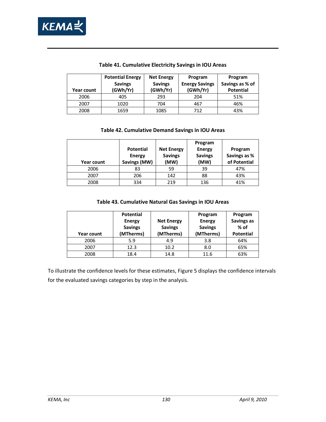

<span id="page-143-0"></span>

| <b>Year count</b> | <b>Potential Energy</b><br><b>Savings</b><br>(GWh/Yr) | <b>Net Energy</b><br><b>Savings</b><br>(GWh/Yr) | Program<br><b>Energy Savings</b><br>(GWh/Yr) | Program<br>Savings as % of<br><b>Potential</b> |
|-------------------|-------------------------------------------------------|-------------------------------------------------|----------------------------------------------|------------------------------------------------|
| 2006              | 405                                                   | 293                                             | 204                                          | 51%                                            |
| 2007              | 1020                                                  | 704                                             | 467                                          | 46%                                            |
| 2008              | 1659                                                  | 1085                                            | 712                                          | 43%                                            |

#### **Table 41. Cumulative Electricity Savings in IOU Areas**

#### **Table 42. Cumulative Demand Savings in IOU Areas**

<span id="page-143-1"></span>

| <b>Year count</b> | <b>Potential</b><br><b>Energy</b><br>Savings (MW) | <b>Net Energy</b><br><b>Savings</b><br>(MW) | Program<br><b>Energy</b><br><b>Savings</b><br>(MW) | Program<br>Savings as %<br>of Potential |
|-------------------|---------------------------------------------------|---------------------------------------------|----------------------------------------------------|-----------------------------------------|
| 2006              | 83                                                | 59                                          | 39                                                 | 47%                                     |
| 2007              | 206                                               | 142                                         | 88                                                 | 43%                                     |
| 2008              | 334                                               | 219                                         | 136                                                | 41%                                     |

#### **Table 43. Cumulative Natural Gas Savings in IOU Areas**

<span id="page-143-2"></span>

|            | <b>Potential</b>                |                                     | Program                         | Program            |
|------------|---------------------------------|-------------------------------------|---------------------------------|--------------------|
|            | <b>Energy</b><br><b>Savings</b> | <b>Net Energy</b><br><b>Savings</b> | <b>Energy</b><br><b>Savings</b> | Savings as<br>% of |
| Year count | (MTherms)                       | (MTherms)                           | (MTherms)                       | <b>Potential</b>   |
| 2006       | 5.9                             | 4.9                                 | 3.8                             | 64%                |
| 2007       | 12.3                            | 10.2                                | 8.0                             | 65%                |
| 2008       | 18.4                            | 14.8                                | 11.6                            | 63%                |

To illustrate the confidence levels for these estimates, [Figure 5](#page-144-0) displays the confidence intervals for the evaluated savings categories by step in the analysis.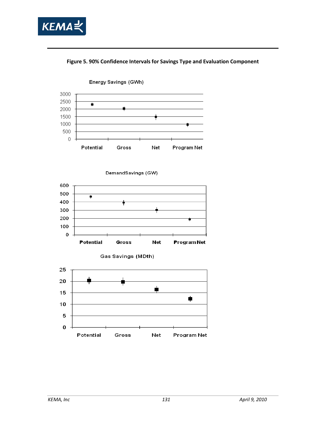





DemandSavings (GW)



Gas Savings (MDth)

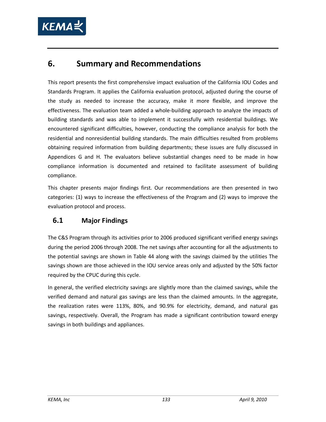

# **6. Summary and Recommendations**

This report presents the first comprehensive impact evaluation of the California IOU Codes and Standards Program. It applies the California evaluation protocol, adjusted during the course of the study as needed to increase the accuracy, make it more flexible, and improve the effectiveness. The evaluation team added a whole-building approach to analyze the impacts of building standards and was able to implement it successfully with residential buildings. We encountered significant difficulties, however, conducting the compliance analysis for both the residential and nonresidential building standards. The main difficulties resulted from problems obtaining required information from building departments; these issues are fully discussed in Appendices G and H. The evaluators believe substantial changes need to be made in how compliance information is documented and retained to facilitate assessment of building compliance.

This chapter presents major findings first. Our recommendations are then presented in two categories: (1) ways to increase the effectiveness of the Program and (2) ways to improve the evaluation protocol and process.

# **6.1 Major Findings**

The C&S Program through its activities prior to 2006 produced significant verified energy savings during the period 2006 through 2008. The net savings after accounting for all the adjustments to the potential savings are shown in [Table 44](#page-147-0) along with the savings claimed by the utilities The savings shown are those achieved in the IOU service areas only and adjusted by the 50% factor required by the CPUC during this cycle.

In general, the verified electricity savings are slightly more than the claimed savings, while the verified demand and natural gas savings are less than the claimed amounts. In the aggregate, the realization rates were 113%, 80%, and 90.9% for electricity, demand, and natural gas savings, respectively. Overall, the Program has made a significant contribution toward energy savings in both buildings and appliances.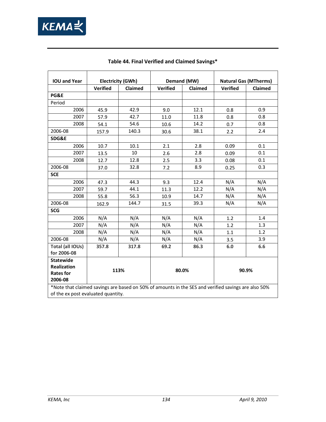

<span id="page-147-0"></span>

| <b>IOU and Year</b>                                                                                | <b>Electricity (GWh)</b> |         | Demand (MW)     |                | <b>Natural Gas (MTherms)</b> |                |
|----------------------------------------------------------------------------------------------------|--------------------------|---------|-----------------|----------------|------------------------------|----------------|
|                                                                                                    | <b>Verified</b>          | Claimed | <b>Verified</b> | <b>Claimed</b> | <b>Verified</b>              | <b>Claimed</b> |
| PG&E                                                                                               |                          |         |                 |                |                              |                |
| Period                                                                                             |                          |         |                 |                |                              |                |
| 2006                                                                                               | 45.9                     | 42.9    | 9.0             | 12.1           | 0.8                          | 0.9            |
| 2007                                                                                               | 57.9                     | 42.7    | 11.0            | 11.8           | 0.8                          | 0.8            |
| 2008                                                                                               | 54.1                     | 54.6    | 10.6            | 14.2           | 0.7                          | 0.8            |
| 2006-08                                                                                            | 157.9                    | 140.3   | 30.6            | 38.1           | 2.2                          | 2.4            |
| SDG&E                                                                                              |                          |         |                 |                |                              |                |
| 2006                                                                                               | 10.7                     | 10.1    | 2.1             | 2.8            | 0.09                         | 0.1            |
| 2007                                                                                               | 13.5                     | 10      | 2.6             | 2.8            | 0.09                         | 0.1            |
| 2008                                                                                               | 12.7                     | 12.8    | 2.5             | 3.3            | 0.08                         | 0.1            |
| 2006-08                                                                                            | 37.0                     | 32.8    | 7.2             | 8.9            | 0.25                         | 0.3            |
| <b>SCE</b>                                                                                         |                          |         |                 |                |                              |                |
| 2006                                                                                               | 47.3                     | 44.3    | 9.3             | 12.4           | N/A                          | N/A            |
| 2007                                                                                               | 59.7                     | 44.1    | 11.3            | 12.2           | N/A                          | N/A            |
| 2008                                                                                               | 55.8                     | 56.3    | 10.9            | 14.7           | N/A                          | N/A            |
| 2006-08                                                                                            | 162.9                    | 144.7   | 31.5            | 39.3           | N/A                          | N/A            |
| <b>SCG</b>                                                                                         |                          |         |                 |                |                              |                |
| 2006                                                                                               | N/A                      | N/A     | N/A             | N/A            | 1.2                          | 1.4            |
| 2007                                                                                               | N/A                      | N/A     | N/A             | N/A            | 1.2                          | 1.3            |
| 2008                                                                                               | N/A                      | N/A     | N/A             | N/A            | 1.1                          | 1.2            |
| 2006-08                                                                                            | N/A                      | N/A     | N/A             | N/A            | 3.5                          | 3.9            |
| Total (all IOUs)                                                                                   | 357.8                    | 317.8   | 69.2            | 86.3           | 6.0                          | 6.6            |
| for 2006-08                                                                                        |                          |         |                 |                |                              |                |
| <b>Statewide</b>                                                                                   |                          |         |                 |                |                              |                |
| Realization                                                                                        | 113%                     |         | 80.0%           |                |                              |                |
| <b>Rates for</b>                                                                                   |                          |         |                 |                | 90.9%                        |                |
| 2006-08                                                                                            |                          |         |                 |                |                              |                |
| Note that claimed savings are based on 50% of amounts in the SES and verified savings are also 50% |                          |         |                 |                |                              |                |

#### **Table 44. Final Verified and Claimed Savings\***

\*Note that claimed savings are based on 50% of amounts in the SES and verified savings are also 50% of the ex post evaluated quantity.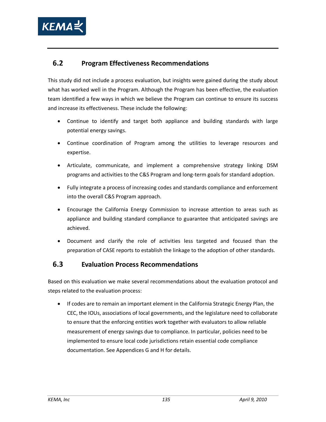

## **6.2 Program Effectiveness Recommendations**

This study did not include a process evaluation, but insights were gained during the study about what has worked well in the Program. Although the Program has been effective, the evaluation team identified a few ways in which we believe the Program can continue to ensure its success and increase its effectiveness. These include the following:

- Continue to identify and target both appliance and building standards with large potential energy savings.
- Continue coordination of Program among the utilities to leverage resources and expertise.
- Articulate, communicate, and implement a comprehensive strategy linking DSM programs and activities to the C&S Program and long-term goals for standard adoption.
- Fully integrate a process of increasing codes and standards compliance and enforcement into the overall C&S Program approach.
- Encourage the California Energy Commission to increase attention to areas such as appliance and building standard compliance to guarantee that anticipated savings are achieved.
- Document and clarify the role of activities less targeted and focused than the preparation of CASE reports to establish the linkage to the adoption of other standards.

### **6.3 Evaluation Process Recommendations**

Based on this evaluation we make several recommendations about the evaluation protocol and steps related to the evaluation process:

• If codes are to remain an important element in the California Strategic Energy Plan, the CEC, the IOUs, associations of local governments, and the legislature need to collaborate to ensure that the enforcing entities work together with evaluators to allow reliable measurement of energy savings due to compliance. In particular, policies need to be implemented to ensure local code jurisdictions retain essential code compliance documentation. See Appendices G and H for details.